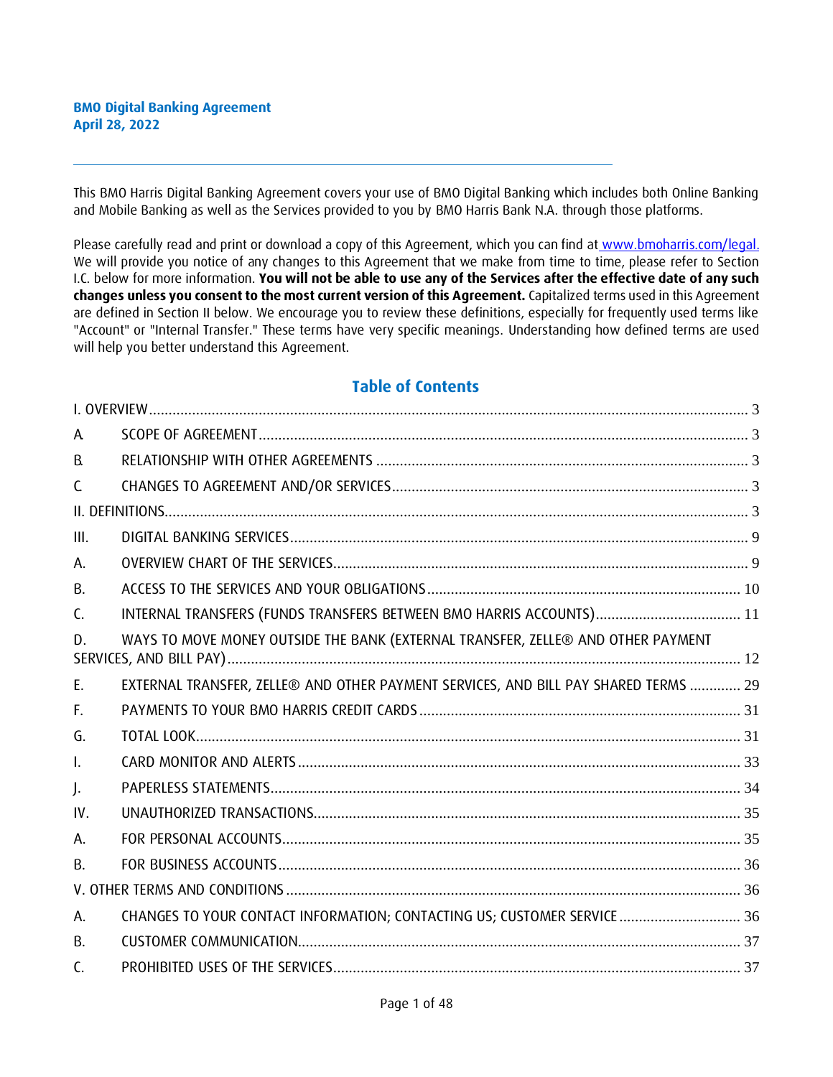This BMO Harris Digital Banking Agreement covers your use of BMO Digital Banking which includes both Online Banking and Mobile Banking as well as the Services provided to you by BMO Harris Bank N.A. through those platforms.

Please carefully read and print or download a copy of this Agreement, which you can find at [www.bmoharris.com/legal.](http://www.bmoharris.com/legal) We will provide you notice of any changes to this Agreement that we make from time to time, please refer to Section I.C. below for more information. **You will not be able to use any of the Services after the effective date of any such changes unless you consent to the most current version of this Agreement.** Capitalized terms used in this Agreement are defined in Section II below. We encourage you to review these definitions, especially for frequently used terms like "Account" or "Internal Transfer." These terms have very specific meanings. Understanding how defined terms are used will help you better understand this Agreement.

# **Table of Contents**

| A              |                                                                                     |  |
|----------------|-------------------------------------------------------------------------------------|--|
| R.             |                                                                                     |  |
| C              |                                                                                     |  |
|                |                                                                                     |  |
| III.           |                                                                                     |  |
| А.             |                                                                                     |  |
| В.             |                                                                                     |  |
| $\mathsf{C}$ . | INTERNAL TRANSFERS (FUNDS TRANSFERS BETWEEN BMO HARRIS ACCOUNTS) 11                 |  |
| D.             | WAYS TO MOVE MONEY OUTSIDE THE BANK (EXTERNAL TRANSFER, ZELLE® AND OTHER PAYMENT    |  |
| E.             | EXTERNAL TRANSFER, ZELLE® AND OTHER PAYMENT SERVICES, AND BILL PAY SHARED TERMS  29 |  |
| F.             |                                                                                     |  |
| G.             |                                                                                     |  |
| $\mathsf{L}$   |                                                                                     |  |
| J.             |                                                                                     |  |
| IV.            |                                                                                     |  |
| А.             |                                                                                     |  |
| В.             |                                                                                     |  |
|                |                                                                                     |  |
| А.             | CHANGES TO YOUR CONTACT INFORMATION; CONTACTING US; CUSTOMER SERVICE  36            |  |
| B.             |                                                                                     |  |
| C.             |                                                                                     |  |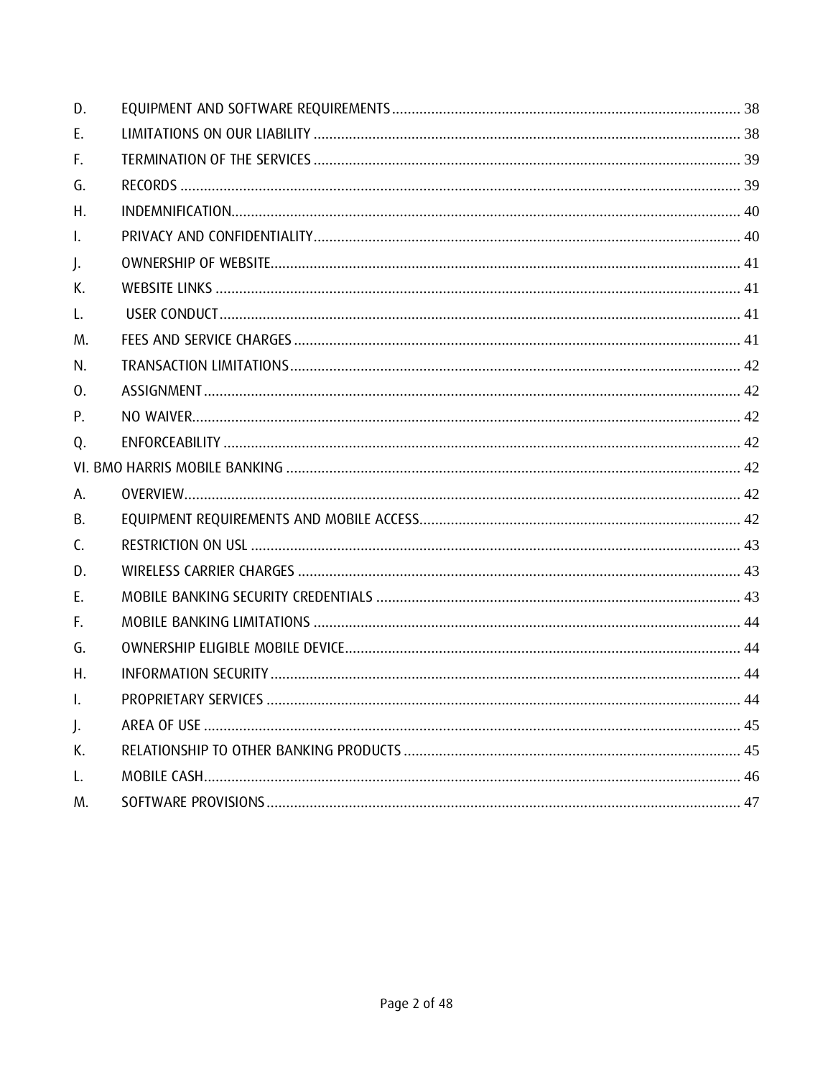| D.           |  |
|--------------|--|
| E.           |  |
| F.           |  |
| G.           |  |
| Η.           |  |
| $\mathsf{L}$ |  |
| J.           |  |
| К.           |  |
| L.           |  |
| M.           |  |
| N.           |  |
| 0.           |  |
| Ρ.           |  |
| Q.           |  |
|              |  |
| Α.           |  |
| В.           |  |
| C.           |  |
| D.           |  |
| Е.           |  |
| F.           |  |
| G.           |  |
| Η.           |  |
| I.           |  |
| J.           |  |
| К.           |  |
| L.           |  |
| M.           |  |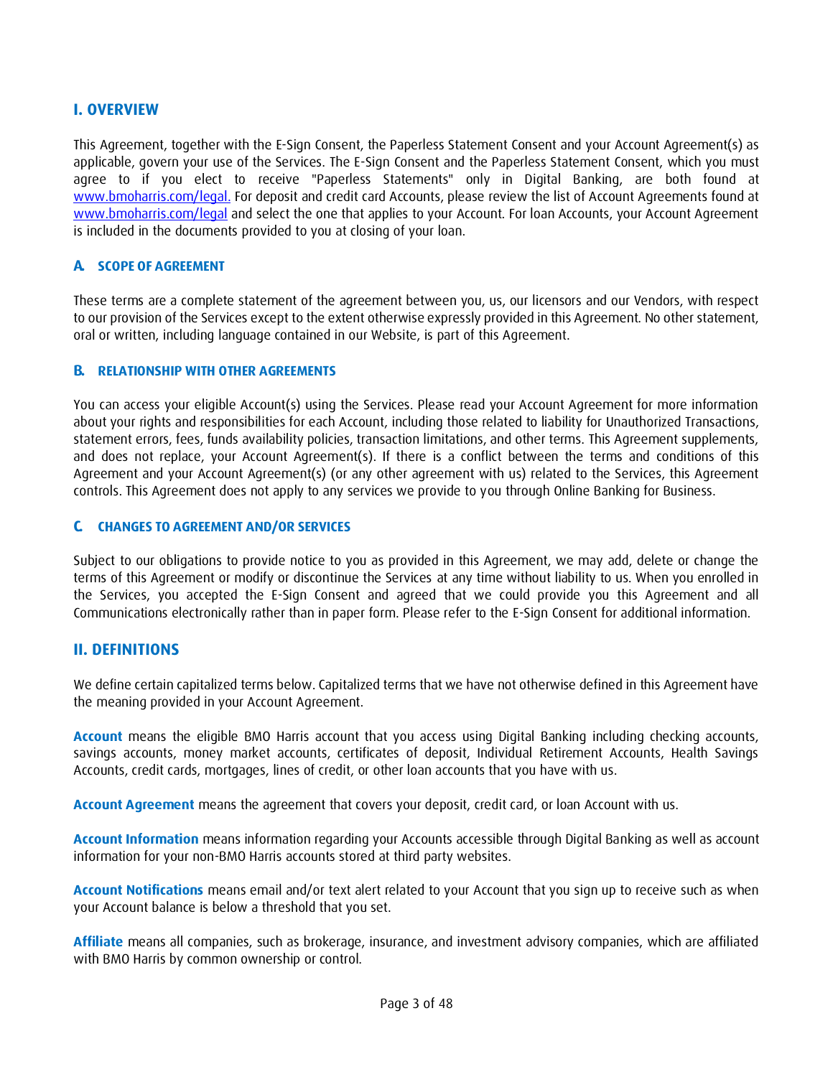# <span id="page-2-0"></span>**I. OVERVIEW**

This Agreement, together with the E-Sign Consent, the Paperless Statement Consent and your Account Agreement(s) as applicable, govern your use of the Services. The E-Sign Consent and the Paperless Statement Consent, which you must agree to if you elect to receive "Paperless Statements" only in Digital Banking, are both found at [www.bmoharris.com/legal.](http://www.bmoharris.com/legal) For deposit and credit card Accounts, please review the list of Account Agreements found at [www.bmoharris.com/legal](http://www.bmoharris.com/legal) and select the one that applies to your Account. For loan Accounts, your Account Agreement is included in the documents provided to you at closing of your loan.

### <span id="page-2-1"></span>**A. SCOPE OF AGREEMENT**

These terms are a complete statement of the agreement between you, us, our licensors and our Vendors, with respect to our provision of the Services except to the extent otherwise expressly provided in this Agreement. No other statement, oral or written, including language contained in our Website, is part of this Agreement.

#### <span id="page-2-2"></span>**B. RELATIONSHIP WITH OTHER AGREEMENTS**

You can access your eligible Account(s) using the Services. Please read your Account Agreement for more information about your rights and responsibilities for each Account, including those related to liability for Unauthorized Transactions, statement errors, fees, funds availability policies, transaction limitations, and other terms. This Agreement supplements, and does not replace, your Account Agreement(s). If there is a conflict between the terms and conditions of this Agreement and your Account Agreement(s) (or any other agreement with us) related to the Services, this Agreement controls. This Agreement does not apply to any services we provide to you through Online Banking for Business.

#### <span id="page-2-3"></span>**C. CHANGES TO AGREEMENT AND/OR SERVICES**

Subject to our obligations to provide notice to you as provided in this Agreement, we may add, delete or change the terms of this Agreement or modify or discontinue the Services at any time without liability to us. When you enrolled in the Services, you accepted the E-Sign Consent and agreed that we could provide you this Agreement and all Communications electronically rather than in paper form. Please refer to the E-Sign Consent for additional information.

#### <span id="page-2-4"></span>**II. DEFINITIONS**

We define certain capitalized terms below. Capitalized terms that we have not otherwise defined in this Agreement have the meaning provided in your Account Agreement.

**Account** means the eligible BMO Harris account that you access using Digital Banking including checking accounts, savings accounts, money market accounts, certificates of deposit, Individual Retirement Accounts, Health Savings Accounts, credit cards, mortgages, lines of credit, or other loan accounts that you have with us.

**Account Agreement** means the agreement that covers your deposit, credit card, or loan Account with us.

**Account Information** means information regarding your Accounts accessible through Digital Banking as well as account information for your non-BMO Harris accounts stored at third party websites.

**Account Notifications** means email and/or text alert related to your Account that you sign up to receive such as when your Account balance is below a threshold that you set.

**Affiliate** means all companies, such as brokerage, insurance, and investment advisory companies, which are affiliated with BMO Harris by common ownership or control.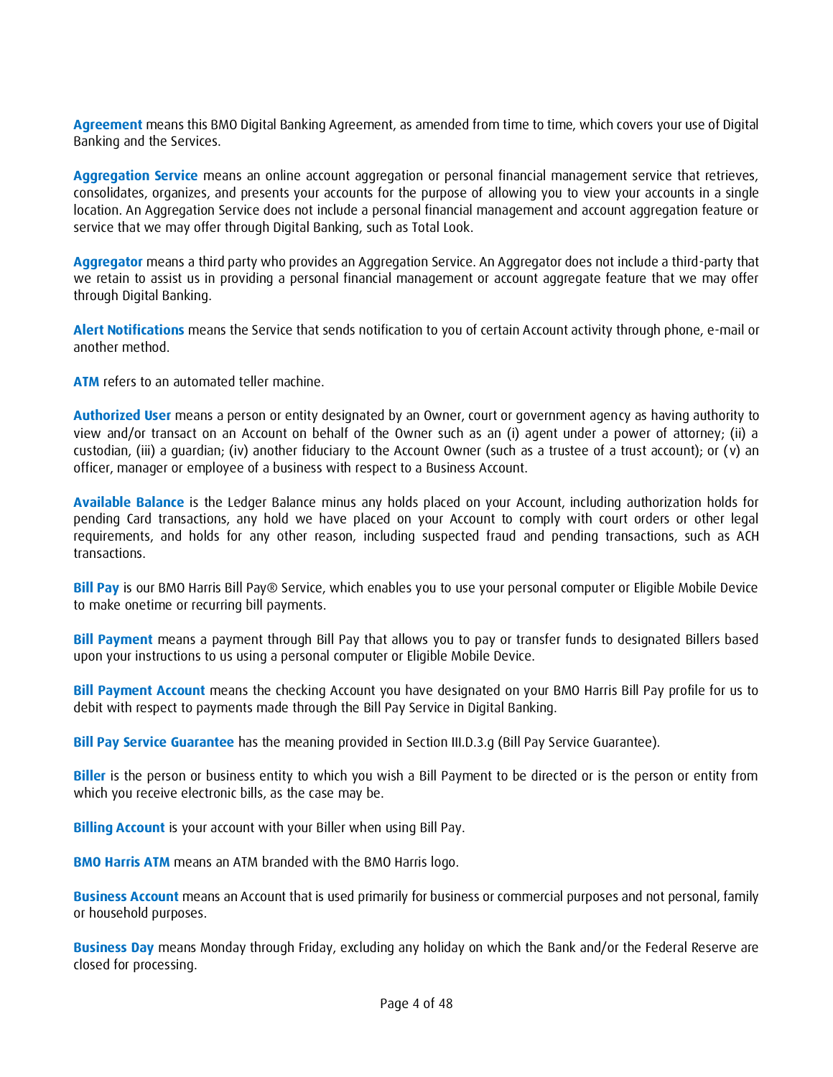**Agreement** means this BMO Digital Banking Agreement, as amended from time to time, which covers your use of Digital Banking and the Services.

**Aggregation Service** means an online account aggregation or personal financial management service that retrieves, consolidates, organizes, and presents your accounts for the purpose of allowing you to view your accounts in a single location. An Aggregation Service does not include a personal financial management and account aggregation feature or service that we may offer through Digital Banking, such as Total Look.

**Aggregator** means a third party who provides an Aggregation Service. An Aggregator does not include a third-party that we retain to assist us in providing a personal financial management or account aggregate feature that we may offer through Digital Banking.

**Alert Notifications** means the Service that sends notification to you of certain Account activity through phone, e-mail or another method.

**ATM** refers to an automated teller machine.

**Authorized User** means a person or entity designated by an Owner, court or government agency as having authority to view and/or transact on an Account on behalf of the Owner such as an (i) agent under a power of attorney; (ii) a custodian, (iii) a guardian; (iv) another fiduciary to the Account Owner (such as a trustee of a trust account); or (v) an officer, manager or employee of a business with respect to a Business Account.

**Available Balance** is the Ledger Balance minus any holds placed on your Account, including authorization holds for pending Card transactions, any hold we have placed on your Account to comply with court orders or other legal requirements, and holds for any other reason, including suspected fraud and pending transactions, such as ACH transactions.

**Bill Pay** is our BMO Harris Bill Pay® Service, which enables you to use your personal computer or Eligible Mobile Device to make onetime or recurring bill payments.

**Bill Payment** means a payment through Bill Pay that allows you to pay or transfer funds to designated Billers based upon your instructions to us using a personal computer or Eligible Mobile Device.

**Bill Payment Account** means the checking Account you have designated on your BMO Harris Bill Pay profile for us to debit with respect to payments made through the Bill Pay Service in Digital Banking.

**Bill Pay Service Guarantee** has the meaning provided in Section III.D.3.g (Bill Pay Service Guarantee).

**Biller** is the person or business entity to which you wish a Bill Payment to be directed or is the person or entity from which you receive electronic bills, as the case may be.

**Billing Account** is your account with your Biller when using Bill Pay.

**BMO Harris ATM** means an ATM branded with the BMO Harris logo.

**Business Account** means an Account that is used primarily for business or commercial purposes and not personal, family or household purposes.

**Business Day** means Monday through Friday, excluding any holiday on which the Bank and/or the Federal Reserve are closed for processing.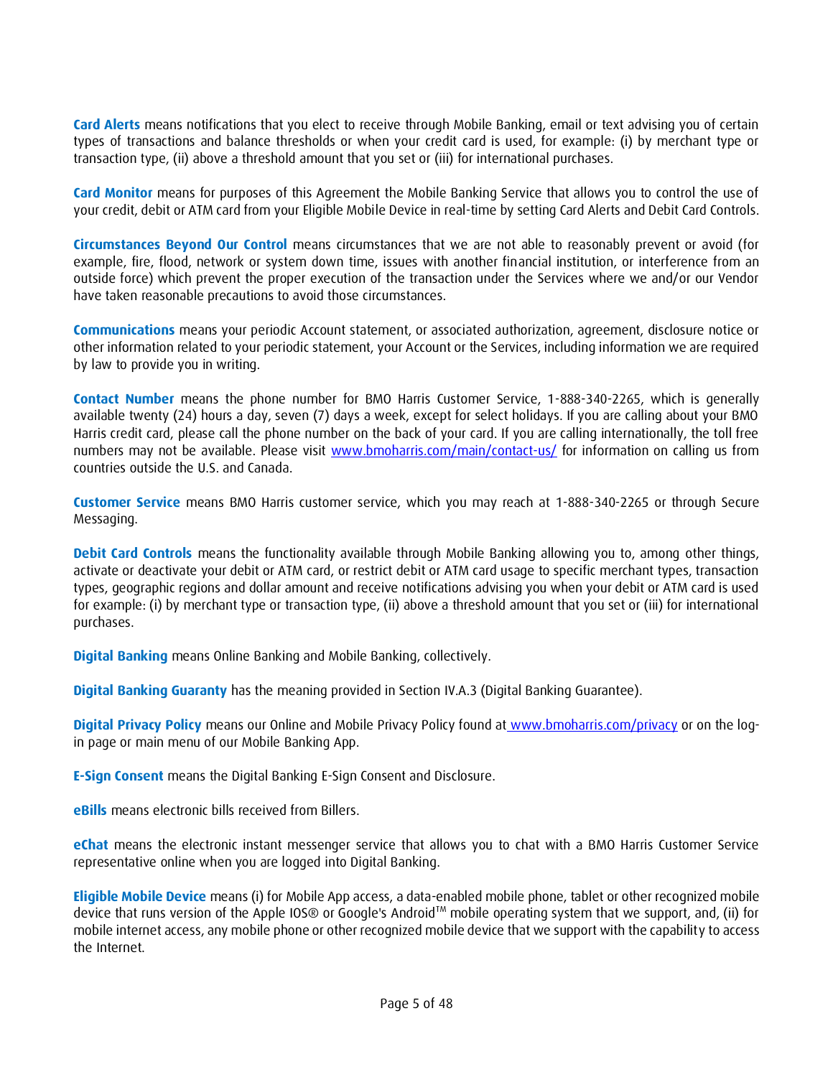**Card Alerts** means notifications that you elect to receive through Mobile Banking, email or text advising you of certain types of transactions and balance thresholds or when your credit card is used, for example: (i) by merchant type or transaction type, (ii) above a threshold amount that you set or (iii) for international purchases.

**Card Monitor** means for purposes of this Agreement the Mobile Banking Service that allows you to control the use of your credit, debit or ATM card from your Eligible Mobile Device in real-time by setting Card Alerts and Debit Card Controls.

**Circumstances Beyond Our Control** means circumstances that we are not able to reasonably prevent or avoid (for example, fire, flood, network or system down time, issues with another financial institution, or interference from an outside force) which prevent the proper execution of the transaction under the Services where we and/or our Vendor have taken reasonable precautions to avoid those circumstances.

**Communications** means your periodic Account statement, or associated authorization, agreement, disclosure notice or other information related to your periodic statement, your Account or the Services, including information we are required by law to provide you in writing.

**Contact Number** means the phone number for BMO Harris Customer Service, 1-888-340-2265, which is generally available twenty (24) hours a day, seven (7) days a week, except for select holidays. If you are calling about your BMO Harris credit card, please call the phone number on the back of your card. If you are calling internationally, the toll free numbers may not be available. Please visit [www.bmoharris.com/main/contact-us/](http://www.bmoharris.com/main/contact-us/) for information on calling us from countries outside the U.S. and Canada.

**Customer Service** means BMO Harris customer service, which you may reach at 1-888-340-2265 or through Secure Messaging.

**Debit Card Controls** means the functionality available through Mobile Banking allowing you to, among other things, activate or deactivate your debit or ATM card, or restrict debit or ATM card usage to specific merchant types, transaction types, geographic regions and dollar amount and receive notifications advising you when your debit or ATM card is used for example: (i) by merchant type or transaction type, (ii) above a threshold amount that you set or (iii) for international purchases.

**Digital Banking** means Online Banking and Mobile Banking, collectively.

**Digital Banking Guaranty** has the meaning provided in Section IV.A.3 (Digital Banking Guarantee).

**Digital Privacy Policy** means our Online and Mobile Privacy Policy found at [www.bmoharris.com/privacy](http://www.bmoharris.com/privacy) or on the login page or main menu of our Mobile Banking App.

**E-Sign Consent** means the Digital Banking E-Sign Consent and Disclosure.

**eBills** means electronic bills received from Billers.

**eChat** means the electronic instant messenger service that allows you to chat with a BMO Harris Customer Service representative online when you are logged into Digital Banking.

**Eligible Mobile Device** means (i) for Mobile App access, a data-enabled mobile phone, tablet or other recognized mobile device that runs version of the Apple IOS® or Google's Android™ mobile operating system that we support, and, (ii) for mobile internet access, any mobile phone or other recognized mobile device that we support with the capability to access the Internet.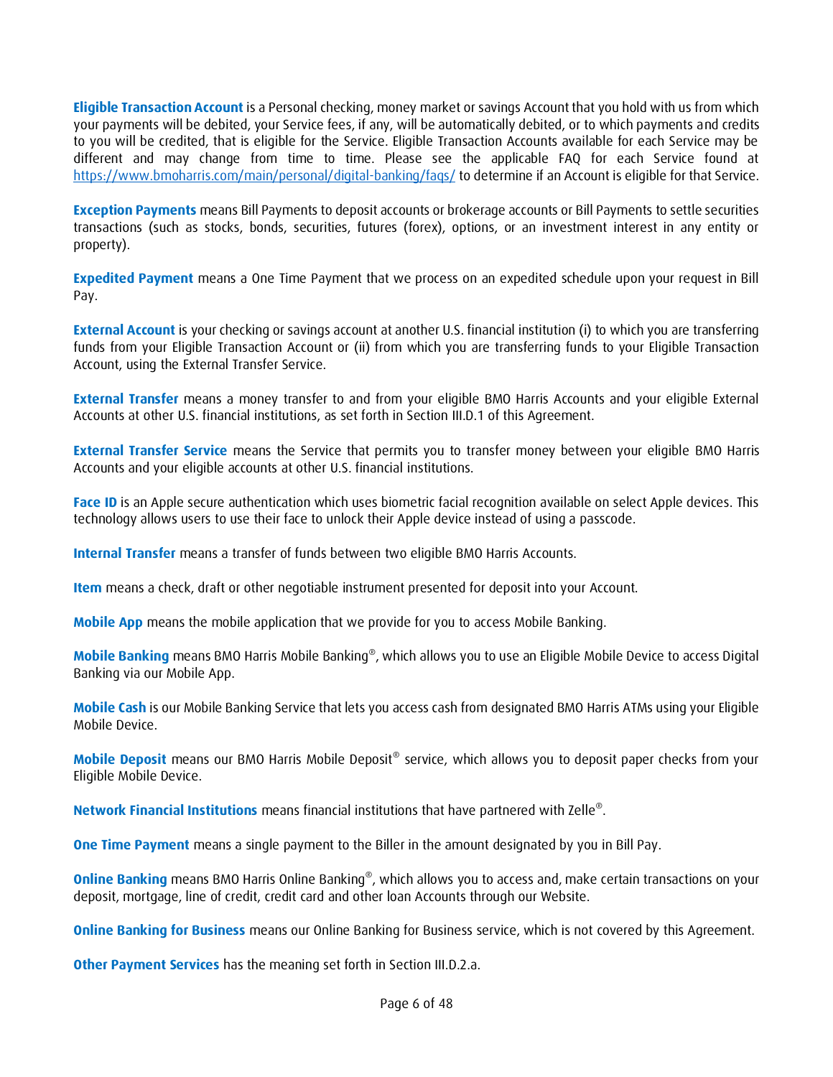**Eligible Transaction Account** is a Personal checking, money market or savings Account that you hold with us from which your payments will be debited, your Service fees, if any, will be automatically debited, or to which payments and credits to you will be credited, that is eligible for the Service. Eligible Transaction Accounts available for each Service may be different and may change from time to time. Please see the applicable FAQ for each Service found at <https://www.bmoharris.com/main/personal/digital-banking/faqs/> to determine if an Account is eligible for that Service.

**Exception Payments** means Bill Payments to deposit accounts or brokerage accounts or Bill Payments to settle securities transactions (such as stocks, bonds, securities, futures (forex), options, or an investment interest in any entity or property).

**Expedited Payment** means a One Time Payment that we process on an expedited schedule upon your request in Bill Pay.

**External Account** is your checking or savings account at another U.S. financial institution (i) to which you are transferring funds from your Eligible Transaction Account or (ii) from which you are transferring funds to your Eligible Transaction Account, using the External Transfer Service.

**External Transfer** means a money transfer to and from your eligible BMO Harris Accounts and your eligible External Accounts at other U.S. financial institutions, as set forth in Section III.D.1 of this Agreement.

**External Transfer Service** means the Service that permits you to transfer money between your eligible BMO Harris Accounts and your eligible accounts at other U.S. financial institutions.

**Face ID** is an Apple secure authentication which uses biometric facial recognition available on select Apple devices. This technology allows users to use their face to unlock their Apple device instead of using a passcode.

**Internal Transfer** means a transfer of funds between two eligible BMO Harris Accounts.

**Item** means a check, draft or other negotiable instrument presented for deposit into your Account.

**Mobile App** means the mobile application that we provide for you to access Mobile Banking.

**Mobile Banking** means BMO Harris Mobile Banking® , which allows you to use an Eligible Mobile Device to access Digital Banking via our Mobile App.

**Mobile Cash** is our Mobile Banking Service that lets you access cash from designated BMO Harris ATMs using your Eligible Mobile Device.

**Mobile Deposit** means our BMO Harris Mobile Deposit® service, which allows you to deposit paper checks from your Eligible Mobile Device.

**Network Financial Institutions** means financial institutions that have partnered with Zelle® .

**One Time Payment** means a single payment to the Biller in the amount designated by you in Bill Pay.

**Online Banking** means BMO Harris Online Banking<sup>®</sup>, which allows you to access and, make certain transactions on your deposit, mortgage, line of credit, credit card and other loan Accounts through our Website.

**Online Banking for Business** means our Online Banking for Business service, which is not covered by this Agreement.

**Other Payment Services** has the meaning set forth in Section III.D.2.a.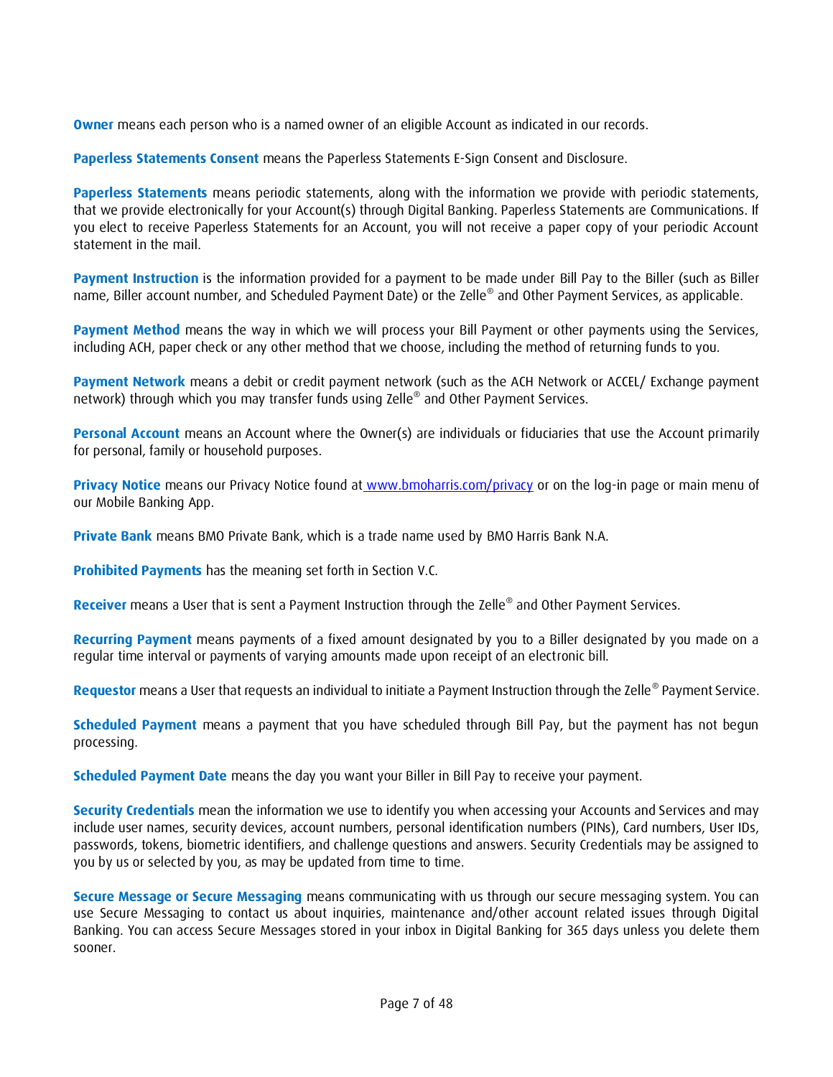**Owner** means each person who is a named owner of an eligible Account as indicated in our records.

**Paperless Statements Consent** means the Paperless Statements E-Sign Consent and Disclosure.

**Paperless Statements** means periodic statements, along with the information we provide with periodic statements, that we provide electronically for your Account(s) through Digital Banking. Paperless Statements are Communications. If you elect to receive Paperless Statements for an Account, you will not receive a paper copy of your periodic Account statement in the mail.

**Payment Instruction** is the information provided for a payment to be made under Bill Pay to the Biller (such as Biller name, Biller account number, and Scheduled Payment Date) or the Zelle® and Other Payment Services, as applicable.

**Payment Method** means the way in which we will process your Bill Payment or other payments using the Services, including ACH, paper check or any other method that we choose, including the method of returning funds to you.

**Payment Network** means a debit or credit payment network (such as the ACH Network or ACCEL/ Exchange payment network) through which you may transfer funds using Zelle® and Other Payment Services.

**Personal Account** means an Account where the Owner(s) are individuals or fiduciaries that use the Account primarily for personal, family or household purposes.

**Privacy Notice** means our Privacy Notice found at [www.bmoharris.com/privacy](http://www.bmoharris.com/privacy) or on the log-in page or main menu of our Mobile Banking App.

**Private Bank** means BMO Private Bank, which is a trade name used by BMO Harris Bank N.A.

**Prohibited Payments** has the meaning set forth in Section V.C.

**Receiver** means a User that is sent a Payment Instruction through the Zelle® and Other Payment Services.

**Recurring Payment** means payments of a fixed amount designated by you to a Biller designated by you made on a regular time interval or payments of varying amounts made upon receipt of an electronic bill.

**Requestor** means a User that requests an individual to initiate a Payment Instruction through the Zelle® Payment Service.

**Scheduled Payment** means a payment that you have scheduled through Bill Pay, but the payment has not begun processing.

**Scheduled Payment Date** means the day you want your Biller in Bill Pay to receive your payment.

**Security Credentials** mean the information we use to identify you when accessing your Accounts and Services and may include user names, security devices, account numbers, personal identification numbers (PINs), Card numbers, User IDs, passwords, tokens, biometric identifiers, and challenge questions and answers. Security Credentials may be assigned to you by us or selected by you, as may be updated from time to time.

**Secure Message or Secure Messaging** means communicating with us through our secure messaging system. You can use Secure Messaging to contact us about inquiries, maintenance and/other account related issues through Digital Banking. You can access Secure Messages stored in your inbox in Digital Banking for 365 days unless you delete them sooner.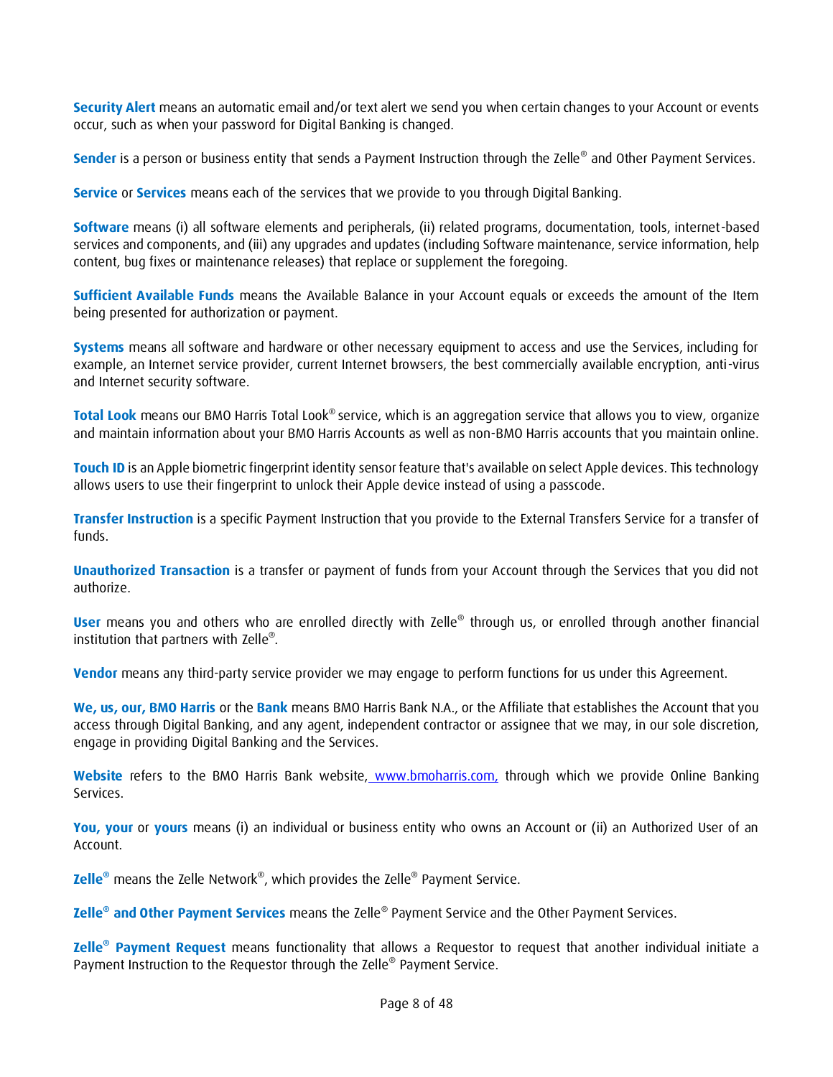**Security Alert** means an automatic email and/or text alert we send you when certain changes to your Account or events occur, such as when your password for Digital Banking is changed.

**Sender** is a person or business entity that sends a Payment Instruction through the Zelle® and Other Payment Services.

**Service** or **Services** means each of the services that we provide to you through Digital Banking.

**Software** means (i) all software elements and peripherals, (ii) related programs, documentation, tools, internet-based services and components, and (iii) any upgrades and updates (including Software maintenance, service information, help content, bug fixes or maintenance releases) that replace or supplement the foregoing.

**Sufficient Available Funds** means the Available Balance in your Account equals or exceeds the amount of the Item being presented for authorization or payment.

**Systems** means all software and hardware or other necessary equipment to access and use the Services, including for example, an Internet service provider, current Internet browsers, the best commercially available encryption, anti-virus and Internet security software.

**Total Look** means our BMO Harris Total Look® service, which is an aggregation service that allows you to view, organize and maintain information about your BMO Harris Accounts as well as non-BMO Harris accounts that you maintain online.

**Touch ID** is an Apple biometric fingerprint identity sensor feature that's available on select Apple devices. This technology allows users to use their fingerprint to unlock their Apple device instead of using a passcode.

**Transfer Instruction** is a specific Payment Instruction that you provide to the External Transfers Service for a transfer of funds.

**Unauthorized Transaction** is a transfer or payment of funds from your Account through the Services that you did not authorize.

User means you and others who are enrolled directly with Zelle<sup>®</sup> through us, or enrolled through another financial institution that partners with Zelle® *.*

**Vendor** means any third-party service provider we may engage to perform functions for us under this Agreement.

**We, us, our, BMO Harris** or the **Bank** means BMO Harris Bank N.A., or the Affiliate that establishes the Account that you access through Digital Banking, and any agent, independent contractor or assignee that we may, in our sole discretion, engage in providing Digital Banking and the Services.

**Website** refers to the BMO Harris Bank website, [www.bmoharris.com,](http://www.bmoharris.com/) through which we provide Online Banking Services.

**You, your** or **yours** means (i) an individual or business entity who owns an Account or (ii) an Authorized User of an Account.

**Zelle®** means the Zelle Network® , which provides the Zelle® Payment Service.

**Zelle<sup>®</sup> and Other Payment Services** means the Zelle® Payment Service and the Other Payment Services.

**Zelle® Payment Request** means functionality that allows a Requestor to request that another individual initiate a Payment Instruction to the Requestor through the Zelle® Payment Service.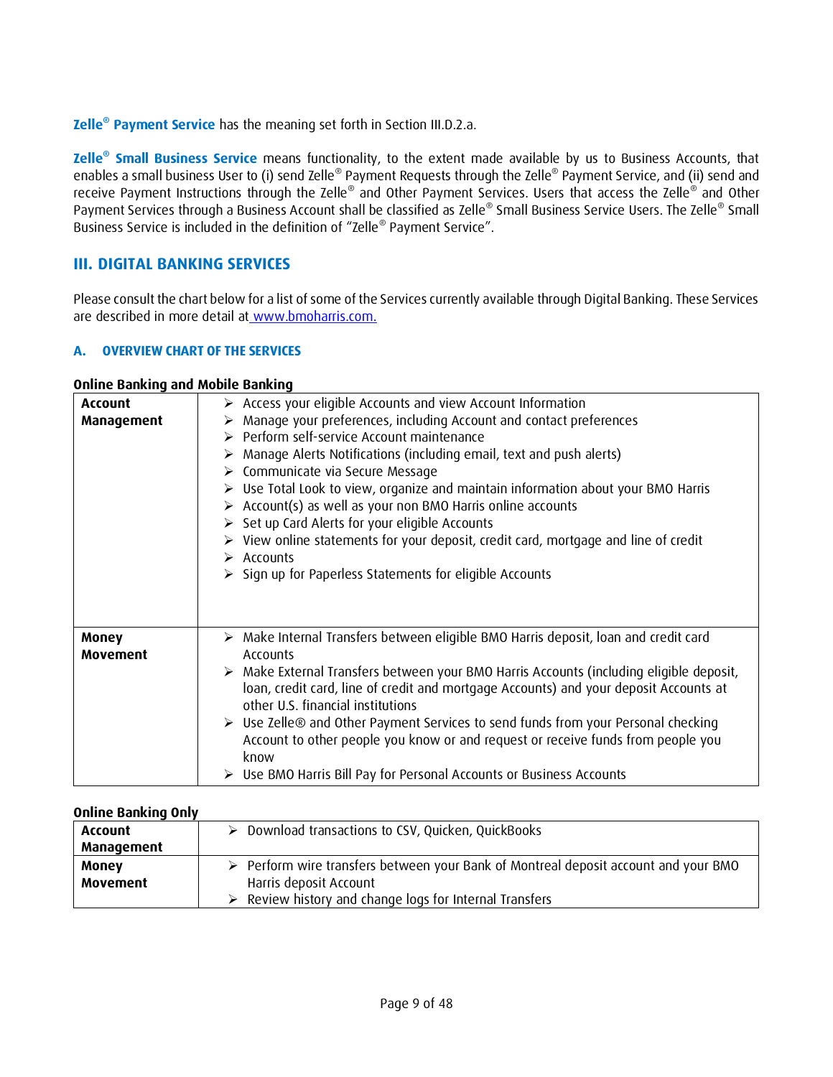**Zelle® Payment Service** has the meaning set forth in Section III.D.2.a.

**Zelle® Small Business Service** means functionality, to the extent made available by us to Business Accounts, that enables a small business User to (i) send Zelle® Payment Requests through the Zelle® Payment Service, and (ii) send and receive Payment Instructions through the Zelle® and Other Payment Services. Users that access the Zelle® and Other Payment Services through a Business Account shall be classified as Zelle® Small Business Service Users. The Zelle® Small Business Service is included in the definition of "Zelle® Payment Service".

# <span id="page-8-0"></span>**III. DIGITAL BANKING SERVICES**

Please consult the chart below for a list of some of the Services currently available through Digital Banking. These Services are described in more detail at [www.bmoharris.com.](http://www.bmoharris.com/)

# <span id="page-8-1"></span>**A. OVERVIEW CHART OF THE SERVICES**

#### **Online Banking and Mobile Banking**

| <b>Account</b>                  | $\triangleright$ Access your eligible Accounts and view Account Information                                                                                                                                                                                                                                                                                                                                                                                                                                                                                                                                                                                                    |
|---------------------------------|--------------------------------------------------------------------------------------------------------------------------------------------------------------------------------------------------------------------------------------------------------------------------------------------------------------------------------------------------------------------------------------------------------------------------------------------------------------------------------------------------------------------------------------------------------------------------------------------------------------------------------------------------------------------------------|
| <b>Management</b>               | > Manage your preferences, including Account and contact preferences<br>> Perform self-service Account maintenance<br>Manage Alerts Notifications (including email, text and push alerts)<br>$\triangleright$ Communicate via Secure Message<br>$\triangleright$ Use Total Look to view, organize and maintain information about your BMO Harris<br>> Account(s) as well as your non BMO Harris online accounts<br>Set up Card Alerts for your eligible Accounts<br>$\triangleright$ View online statements for your deposit, credit card, mortgage and line of credit<br>$\triangleright$ Accounts<br>$\triangleright$ Sign up for Paperless Statements for eligible Accounts |
| <b>Money</b><br><b>Movement</b> | > Make Internal Transfers between eligible BMO Harris deposit, loan and credit card<br>Accounts<br>> Make External Transfers between your BMO Harris Accounts (including eligible deposit,<br>loan, credit card, line of credit and mortgage Accounts) and your deposit Accounts at<br>other U.S. financial institutions<br>$\triangleright$ Use Zelle <sup>®</sup> and Other Payment Services to send funds from your Personal checking<br>Account to other people you know or and request or receive funds from people you<br>know<br>Use BMO Harris Bill Pay for Personal Accounts or Business Accounts                                                                     |

#### **Online Banking Only**

| <b>Account</b>  | $\triangleright$ Download transactions to CSV, Quicken, QuickBooks                                 |
|-----------------|----------------------------------------------------------------------------------------------------|
| Management      |                                                                                                    |
| <b>Money</b>    | $\triangleright$ Perform wire transfers between your Bank of Montreal deposit account and your BMO |
| <b>Movement</b> | Harris deposit Account                                                                             |
|                 | $\triangleright$ Review history and change logs for Internal Transfers                             |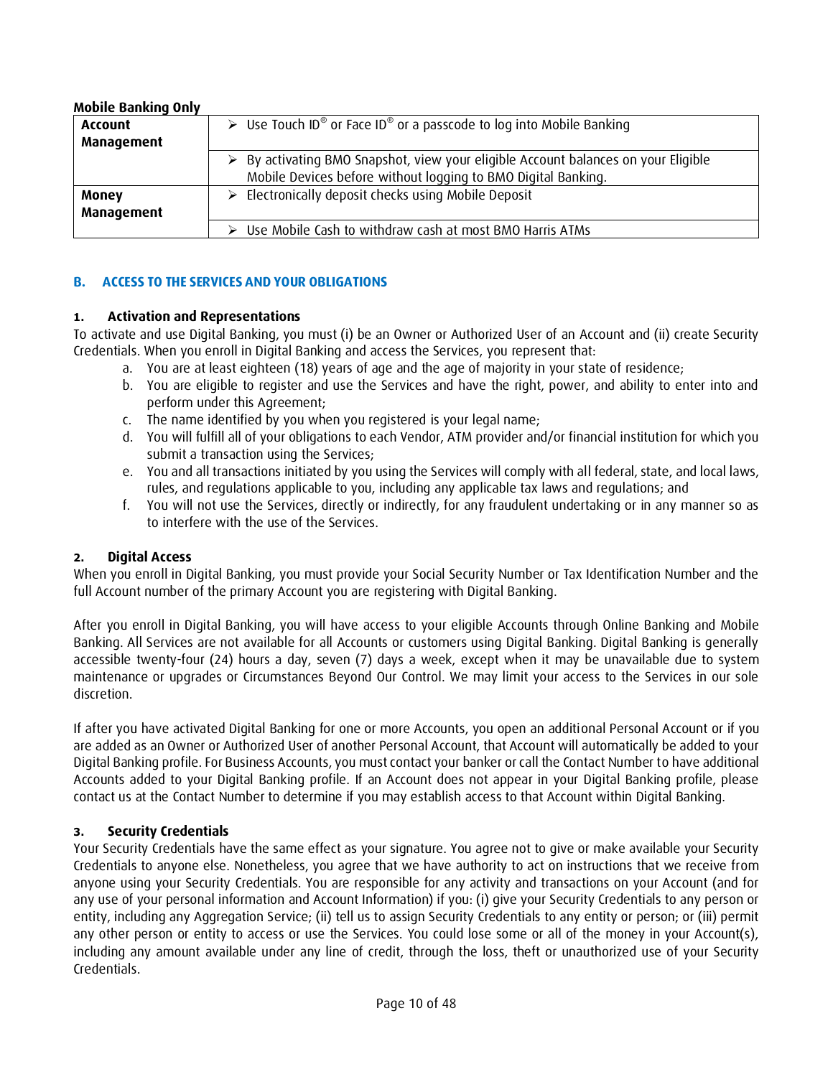| <b>MODILE DOMAINS VIII</b> |                                                                                                                                                                    |  |
|----------------------------|--------------------------------------------------------------------------------------------------------------------------------------------------------------------|--|
| <b>Account</b>             | $\triangleright$ Use Touch ID <sup>®</sup> or Face ID <sup>®</sup> or a passcode to log into Mobile Banking                                                        |  |
| Management                 |                                                                                                                                                                    |  |
|                            | $\triangleright$ By activating BMO Snapshot, view your eligible Account balances on your Eligible<br>Mobile Devices before without logging to BMO Digital Banking. |  |
| <b>Money</b><br>Management | $\triangleright$ Electronically deposit checks using Mobile Deposit                                                                                                |  |
|                            | $\triangleright$ Use Mobile Cash to withdraw cash at most BMO Harris ATMs                                                                                          |  |

#### **Mobile Banking Only**

# <span id="page-9-0"></span>**B. ACCESS TO THE SERVICES AND YOUR OBLIGATIONS**

#### **1. Activation and Representations**

To activate and use Digital Banking, you must (i) be an Owner or Authorized User of an Account and (ii) create Security Credentials. When you enroll in Digital Banking and access the Services, you represent that:

- a. You are at least eighteen (18) years of age and the age of majority in your state of residence;
- b. You are eligible to register and use the Services and have the right, power, and ability to enter into and perform under this Agreement;
- c. The name identified by you when you registered is your legal name;
- d. You will fulfill all of your obligations to each Vendor, ATM provider and/or financial institution for which you submit a transaction using the Services;
- e. You and all transactions initiated by you using the Services will comply with all federal, state, and local laws, rules, and regulations applicable to you, including any applicable tax laws and regulations; and
- f. You will not use the Services, directly or indirectly, for any fraudulent undertaking or in any manner so as to interfere with the use of the Services.

#### **2. Digital Access**

When you enroll in Digital Banking, you must provide your Social Security Number or Tax Identification Number and the full Account number of the primary Account you are registering with Digital Banking.

After you enroll in Digital Banking, you will have access to your eligible Accounts through Online Banking and Mobile Banking. All Services are not available for all Accounts or customers using Digital Banking. Digital Banking is generally accessible twenty-four (24) hours a day, seven (7) days a week, except when it may be unavailable due to system maintenance or upgrades or Circumstances Beyond Our Control. We may limit your access to the Services in our sole discretion.

If after you have activated Digital Banking for one or more Accounts, you open an additional Personal Account or if you are added as an Owner or Authorized User of another Personal Account, that Account will automatically be added to your Digital Banking profile. For Business Accounts, you must contact your banker or call the Contact Number to have additional Accounts added to your Digital Banking profile. If an Account does not appear in your Digital Banking profile, please contact us at the Contact Number to determine if you may establish access to that Account within Digital Banking.

# **3. Security Credentials**

Your Security Credentials have the same effect as your signature. You agree not to give or make available your Security Credentials to anyone else. Nonetheless, you agree that we have authority to act on instructions that we receive from anyone using your Security Credentials. You are responsible for any activity and transactions on your Account (and for any use of your personal information and Account Information) if you: (i) give your Security Credentials to any person or entity, including any Aggregation Service; (ii) tell us to assign Security Credentials to any entity or person; or (iii) permit any other person or entity to access or use the Services. You could lose some or all of the money in your Account(s), including any amount available under any line of credit, through the loss, theft or unauthorized use of your Security Credentials.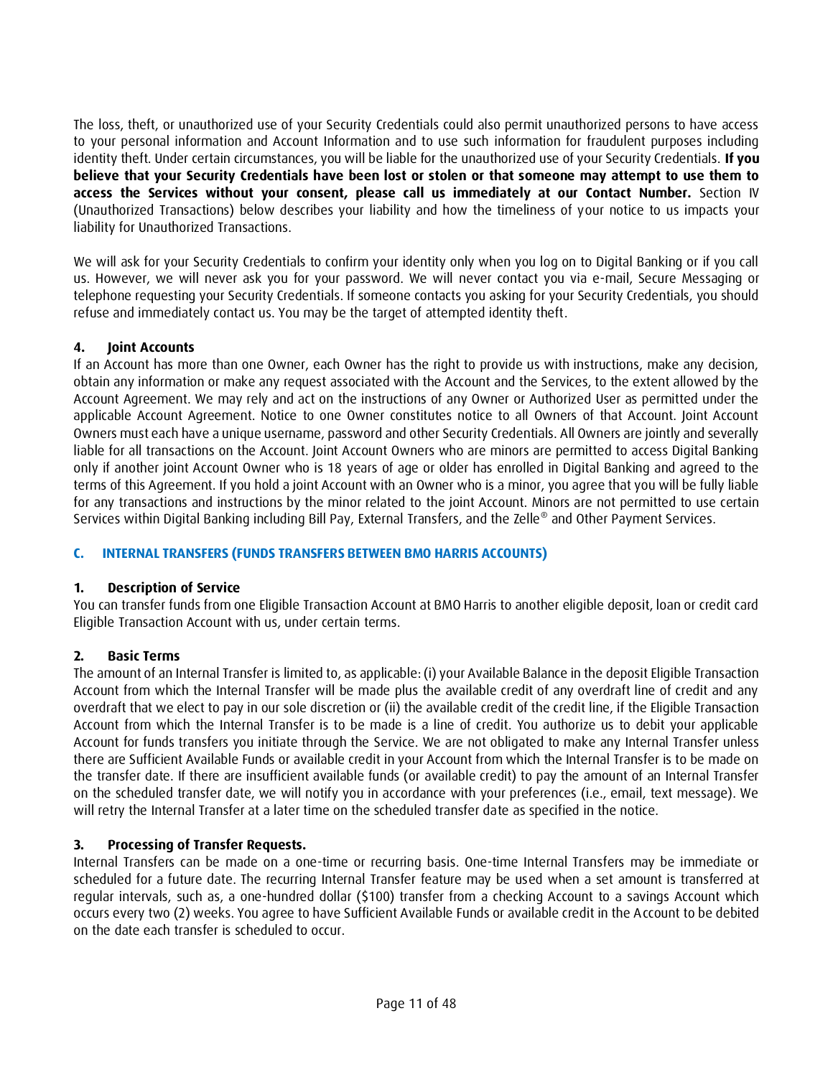The loss, theft, or unauthorized use of your Security Credentials could also permit unauthorized persons to have access to your personal information and Account Information and to use such information for fraudulent purposes including identity theft. Under certain circumstances, you will be liable for the unauthorized use of your Security Credentials. **If you believe that your Security Credentials have been lost or stolen or that someone may attempt to use them to access the Services without your consent, please call us immediately at our Contact Number.** Section IV (Unauthorized Transactions) below describes your liability and how the timeliness of your notice to us impacts your liability for Unauthorized Transactions.

We will ask for your Security Credentials to confirm your identity only when you log on to Digital Banking or if you call us. However, we will never ask you for your password. We will never contact you via e-mail, Secure Messaging or telephone requesting your Security Credentials. If someone contacts you asking for your Security Credentials, you should refuse and immediately contact us. You may be the target of attempted identity theft.

# **4. Joint Accounts**

If an Account has more than one Owner, each Owner has the right to provide us with instructions, make any decision, obtain any information or make any request associated with the Account and the Services, to the extent allowed by the Account Agreement. We may rely and act on the instructions of any Owner or Authorized User as permitted under the applicable Account Agreement. Notice to one Owner constitutes notice to all Owners of that Account. Joint Account Owners must each have a unique username, password and other Security Credentials. All Owners are jointly and severally liable for all transactions on the Account. Joint Account Owners who are minors are permitted to access Digital Banking only if another joint Account Owner who is 18 years of age or older has enrolled in Digital Banking and agreed to the terms of this Agreement. If you hold a joint Account with an Owner who is a minor, you agree that you will be fully liable for any transactions and instructions by the minor related to the joint Account. Minors are not permitted to use certain Services within Digital Banking including Bill Pay, External Transfers, and the Zelle® and Other Payment Services.

# <span id="page-10-0"></span>**C. INTERNAL TRANSFERS (FUNDS TRANSFERS BETWEEN BMO HARRIS ACCOUNTS)**

# **1. Description of Service**

You can transfer funds from one Eligible Transaction Account at BMO Harris to another eligible deposit, loan or credit card Eligible Transaction Account with us, under certain terms.

# **2. Basic Terms**

The amount of an Internal Transfer is limited to, as applicable: (i) your Available Balance in the deposit Eligible Transaction Account from which the Internal Transfer will be made plus the available credit of any overdraft line of credit and any overdraft that we elect to pay in our sole discretion or (ii) the available credit of the credit line, if the Eligible Transaction Account from which the Internal Transfer is to be made is a line of credit. You authorize us to debit your applicable Account for funds transfers you initiate through the Service. We are not obligated to make any Internal Transfer unless there are Sufficient Available Funds or available credit in your Account from which the Internal Transfer is to be made on the transfer date. If there are insufficient available funds (or available credit) to pay the amount of an Internal Transfer on the scheduled transfer date, we will notify you in accordance with your preferences (i.e., email, text message). We will retry the Internal Transfer at a later time on the scheduled transfer date as specified in the notice.

# **3. Processing of Transfer Requests.**

Internal Transfers can be made on a one-time or recurring basis. One-time Internal Transfers may be immediate or scheduled for a future date. The recurring Internal Transfer feature may be used when a set amount is transferred at regular intervals, such as, a one-hundred dollar (\$100) transfer from a checking Account to a savings Account which occurs every two (2) weeks. You agree to have Sufficient Available Funds or available credit in the Account to be debited on the date each transfer is scheduled to occur.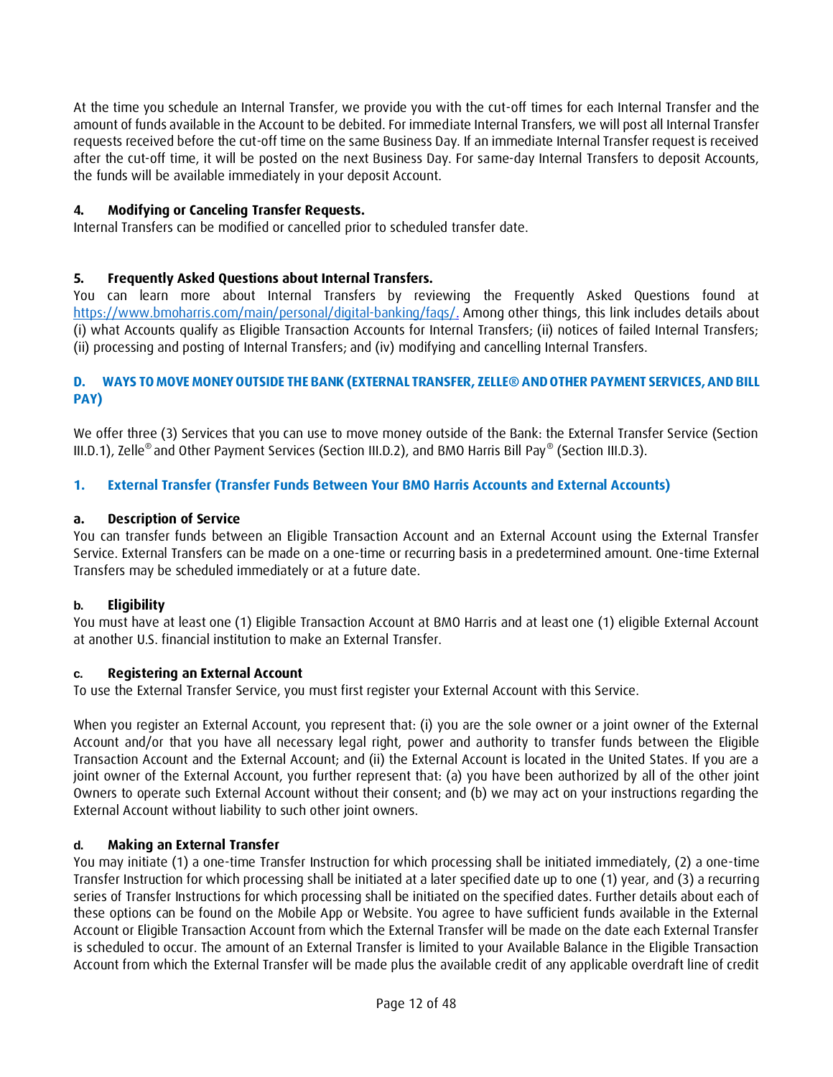At the time you schedule an Internal Transfer, we provide you with the cut-off times for each Internal Transfer and the amount of funds available in the Account to be debited. For immediate Internal Transfers, we will post all Internal Transfer requests received before the cut-off time on the same Business Day. If an immediate Internal Transfer request is received after the cut-off time, it will be posted on the next Business Day. For same-day Internal Transfers to deposit Accounts, the funds will be available immediately in your deposit Account.

# **4. Modifying or Canceling Transfer Requests.**

Internal Transfers can be modified or cancelled prior to scheduled transfer date.

### **5. Frequently Asked Questions about Internal Transfers.**

You can learn more about Internal Transfers by reviewing the Frequently Asked Questions found at [https://www.bmoharris.com/main/personal/digital-banking/faqs/.](https://www.bmoharris.com/main/personal/digital-banking/faqs/) Among other things, this link includes details about (i) what Accounts qualify as Eligible Transaction Accounts for Internal Transfers; (ii) notices of failed Internal Transfers; (ii) processing and posting of Internal Transfers; and (iv) modifying and cancelling Internal Transfers.

### <span id="page-11-0"></span>**D. WAYS TOMOVE MONEYOUTSIDE THE BANK (EXTERNAL TRANSFER, ZELLE® ANDOTHER PAYMENT SERVICES,AND BILL PAY)**

We offer three (3) Services that you can use to move money outside of the Bank: the External Transfer Service (Section III.D.1), Zelle® and Other Payment Services (Section III.D.2), and BMO Harris Bill Pay® (Section III.D.3).

#### **1. External Transfer (Transfer Funds Between Your BMO Harris Accounts and External Accounts)**

#### **a. Description of Service**

You can transfer funds between an Eligible Transaction Account and an External Account using the External Transfer Service. External Transfers can be made on a one-time or recurring basis in a predetermined amount. One-time External Transfers may be scheduled immediately or at a future date.

#### **b. Eligibility**

You must have at least one (1) Eligible Transaction Account at BMO Harris and at least one (1) eligible External Account at another U.S. financial institution to make an External Transfer.

#### **c. Registering an External Account**

To use the External Transfer Service, you must first register your External Account with this Service.

When you register an External Account, you represent that: (i) you are the sole owner or a joint owner of the External Account and/or that you have all necessary legal right, power and authority to transfer funds between the Eligible Transaction Account and the External Account; and (ii) the External Account is located in the United States. If you are a joint owner of the External Account, you further represent that: (a) you have been authorized by all of the other joint Owners to operate such External Account without their consent; and (b) we may act on your instructions regarding the External Account without liability to such other joint owners.

### **d. Making an External Transfer**

You may initiate (1) a one-time Transfer Instruction for which processing shall be initiated immediately, (2) a one-time Transfer Instruction for which processing shall be initiated at a later specified date up to one (1) year, and (3) a recurring series of Transfer Instructions for which processing shall be initiated on the specified dates. Further details about each of these options can be found on the Mobile App or Website. You agree to have sufficient funds available in the External Account or Eligible Transaction Account from which the External Transfer will be made on the date each External Transfer is scheduled to occur. The amount of an External Transfer is limited to your Available Balance in the Eligible Transaction Account from which the External Transfer will be made plus the available credit of any applicable overdraft line of credit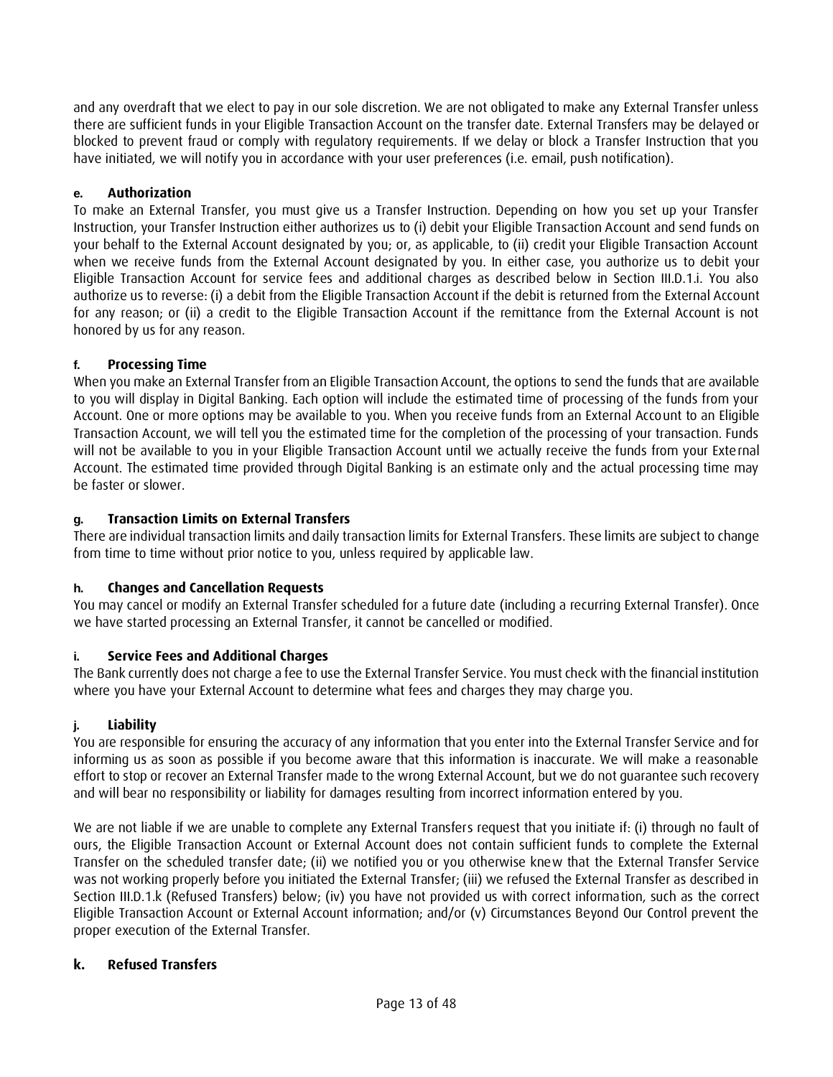and any overdraft that we elect to pay in our sole discretion. We are not obligated to make any External Transfer unless there are sufficient funds in your Eligible Transaction Account on the transfer date. External Transfers may be delayed or blocked to prevent fraud or comply with regulatory requirements. If we delay or block a Transfer Instruction that you have initiated, we will notify you in accordance with your user preferences (i.e. email, push notification).

### **e. Authorization**

To make an External Transfer, you must give us a Transfer Instruction. Depending on how you set up your Transfer Instruction, your Transfer Instruction either authorizes us to (i) debit your Eligible Transaction Account and send funds on your behalf to the External Account designated by you; or, as applicable, to (ii) credit your Eligible Transaction Account when we receive funds from the External Account designated by you. In either case, you authorize us to debit your Eligible Transaction Account for service fees and additional charges as described below in Section III.D.1.i. You also authorize us to reverse: (i) a debit from the Eligible Transaction Account if the debit is returned from the External Account for any reason; or (ii) a credit to the Eligible Transaction Account if the remittance from the External Account is not honored by us for any reason.

### **f. Processing Time**

When you make an External Transfer from an Eligible Transaction Account, the options to send the funds that are available to you will display in Digital Banking. Each option will include the estimated time of processing of the funds from your Account. One or more options may be available to you. When you receive funds from an External Account to an Eligible Transaction Account, we will tell you the estimated time for the completion of the processing of your transaction. Funds will not be available to you in your Eligible Transaction Account until we actually receive the funds from your External Account. The estimated time provided through Digital Banking is an estimate only and the actual processing time may be faster or slower.

### **g. Transaction Limits on External Transfers**

There are individual transaction limits and daily transaction limits for External Transfers. These limits are subject to change from time to time without prior notice to you, unless required by applicable law.

#### **h. Changes and Cancellation Requests**

You may cancel or modify an External Transfer scheduled for a future date (including a recurring External Transfer). Once we have started processing an External Transfer, it cannot be cancelled or modified.

#### **i. Service Fees and Additional Charges**

The Bank currently does not charge a fee to use the External Transfer Service. You must check with the financial institution where you have your External Account to determine what fees and charges they may charge you.

#### **j. Liability**

You are responsible for ensuring the accuracy of any information that you enter into the External Transfer Service and for informing us as soon as possible if you become aware that this information is inaccurate. We will make a reasonable effort to stop or recover an External Transfer made to the wrong External Account, but we do not guarantee such recovery and will bear no responsibility or liability for damages resulting from incorrect information entered by you.

We are not liable if we are unable to complete any External Transfers request that you initiate if: (i) through no fault of ours, the Eligible Transaction Account or External Account does not contain sufficient funds to complete the External Transfer on the scheduled transfer date; (ii) we notified you or you otherwise knew that the External Transfer Service was not working properly before you initiated the External Transfer; (iii) we refused the External Transfer as described in Section III.D.1.k (Refused Transfers) below; (iv) you have not provided us with correct information, such as the correct Eligible Transaction Account or External Account information; and/or (v) Circumstances Beyond Our Control prevent the proper execution of the External Transfer.

### **k. Refused Transfers**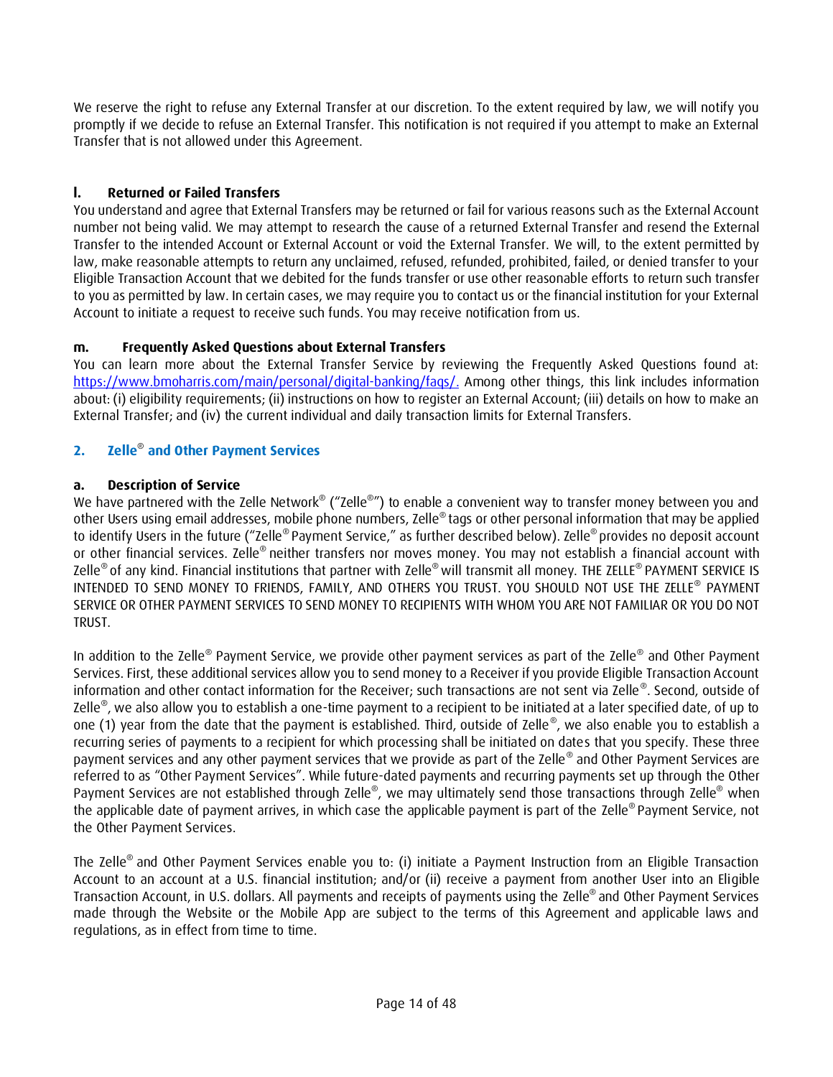We reserve the right to refuse any External Transfer at our discretion. To the extent required by law, we will notify you promptly if we decide to refuse an External Transfer. This notification is not required if you attempt to make an External Transfer that is not allowed under this Agreement.

# **l. Returned or Failed Transfers**

You understand and agree that External Transfers may be returned or fail for various reasons such as the External Account number not being valid. We may attempt to research the cause of a returned External Transfer and resend the External Transfer to the intended Account or External Account or void the External Transfer. We will, to the extent permitted by law, make reasonable attempts to return any unclaimed, refused, refunded, prohibited, failed, or denied transfer to your Eligible Transaction Account that we debited for the funds transfer or use other reasonable efforts to return such transfer to you as permitted by law. In certain cases, we may require you to contact us or the financial institution for your External Account to initiate a request to receive such funds. You may receive notification from us.

# **m. Frequently Asked Questions about External Transfers**

You can learn more about the External Transfer Service by reviewing the Frequently Asked Questions found at: [https://www.bmoharris.com/main/personal/digital-banking/faqs/.](https://www.bmoharris.com/main/personal/digital-banking/faqs/) Among other things, this link includes information about: (i) eligibility requirements; (ii) instructions on how to register an External Account; (iii) details on how to make an External Transfer; and (iv) the current individual and daily transaction limits for External Transfers.

# **2. Zelle**® **and Other Payment Services**

# **a. Description of Service**

We have partnered with the Zelle Network® ("Zelle®") to enable a convenient way to transfer money between you and other Users using email addresses, mobile phone numbers, Zelle® tags or other personal information that may be applied to identify Users in the future ("Zelle® Payment Service," as further described below). Zelle® provides no deposit account or other financial services. Zelle® neither transfers nor moves money. You may not establish a financial account with Zelle® of any kind. Financial institutions that partner with Zelle® will transmit all money. THE ZELLE® PAYMENT SERVICE IS INTENDED TO SEND MONEY TO FRIENDS, FAMILY, AND OTHERS YOU TRUST. YOU SHOULD NOT USE THE ZELLE® PAYMENT SERVICE OR OTHER PAYMENT SERVICES TO SEND MONEY TO RECIPIENTS WITH WHOM YOU ARE NOT FAMILIAR OR YOU DO NOT TRUST.

In addition to the Zelle® Payment Service, we provide other payment services as part of the Zelle® and Other Payment Services. First, these additional services allow you to send money to a Receiver if you provide Eligible Transaction Account information and other contact information for the Receiver; such transactions are not sent via Zelle® . Second, outside of Zelle® , we also allow you to establish a one-time payment to a recipient to be initiated at a later specified date, of up to one (1) year from the date that the payment is established. Third, outside of Zelle®, we also enable you to establish a recurring series of payments to a recipient for which processing shall be initiated on dates that you specify. These three payment services and any other payment services that we provide as part of the Zelle® and Other Payment Services are referred to as "Other Payment Services". While future-dated payments and recurring payments set up through the Other Payment Services are not established through Zelle®, we may ultimately send those transactions through Zelle® when the applicable date of payment arrives, in which case the applicable payment is part of the Zelle® Payment Service, not the Other Payment Services.

The Zelle® and Other Payment Services enable you to: (i) initiate a Payment Instruction from an Eligible Transaction Account to an account at a U.S. financial institution; and/or (ii) receive a payment from another User into an Eligible Transaction Account, in U.S. dollars. All payments and receipts of payments using the Zelle® and Other Payment Services made through the Website or the Mobile App are subject to the terms of this Agreement and applicable laws and regulations, as in effect from time to time.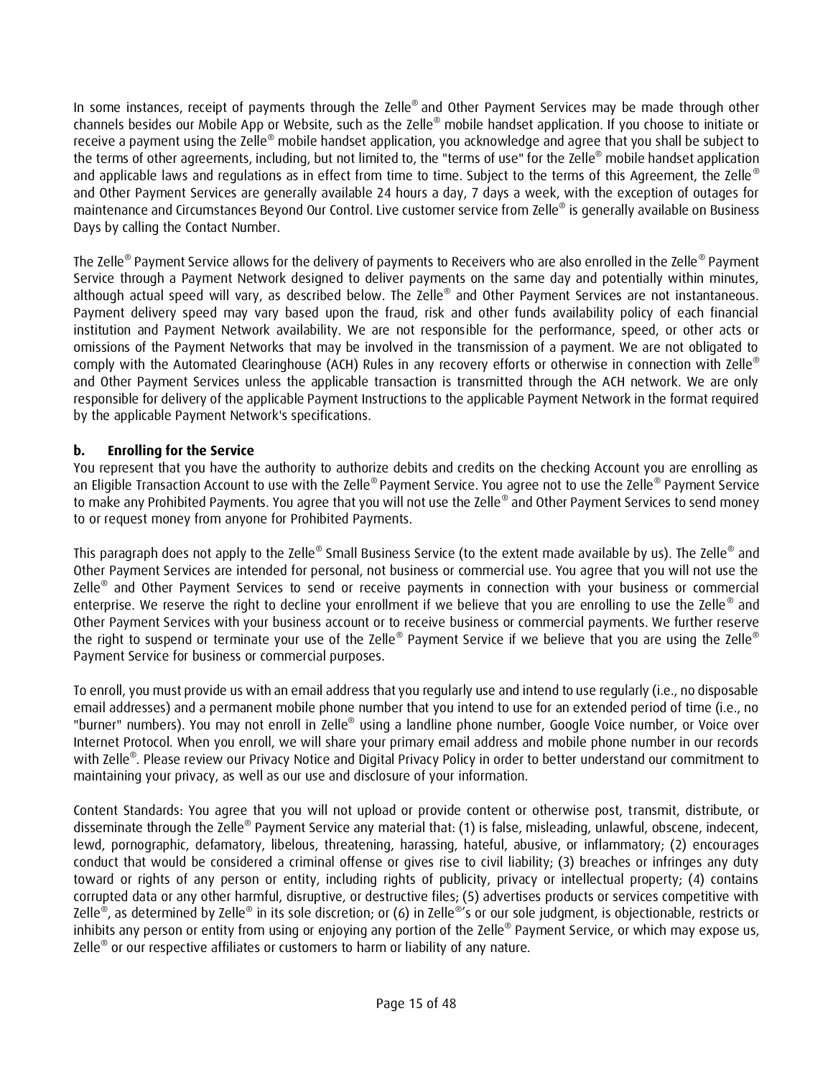In some instances, receipt of payments through the Zelle® and Other Payment Services may be made through other channels besides our Mobile App or Website, such as the Zelle® mobile handset application. If you choose to initiate or receive a payment using the Zelle® mobile handset application, you acknowledge and agree that you shall be subject to the terms of other agreements, including, but not limited to, the "terms of use" for the Zelle® mobile handset application and applicable laws and regulations as in effect from time to time. Subject to the terms of this Agreement, the Zelle® and Other Payment Services are generally available 24 hours a day, 7 days a week, with the exception of outages for maintenance and Circumstances Beyond Our Control. Live customer service from Zelle® is generally available on Business Days by calling the Contact Number.

The Zelle® Payment Service allows for the delivery of payments to Receivers who are also enrolled in the Zelle® Payment Service through a Payment Network designed to deliver payments on the same day and potentially within minutes, although actual speed will vary, as described below. The Zelle® and Other Payment Services are not instantaneous. Payment delivery speed may vary based upon the fraud, risk and other funds availability policy of each financial institution and Payment Network availability. We are not responsible for the performance, speed, or other acts or omissions of the Payment Networks that may be involved in the transmission of a payment. We are not obligated to comply with the Automated Clearinghouse (ACH) Rules in any recovery efforts or otherwise in connection with Zelle® and Other Payment Services unless the applicable transaction is transmitted through the ACH network. We are only responsible for delivery of the applicable Payment Instructions to the applicable Payment Network in the format required by the applicable Payment Network's specifications.

# **b. Enrolling for the Service**

You represent that you have the authority to authorize debits and credits on the checking Account you are enrolling as an Eligible Transaction Account to use with the Zelle®Payment Service. You agree not to use the Zelle® Payment Service to make any Prohibited Payments. You agree that you will not use the Zelle® and Other Payment Services to send money to or request money from anyone for Prohibited Payments.

This paragraph does not apply to the Zelle® Small Business Service (to the extent made available by us). The Zelle® and Other Payment Services are intended for personal, not business or commercial use. You agree that you will not use the Zelle® and Other Payment Services to send or receive payments in connection with your business or commercial enterprise. We reserve the right to decline your enrollment if we believe that you are enrolling to use the Zelle® and Other Payment Services with your business account or to receive business or commercial payments. We further reserve the right to suspend or terminate your use of the Zelle® Payment Service if we believe that you are using the Zelle® Payment Service for business or commercial purposes.

To enroll, you must provide us with an email address that you regularly use and intend to use regularly (i.e., no disposable email addresses) and a permanent mobile phone number that you intend to use for an extended period of time (i.e., no "burner" numbers). You may not enroll in Zelle® using a landline phone number, Google Voice number, or Voice over Internet Protocol. When you enroll, we will share your primary email address and mobile phone number in our records with Zelle® *.* Please review our Privacy Notice and Digital Privacy Policy in order to better understand our commitment to maintaining your privacy, as well as our use and disclosure of your information.

Content Standards: You agree that you will not upload or provide content or otherwise post, transmit, distribute, or disseminate through the Zelle® Payment Service any material that: (1) is false, misleading, unlawful, obscene, indecent, lewd, pornographic, defamatory, libelous, threatening, harassing, hateful, abusive, or inflammatory; (2) encourages conduct that would be considered a criminal offense or gives rise to civil liability; (3) breaches or infringes any duty toward or rights of any person or entity, including rights of publicity, privacy or intellectual property; (4) contains corrupted data or any other harmful, disruptive, or destructive files; (5) advertises products or services competitive with Zelle®, as determined by Zelle® in its sole discretion; or (6) in Zelle®'s or our sole judgment, is objectionable, restricts or inhibits any person or entity from using or enjoying any portion of the Zelle® Payment Service, or which may expose us, Zelle® or our respective affiliates or customers to harm or liability of any nature.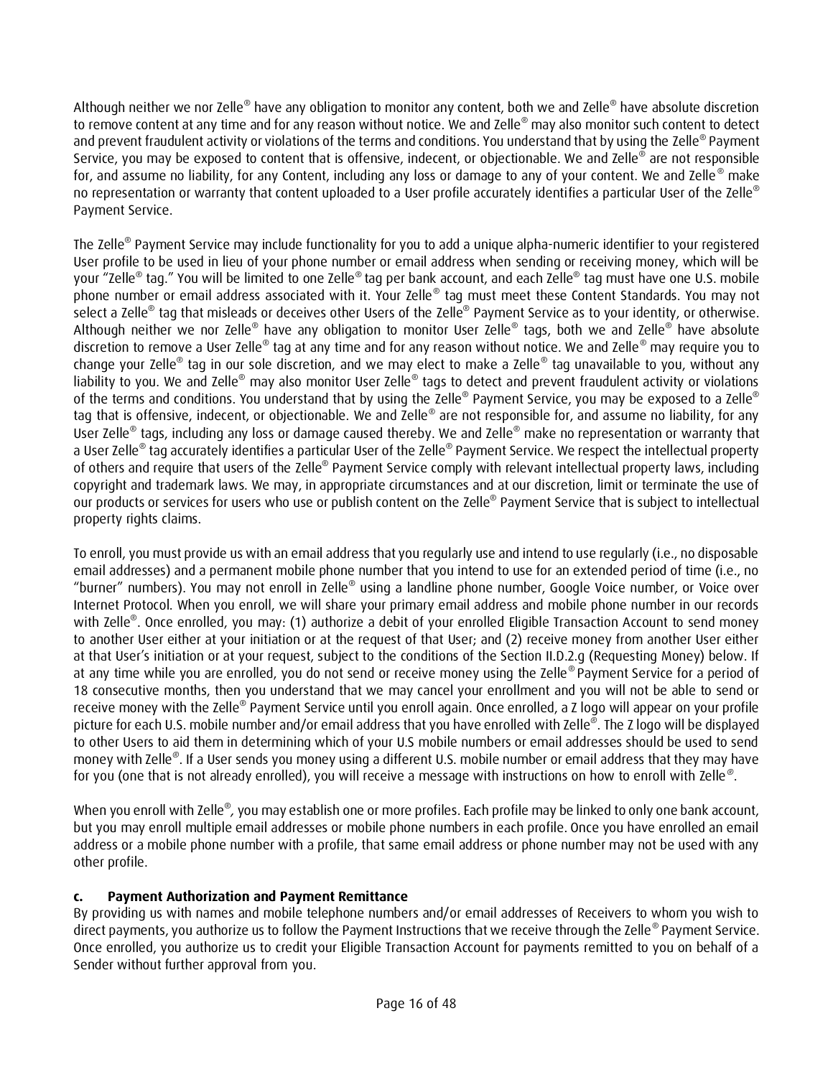Although neither we nor Zelle® have any obligation to monitor any content, both we and Zelle® have absolute discretion to remove content at any time and for any reason without notice. We and Zelle® may also monitor such content to detect and prevent fraudulent activity or violations of the terms and conditions. You understand that by using the Zelle® Payment Service, you may be exposed to content that is offensive, indecent, or objectionable. We and Zelle® are not responsible for, and assume no liability, for any Content, including any loss or damage to any of your content. We and Zelle<sup>®</sup> make no representation or warranty that content uploaded to a User profile accurately identifies a particular User of the Zelle® Payment Service.

The Zelle® Payment Service may include functionality for you to add a unique alpha-numeric identifier to your registered User profile to be used in lieu of your phone number or email address when sending or receiving money, which will be your "Zelle® tag." You will be limited to one Zelle® tag per bank account, and each Zelle® tag must have one U.S. mobile phone number or email address associated with it. Your Zelle® tag must meet these Content Standards. You may not select a Zelle® tag that misleads or deceives other Users of the Zelle® Payment Service as to your identity, or otherwise. Although neither we nor Zelle® have any obligation to monitor User Zelle® tags, both we and Zelle® have absolute discretion to remove a User Zelle® tag at any time and for any reason without notice. We and Zelle® may require you to change your Zelle® tag in our sole discretion, and we may elect to make a Zelle® tag unavailable to you, without any liability to you. We and Zelle® may also monitor User Zelle® tags to detect and prevent fraudulent activity or violations of the terms and conditions. You understand that by using the Zelle® Payment Service, you may be exposed to a Zelle® tag that is offensive, indecent, or objectionable. We and Zelle® are not responsible for, and assume no liability, for any User Zelle® tags, including any loss or damage caused thereby. We and Zelle® make no representation or warranty that a User Zelle® tag accurately identifies a particular User of the Zelle® Payment Service. We respect the intellectual property of others and require that users of the Zelle® Payment Service comply with relevant intellectual property laws, including copyright and trademark laws. We may, in appropriate circumstances and at our discretion, limit or terminate the use of our products or services for users who use or publish content on the Zelle® Payment Service that is subject to intellectual property rights claims.

To enroll, you must provide us with an email address that you regularly use and intend to use regularly (i.e., no disposable email addresses) and a permanent mobile phone number that you intend to use for an extended period of time (i.e., no "burner" numbers). You may not enroll in Zelle® using a landline phone number, Google Voice number, or Voice over Internet Protocol. When you enroll, we will share your primary email address and mobile phone number in our records with Zelle® . Once enrolled, you may: (1) authorize a debit of your enrolled Eligible Transaction Account to send money to another User either at your initiation or at the request of that User; and (2) receive money from another User either at that User's initiation or at your request, subject to the conditions of the Section II.D.2.g (Requesting Money) below. If at any time while you are enrolled, you do not send or receive money using the Zelle® Payment Service for a period of 18 consecutive months, then you understand that we may cancel your enrollment and you will not be able to send or receive money with the Zelle® Payment Service until you enroll again. Once enrolled, a Z logo will appear on your profile picture for each U.S. mobile number and/or email address that you have enrolled with Zelle*®* . The Z logo will be displayed to other Users to aid them in determining which of your U.S mobile numbers or email addresses should be used to send money with Zelle*®* . If a User sends you money using a different U.S. mobile number or email address that they may have for you (one that is not already enrolled), you will receive a message with instructions on how to enroll with Zelle *®* .

When you enroll with Zelle®, you may establish one or more profiles. Each profile may be linked to only one bank account, but you may enroll multiple email addresses or mobile phone numbers in each profile. Once you have enrolled an email address or a mobile phone number with a profile, that same email address or phone number may not be used with any other profile.

# **c. Payment Authorization and Payment Remittance**

By providing us with names and mobile telephone numbers and/or email addresses of Receivers to whom you wish to direct payments, you authorize us to follow the Payment Instructions that we receive through the Zelle® Payment Service. Once enrolled, you authorize us to credit your Eligible Transaction Account for payments remitted to you on behalf of a Sender without further approval from you.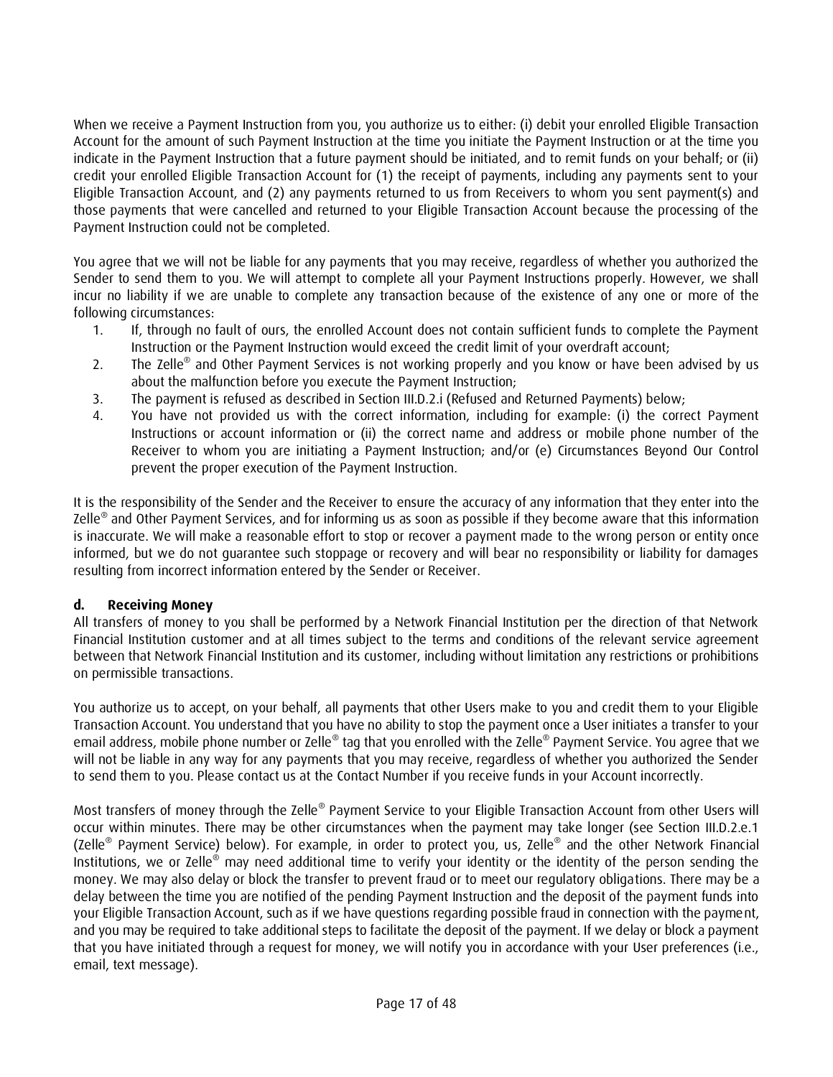When we receive a Payment Instruction from you, you authorize us to either: (i) debit your enrolled Eligible Transaction Account for the amount of such Payment Instruction at the time you initiate the Payment Instruction or at the time you indicate in the Payment Instruction that a future payment should be initiated, and to remit funds on your behalf; or (ii) credit your enrolled Eligible Transaction Account for (1) the receipt of payments, including any payments sent to your Eligible Transaction Account, and (2) any payments returned to us from Receivers to whom you sent payment(s) and those payments that were cancelled and returned to your Eligible Transaction Account because the processing of the Payment Instruction could not be completed.

You agree that we will not be liable for any payments that you may receive, regardless of whether you authorized the Sender to send them to you. We will attempt to complete all your Payment Instructions properly. However, we shall incur no liability if we are unable to complete any transaction because of the existence of any one or more of the following circumstances:

- 1. If, through no fault of ours, the enrolled Account does not contain sufficient funds to complete the Payment Instruction or the Payment Instruction would exceed the credit limit of your overdraft account;
- 2. The Zelle® and Other Payment Services is not working properly and you know or have been advised by us about the malfunction before you execute the Payment Instruction;
- 3. The payment is refused as described in Section III.D.2.i (Refused and Returned Payments) below;
- 4. You have not provided us with the correct information, including for example: (i) the correct Payment Instructions or account information or (ii) the correct name and address or mobile phone number of the Receiver to whom you are initiating a Payment Instruction; and/or (e) Circumstances Beyond Our Control prevent the proper execution of the Payment Instruction.

It is the responsibility of the Sender and the Receiver to ensure the accuracy of any information that they enter into the Zelle® and Other Payment Services, and for informing us as soon as possible if they become aware that this information is inaccurate. We will make a reasonable effort to stop or recover a payment made to the wrong person or entity once informed, but we do not guarantee such stoppage or recovery and will bear no responsibility or liability for damages resulting from incorrect information entered by the Sender or Receiver.

# **d. Receiving Money**

All transfers of money to you shall be performed by a Network Financial Institution per the direction of that Network Financial Institution customer and at all times subject to the terms and conditions of the relevant service agreement between that Network Financial Institution and its customer, including without limitation any restrictions or prohibitions on permissible transactions.

You authorize us to accept, on your behalf, all payments that other Users make to you and credit them to your Eligible Transaction Account. You understand that you have no ability to stop the payment once a User initiates a transfer to your email address, mobile phone number or Zelle® tag that you enrolled with the Zelle® Payment Service. You agree that we will not be liable in any way for any payments that you may receive, regardless of whether you authorized the Sender to send them to you. Please contact us at the Contact Number if you receive funds in your Account incorrectly.

Most transfers of money through the Zelle® Payment Service to your Eligible Transaction Account from other Users will occur within minutes. There may be other circumstances when the payment may take longer (see Section III.D.2.e.1 (Zelle® Payment Service) below). For example, in order to protect you, us, Zelle® and the other Network Financial Institutions, we or Zelle® may need additional time to verify your identity or the identity of the person sending the money. We may also delay or block the transfer to prevent fraud or to meet our regulatory obligations. There may be a delay between the time you are notified of the pending Payment Instruction and the deposit of the payment funds into your Eligible Transaction Account, such as if we have questions regarding possible fraud in connection with the payment, and you may be required to take additional steps to facilitate the deposit of the payment. If we delay or block a payment that you have initiated through a request for money, we will notify you in accordance with your User preferences (i.e., email, text message).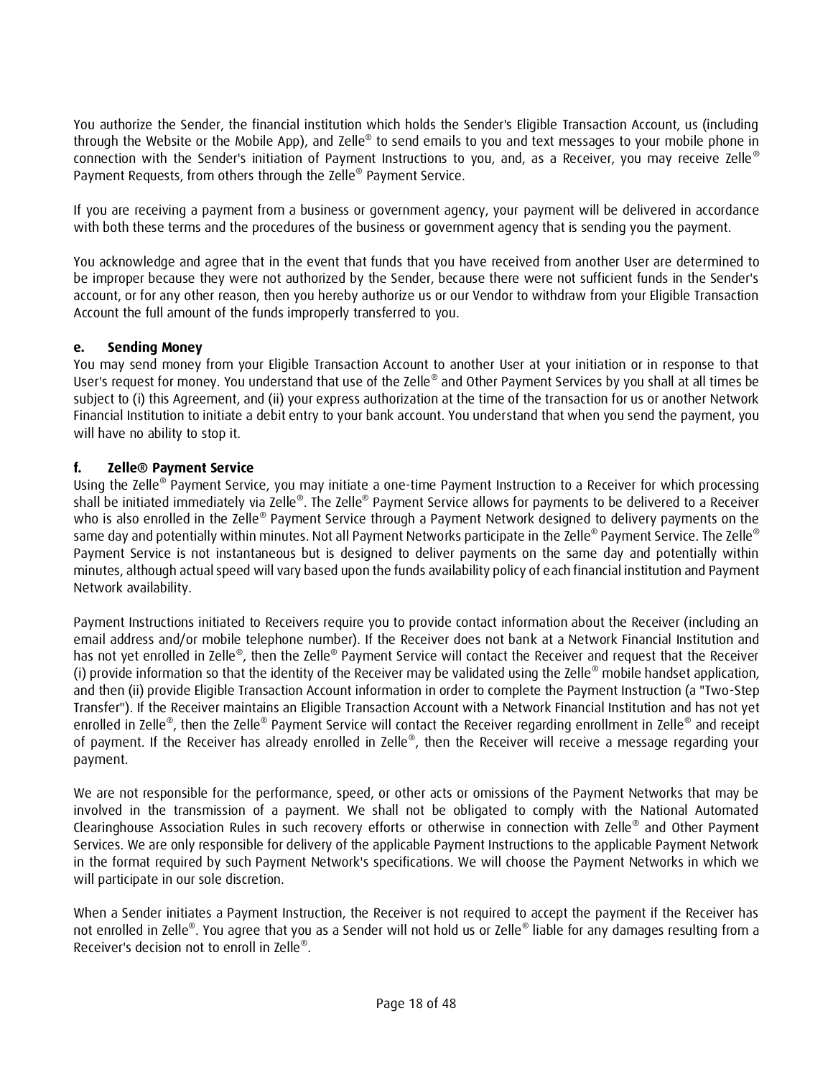You authorize the Sender, the financial institution which holds the Sender's Eligible Transaction Account, us (including through the Website or the Mobile App), and Zelle® to send emails to you and text messages to your mobile phone in connection with the Sender's initiation of Payment Instructions to you, and, as a Receiver, you may receive Zelle ® Payment Requests, from others through the Zelle® Payment Service.

If you are receiving a payment from a business or government agency, your payment will be delivered in accordance with both these terms and the procedures of the business or government agency that is sending you the payment.

You acknowledge and agree that in the event that funds that you have received from another User are determined to be improper because they were not authorized by the Sender, because there were not sufficient funds in the Sender's account, or for any other reason, then you hereby authorize us or our Vendor to withdraw from your Eligible Transaction Account the full amount of the funds improperly transferred to you.

# **e. Sending Money**

You may send money from your Eligible Transaction Account to another User at your initiation or in response to that User's request for money. You understand that use of the Zelle® and Other Payment Services by you shall at all times be subject to (i) this Agreement, and (ii) your express authorization at the time of the transaction for us or another Network Financial Institution to initiate a debit entry to your bank account. You understand that when you send the payment, you will have no ability to stop it.

### **f. Zelle® Payment Service**

Using the Zelle® Payment Service, you may initiate a one-time Payment Instruction to a Receiver for which processing shall be initiated immediately via Zelle®. The Zelle® Payment Service allows for payments to be delivered to a Receiver who is also enrolled in the Zelle® Payment Service through a Payment Network designed to delivery payments on the same day and potentially within minutes. Not all Payment Networks participate in the Zelle® Payment Service. The Zelle® Payment Service is not instantaneous but is designed to deliver payments on the same day and potentially within minutes, although actual speed will vary based upon the funds availability policy of each financial institution and Payment Network availability.

Payment Instructions initiated to Receivers require you to provide contact information about the Receiver (including an email address and/or mobile telephone number). If the Receiver does not bank at a Network Financial Institution and has not yet enrolled in Zelle®, then the Zelle® Payment Service will contact the Receiver and request that the Receiver (i) provide information so that the identity of the Receiver may be validated using the Zelle® mobile handset application, and then (ii) provide Eligible Transaction Account information in order to complete the Payment Instruction (a "Two-Step Transfer"). If the Receiver maintains an Eligible Transaction Account with a Network Financial Institution and has not yet enrolled in Zelle®, then the Zelle® Payment Service will contact the Receiver regarding enrollment in Zelle® and receipt of payment. If the Receiver has already enrolled in Zelle®, then the Receiver will receive a message regarding your payment.

We are not responsible for the performance, speed, or other acts or omissions of the Payment Networks that may be involved in the transmission of a payment. We shall not be obligated to comply with the National Automated Clearinghouse Association Rules in such recovery efforts or otherwise in connection with Zelle® and Other Payment Services. We are only responsible for delivery of the applicable Payment Instructions to the applicable Payment Network in the format required by such Payment Network's specifications. We will choose the Payment Networks in which we will participate in our sole discretion.

When a Sender initiates a Payment Instruction, the Receiver is not required to accept the payment if the Receiver has not enrolled in Zelle®. You agree that you as a Sender will not hold us or Zelle® liable for any damages resulting from a Receiver's decision not to enroll in Zelle® .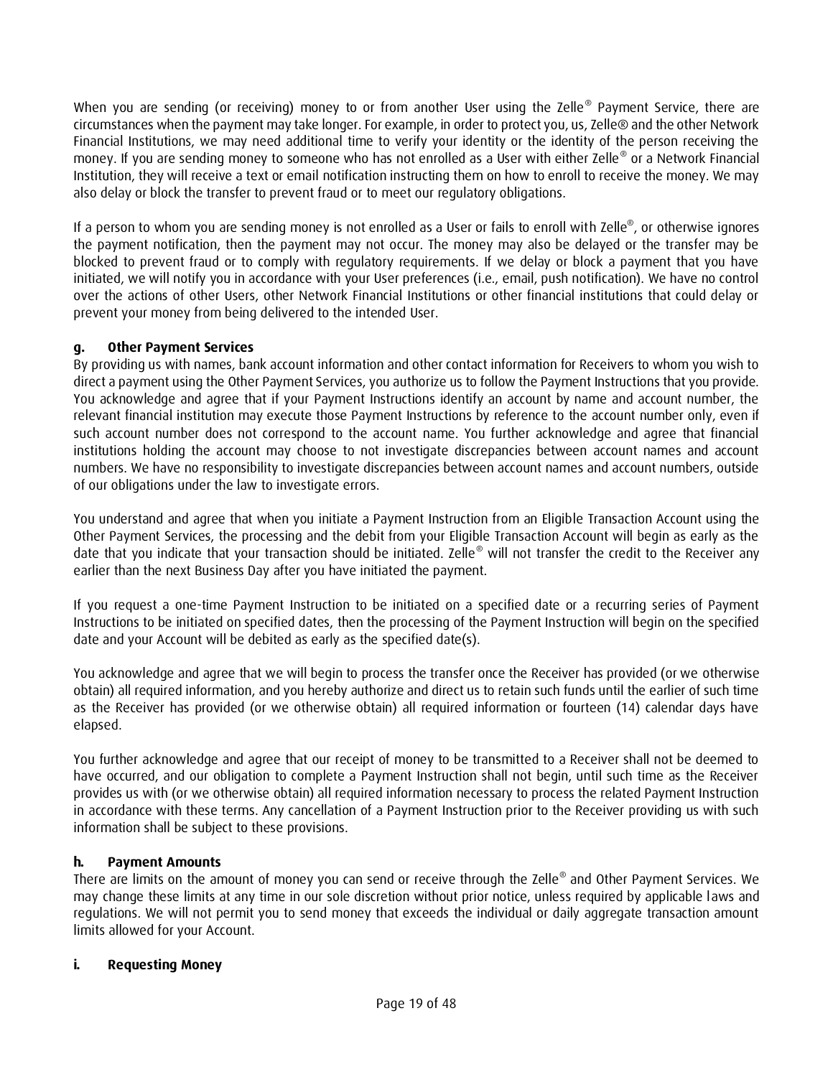When you are sending (or receiving) money to or from another User using the Zelle® Payment Service, there are circumstances when the payment may take longer. For example, in order to protect you, us, Zelle® and the other Network Financial Institutions, we may need additional time to verify your identity or the identity of the person receiving the money. If you are sending money to someone who has not enrolled as a User with either Zelle® or a Network Financial Institution, they will receive a text or email notification instructing them on how to enroll to receive the money. We may also delay or block the transfer to prevent fraud or to meet our regulatory obligations.

If a person to whom you are sending money is not enrolled as a User or fails to enroll with Zelle®, or otherwise ignores the payment notification, then the payment may not occur. The money may also be delayed or the transfer may be blocked to prevent fraud or to comply with regulatory requirements. If we delay or block a payment that you have initiated, we will notify you in accordance with your User preferences (i.e., email, push notification). We have no control over the actions of other Users, other Network Financial Institutions or other financial institutions that could delay or prevent your money from being delivered to the intended User.

# **g. Other Payment Services**

By providing us with names, bank account information and other contact information for Receivers to whom you wish to direct a payment using the Other Payment Services, you authorize us to follow the Payment Instructions that you provide. You acknowledge and agree that if your Payment Instructions identify an account by name and account number, the relevant financial institution may execute those Payment Instructions by reference to the account number only, even if such account number does not correspond to the account name. You further acknowledge and agree that financial institutions holding the account may choose to not investigate discrepancies between account names and account numbers. We have no responsibility to investigate discrepancies between account names and account numbers, outside of our obligations under the law to investigate errors.

You understand and agree that when you initiate a Payment Instruction from an Eligible Transaction Account using the Other Payment Services, the processing and the debit from your Eligible Transaction Account will begin as early as the date that you indicate that your transaction should be initiated. Zelle<sup>®</sup> will not transfer the credit to the Receiver any earlier than the next Business Day after you have initiated the payment.

If you request a one-time Payment Instruction to be initiated on a specified date or a recurring series of Payment Instructions to be initiated on specified dates, then the processing of the Payment Instruction will begin on the specified date and your Account will be debited as early as the specified date(s).

You acknowledge and agree that we will begin to process the transfer once the Receiver has provided (or we otherwise obtain) all required information, and you hereby authorize and direct us to retain such funds until the earlier of such time as the Receiver has provided (or we otherwise obtain) all required information or fourteen (14) calendar days have elapsed.

You further acknowledge and agree that our receipt of money to be transmitted to a Receiver shall not be deemed to have occurred, and our obligation to complete a Payment Instruction shall not begin, until such time as the Receiver provides us with (or we otherwise obtain) all required information necessary to process the related Payment Instruction in accordance with these terms. Any cancellation of a Payment Instruction prior to the Receiver providing us with such information shall be subject to these provisions.

# **h. Payment Amounts**

There are limits on the amount of money you can send or receive through the Zelle® and Other Payment Services. We may change these limits at any time in our sole discretion without prior notice, unless required by applicable laws and regulations. We will not permit you to send money that exceeds the individual or daily aggregate transaction amount limits allowed for your Account.

# **i. Requesting Money**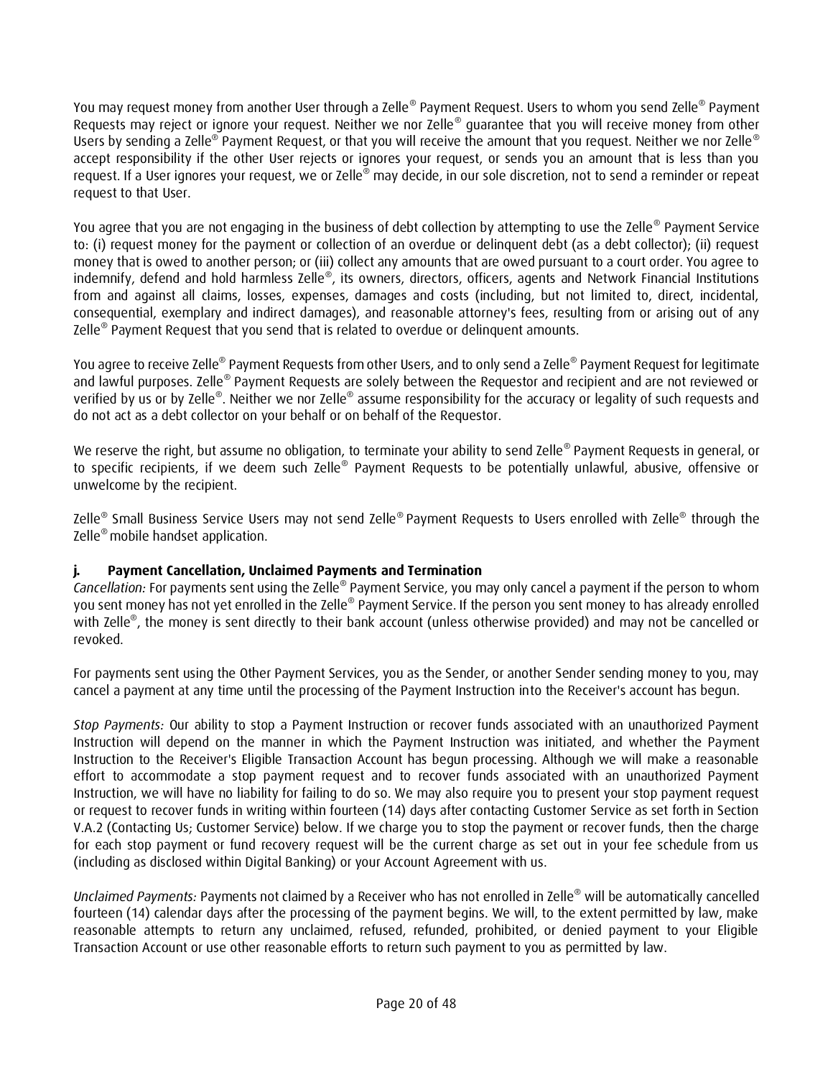You may request money from another User through a Zelle® Payment Request. Users to whom you send Zelle® Payment Requests may reject or ignore your request. Neither we nor Zelle® guarantee that you will receive money from other Users by sending a Zelle® Payment Request, or that you will receive the amount that you request. Neither we nor Zelle® accept responsibility if the other User rejects or ignores your request, or sends you an amount that is less than you request. If a User ignores your request, we or Zelle® may decide, in our sole discretion, not to send a reminder or repeat request to that User.

You agree that you are not engaging in the business of debt collection by attempting to use the Zelle® Payment Service to: (i) request money for the payment or collection of an overdue or delinquent debt (as a debt collector); (ii) request money that is owed to another person; or (iii) collect any amounts that are owed pursuant to a court order. You agree to indemnify, defend and hold harmless Zelle®, its owners, directors, officers, agents and Network Financial Institutions from and against all claims, losses, expenses, damages and costs (including, but not limited to, direct, incidental, consequential, exemplary and indirect damages), and reasonable attorney's fees, resulting from or arising out of any Zelle® Payment Request that you send that is related to overdue or delinquent amounts.

You agree to receive Zelle® Payment Requests from other Users, and to only send a Zelle® Payment Request for legitimate and lawful purposes. Zelle® Payment Requests are solely between the Requestor and recipient and are not reviewed or verified by us or by Zelle®. Neither we nor Zelle® assume responsibility for the accuracy or legality of such requests and do not act as a debt collector on your behalf or on behalf of the Requestor.

We reserve the right, but assume no obligation, to terminate your ability to send Zelle® Payment Requests in general, or to specific recipients, if we deem such Zelle® Payment Requests to be potentially unlawful, abusive, offensive or unwelcome by the recipient.

Zelle® Small Business Service Users may not send Zelle®Payment Requests to Users enrolled with Zelle® through the Zelle® mobile handset application.

# **j. Payment Cancellation, Unclaimed Payments and Termination**

Cancellation: For payments sent using the Zelle® Payment Service, you may only cancel a payment if the person to whom you sent money has not yet enrolled in the Zelle® Payment Service. If the person you sent money to has already enrolled with Zelle® , the money is sent directly to their bank account (unless otherwise provided) and may not be cancelled or revoked.

For payments sent using the Other Payment Services, you as the Sender, or another Sender sending money to you, may cancel a payment at any time until the processing of the Payment Instruction into the Receiver's account has begun.

*Stop Payments:* Our ability to stop a Payment Instruction or recover funds associated with an unauthorized Payment Instruction will depend on the manner in which the Payment Instruction was initiated, and whether the Payment Instruction to the Receiver's Eligible Transaction Account has begun processing. Although we will make a reasonable effort to accommodate a stop payment request and to recover funds associated with an unauthorized Payment Instruction, we will have no liability for failing to do so. We may also require you to present your stop payment request or request to recover funds in writing within fourteen (14) days after contacting Customer Service as set forth in Section V.A.2 (Contacting Us; Customer Service) below. If we charge you to stop the payment or recover funds, then the charge for each stop payment or fund recovery request will be the current charge as set out in your fee schedule from us (including as disclosed within Digital Banking) or your Account Agreement with us.

*Unclaimed Payments:* Payments not claimed by a Receiver who has not enrolled in Zelle® will be automatically cancelled fourteen (14) calendar days after the processing of the payment begins. We will, to the extent permitted by law, make reasonable attempts to return any unclaimed, refused, refunded, prohibited, or denied payment to your Eligible Transaction Account or use other reasonable efforts to return such payment to you as permitted by law.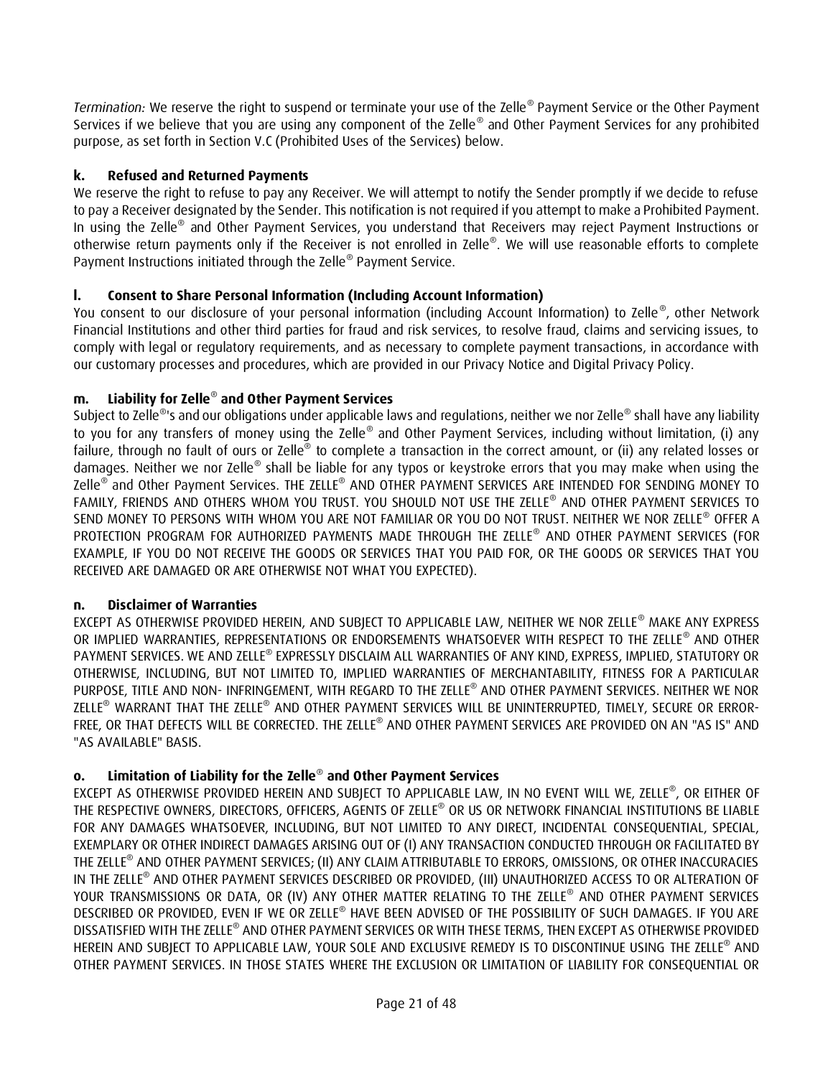*Termination:* We reserve the right to suspend or terminate your use of the Zelle® Payment Service or the Other Payment Services if we believe that you are using any component of the Zelle® and Other Payment Services for any prohibited purpose, as set forth in Section V.C (Prohibited Uses of the Services) below.

# **k. Refused and Returned Payments**

We reserve the right to refuse to pay any Receiver. We will attempt to notify the Sender promptly if we decide to refuse to pay a Receiver designated by the Sender. This notification is not required if you attempt to make a Prohibited Payment. In using the Zelle® and Other Payment Services, you understand that Receivers may reject Payment Instructions or otherwise return payments only if the Receiver is not enrolled in Zelle®. We will use reasonable efforts to complete Payment Instructions initiated through the Zelle® Payment Service.

# **l. Consent to Share Personal Information (Including Account Information)**

You consent to our disclosure of your personal information (including Account Information) to Zelle®, other Network Financial Institutions and other third parties for fraud and risk services, to resolve fraud, claims and servicing issues, to comply with legal or regulatory requirements, and as necessary to complete payment transactions, in accordance with our customary processes and procedures, which are provided in our Privacy Notice and Digital Privacy Policy.

# **m. Liability for Zelle**® **and Other Payment Services**

Subject to Zelle® 's and our obligations under applicable laws and regulations, neither we nor Zelle® shall have any liability to you for any transfers of money using the Zelle® and Other Payment Services, including without limitation, (i) any failure, through no fault of ours or Zelle® to complete a transaction in the correct amount, or (ii) any related losses or damages. Neither we nor Zelle® shall be liable for any typos or keystroke errors that you may make when using the Zelle® and Other Payment Services. THE ZELLE® AND OTHER PAYMENT SERVICES ARE INTENDED FOR SENDING MONEY TO FAMILY, FRIENDS AND OTHERS WHOM YOU TRUST. YOU SHOULD NOT USE THE ZELLE® AND OTHER PAYMENT SERVICES TO SEND MONEY TO PERSONS WITH WHOM YOU ARE NOT FAMILIAR OR YOU DO NOT TRUST. NEITHER WE NOR ZELLE® OFFER A PROTECTION PROGRAM FOR AUTHORIZED PAYMENTS MADE THROUGH THE ZELLE® AND OTHER PAYMENT SERVICES (FOR EXAMPLE, IF YOU DO NOT RECEIVE THE GOODS OR SERVICES THAT YOU PAID FOR, OR THE GOODS OR SERVICES THAT YOU RECEIVED ARE DAMAGED OR ARE OTHERWISE NOT WHAT YOU EXPECTED).

# **n. Disclaimer of Warranties**

EXCEPT AS OTHERWISE PROVIDED HEREIN, AND SUBJECT TO APPLICABLE LAW, NEITHER WE NOR ZELLE® MAKE ANY EXPRESS OR IMPLIED WARRANTIES, REPRESENTATIONS OR ENDORSEMENTS WHATSOEVER WITH RESPECT TO THE ZELLE® AND OTHER PAYMENT SERVICES. WE AND ZELLE® EXPRESSLY DISCLAIM ALL WARRANTIES OF ANY KIND, EXPRESS, IMPLIED, STATUTORY OR OTHERWISE, INCLUDING, BUT NOT LIMITED TO, IMPLIED WARRANTIES OF MERCHANTABILITY, FITNESS FOR A PARTICULAR PURPOSE, TITLE AND NON- INFRINGEMENT, WITH REGARD TO THE ZELLE® AND OTHER PAYMENT SERVICES. NEITHER WE NOR ZELLE® WARRANT THAT THE ZELLE® AND OTHER PAYMENT SERVICES WILL BE UNINTERRUPTED, TIMELY, SECURE OR ERROR-FREE, OR THAT DEFECTS WILL BE CORRECTED. THE ZELLE® AND OTHER PAYMENT SERVICES ARE PROVIDED ON AN "AS IS" AND "AS AVAILABLE" BASIS.

# **o. Limitation of Liability for the Zelle**® **and Other Payment Services**

EXCEPT AS OTHERWISE PROVIDED HEREIN AND SUBJECT TO APPLICABLE LAW, IN NO EVENT WILL WE, ZELLE® , OR EITHER OF THE RESPECTIVE OWNERS, DIRECTORS, OFFICERS, AGENTS OF ZELLE® OR US OR NETWORK FINANCIAL INSTITUTIONS BE LIABLE FOR ANY DAMAGES WHATSOEVER, INCLUDING, BUT NOT LIMITED TO ANY DIRECT, INCIDENTAL CONSEQUENTIAL, SPECIAL, EXEMPLARY OR OTHER INDIRECT DAMAGES ARISING OUT OF (I) ANY TRANSACTION CONDUCTED THROUGH OR FACILITATED BY THE ZELLE® AND OTHER PAYMENT SERVICES; (II) ANY CLAIM ATTRIBUTABLE TO ERRORS, OMISSIONS, OR OTHER INACCURACIES IN THE ZELLE® AND OTHER PAYMENT SERVICES DESCRIBED OR PROVIDED, (III) UNAUTHORIZED ACCESS TO OR ALTERATION OF YOUR TRANSMISSIONS OR DATA, OR (IV) ANY OTHER MATTER RELATING TO THE ZELLE® AND OTHER PAYMENT SERVICES DESCRIBED OR PROVIDED, EVEN IF WE OR ZELLE® HAVE BEEN ADVISED OF THE POSSIBILITY OF SUCH DAMAGES. IF YOU ARE DISSATISFIED WITH THE ZELLE® AND OTHER PAYMENT SERVICES OR WITH THESE TERMS, THEN EXCEPT AS OTHERWISE PROVIDED HEREIN AND SUBJECT TO APPLICABLE LAW, YOUR SOLE AND EXCLUSIVE REMEDY IS TO DISCONTINUE USING THE ZELLE® AND OTHER PAYMENT SERVICES. IN THOSE STATES WHERE THE EXCLUSION OR LIMITATION OF LIABILITY FOR CONSEQUENTIAL OR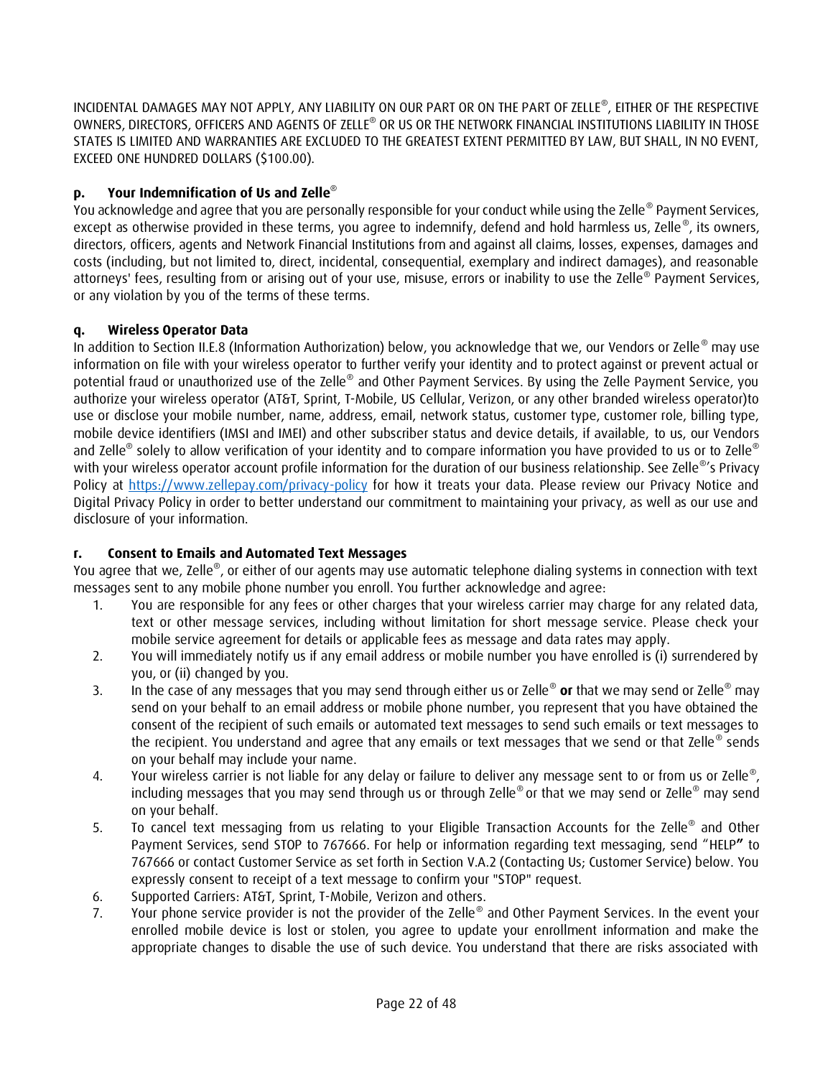INCIDENTAL DAMAGES MAY NOT APPLY, ANY LIABILITY ON OUR PART OR ON THE PART OF ZELLE® , EITHER OF THE RESPECTIVE OWNERS, DIRECTORS, OFFICERS AND AGENTS OF ZELLE® OR US OR THE NETWORK FINANCIAL INSTITUTIONS LIABILITY IN THOSE STATES IS LIMITED AND WARRANTIES ARE EXCLUDED TO THE GREATEST EXTENT PERMITTED BY LAW, BUT SHALL, IN NO EVENT, EXCEED ONE HUNDRED DOLLARS (\$100.00).

# **p. Your Indemnification of Us and Zelle**®

You acknowledge and agree that you are personally responsible for your conduct while using the Zelle® Payment Services, except as otherwise provided in these terms, you agree to indemnify, defend and hold harmless us, Zelle®, its owners, directors, officers, agents and Network Financial Institutions from and against all claims, losses, expenses, damages and costs (including, but not limited to, direct, incidental, consequential, exemplary and indirect damages), and reasonable attorneys' fees, resulting from or arising out of your use, misuse, errors or inability to use the Zelle® Payment Services, or any violation by you of the terms of these terms.

# **q. Wireless Operator Data**

In addition to Section II.E.8 (Information Authorization) below, you acknowledge that we, our Vendors or Zelle® may use information on file with your wireless operator to further verify your identity and to protect against or prevent actual or potential fraud or unauthorized use of the Zelle® and Other Payment Services. By using the Zelle Payment Service, you authorize your wireless operator (AT&T, Sprint, T-Mobile, US Cellular, Verizon, or any other branded wireless operator)to use or disclose your mobile number, name, address, email, network status, customer type, customer role, billing type, mobile device identifiers (IMSI and IMEI) and other subscriber status and device details, if available, to us, our Vendors and Zelle® solely to allow verification of your identity and to compare information you have provided to us or to Zelle® with your wireless operator account profile information for the duration of our business relationship. See Zelle®'s Privacy Policy at<https://www.zellepay.com/privacy-policy> for how it treats your data. Please review our Privacy Notice and Digital Privacy Policy in order to better understand our commitment to maintaining your privacy, as well as our use and disclosure of your information.

# **r. Consent to Emails and Automated Text Messages**

You agree that we, Zelle®, or either of our agents may use automatic telephone dialing systems in connection with text messages sent to any mobile phone number you enroll. You further acknowledge and agree:

- 1. You are responsible for any fees or other charges that your wireless carrier may charge for any related data, text or other message services, including without limitation for short message service. Please check your mobile service agreement for details or applicable fees as message and data rates may apply.
- 2. You will immediately notify us if any email address or mobile number you have enrolled is (i) surrendered by you, or (ii) changed by you.
- 3. In the case of any messages that you may send through either us or Zelle® **or** that we may send or Zelle® may send on your behalf to an email address or mobile phone number, you represent that you have obtained the consent of the recipient of such emails or automated text messages to send such emails or text messages to the recipient. You understand and agree that any emails or text messages that we send or that Zelle® sends on your behalf may include your name.
- 4. Your wireless carrier is not liable for any delay or failure to deliver any message sent to or from us or Zelle<sup>®</sup>, including messages that you may send through us or through Zelle® or that we may send or Zelle® may send on your behalf.
- 5. To cancel text messaging from us relating to your Eligible Transaction Accounts for the Zelle<sup>®</sup> and Other Payment Services, send STOP to 767666. For help or information regarding text messaging, send "HELP**"** to 767666 or contact Customer Service as set forth in Section V.A.2 (Contacting Us; Customer Service) below. You expressly consent to receipt of a text message to confirm your "STOP" request.
- 6. Supported Carriers: AT&T, Sprint, T-Mobile, Verizon and others.
- 7. Your phone service provider is not the provider of the Zelle® and Other Payment Services. In the event your enrolled mobile device is lost or stolen, you agree to update your enrollment information and make the appropriate changes to disable the use of such device. You understand that there are risks associated with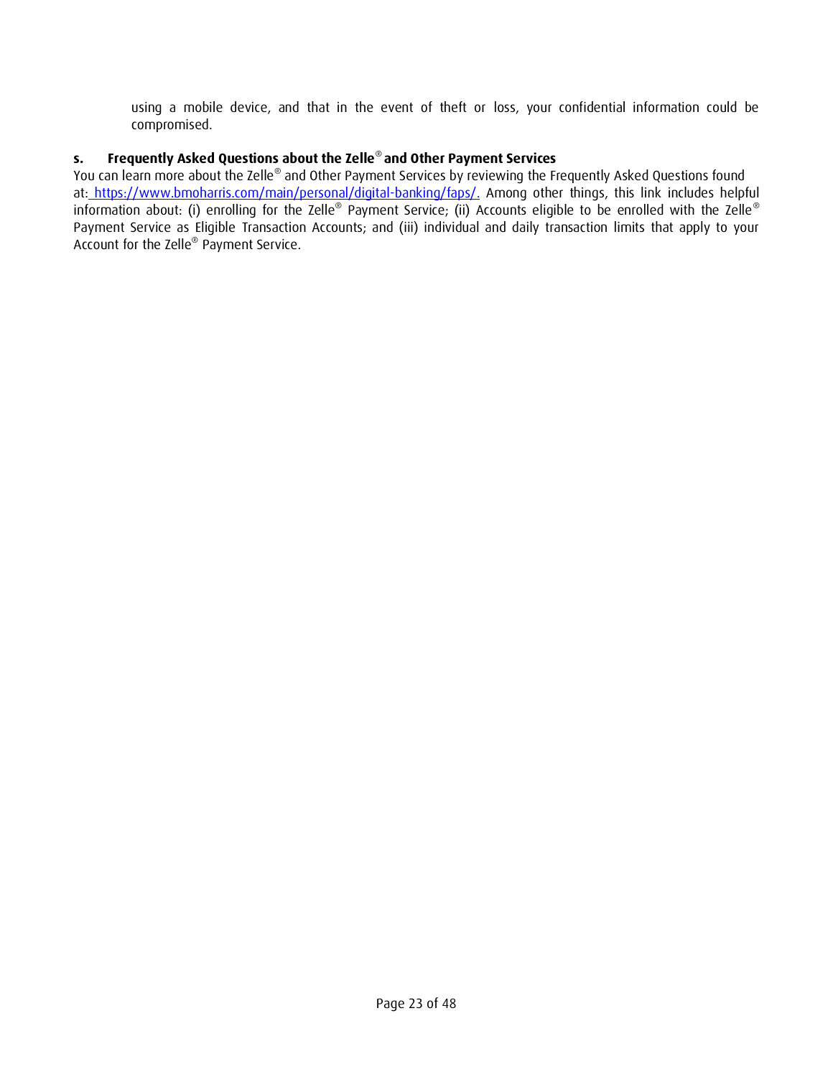using a mobile device, and that in the event of theft or loss, your confidential information could be compromised.

# **s. Frequently Asked Questions about the Zelle**® **and Other Payment Services**

You can learn more about the Zelle® and Other Payment Services by reviewing the Frequently Asked Questions found at:<u>\_[https://www.bmoharris.com/main/personal/digital-banking/faps/.](https://www.bmoharris.com/main/personal/digital-banking/faps/)</u> Among other things, this link includes helpful information about: (i) enrolling for the Zelle® Payment Service; (ii) Accounts eligible to be enrolled with the Zelle® Payment Service as Eligible Transaction Accounts; and (iii) individual and daily transaction limits that apply to your Account for the Zelle® Payment Service.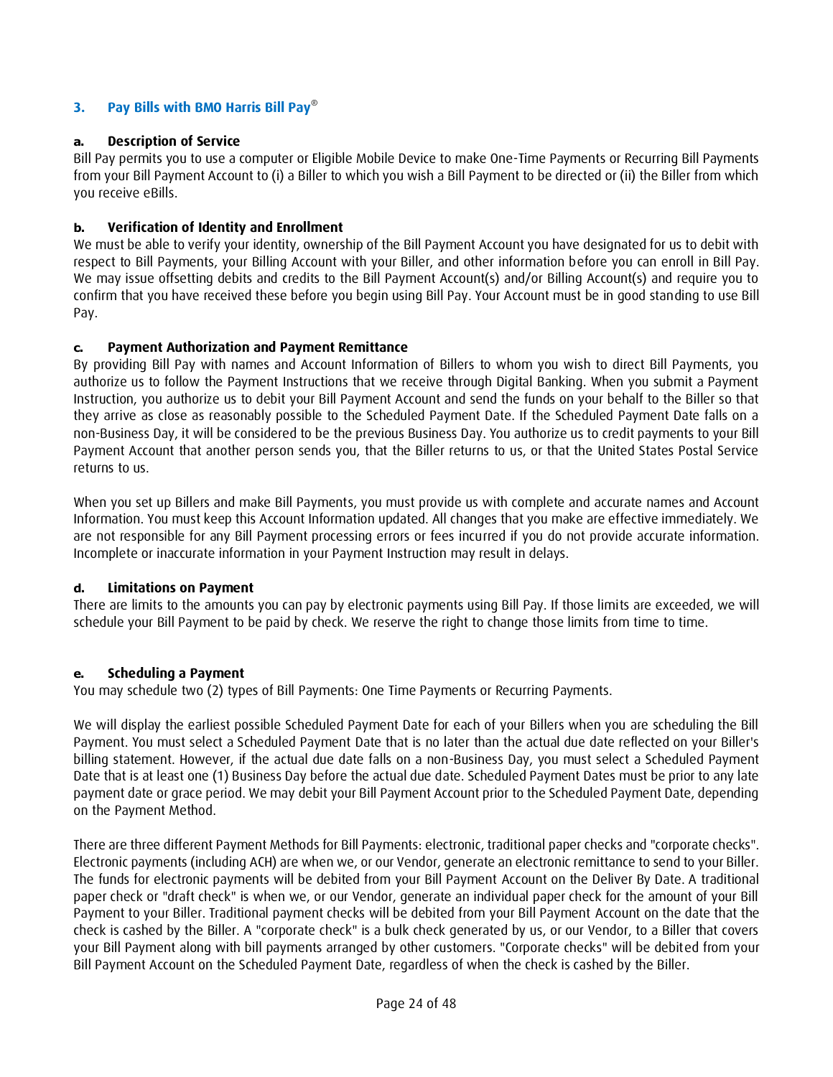# **3. Pay Bills with BMO Harris Bill Pay**®

#### **a. Description of Service**

Bill Pay permits you to use a computer or Eligible Mobile Device to make One-Time Payments or Recurring Bill Payments from your Bill Payment Account to (i) a Biller to which you wish a Bill Payment to be directed or (ii) the Biller from which you receive eBills.

### **b. Verification of Identity and Enrollment**

We must be able to verify your identity, ownership of the Bill Payment Account you have designated for us to debit with respect to Bill Payments, your Billing Account with your Biller, and other information before you can enroll in Bill Pay. We may issue offsetting debits and credits to the Bill Payment Account(s) and/or Billing Account(s) and require you to confirm that you have received these before you begin using Bill Pay. Your Account must be in good standing to use Bill Pay.

### **c. Payment Authorization and Payment Remittance**

By providing Bill Pay with names and Account Information of Billers to whom you wish to direct Bill Payments, you authorize us to follow the Payment Instructions that we receive through Digital Banking. When you submit a Payment Instruction, you authorize us to debit your Bill Payment Account and send the funds on your behalf to the Biller so that they arrive as close as reasonably possible to the Scheduled Payment Date. If the Scheduled Payment Date falls on a non-Business Day, it will be considered to be the previous Business Day. You authorize us to credit payments to your Bill Payment Account that another person sends you, that the Biller returns to us, or that the United States Postal Service returns to us.

When you set up Billers and make Bill Payments, you must provide us with complete and accurate names and Account Information. You must keep this Account Information updated. All changes that you make are effective immediately. We are not responsible for any Bill Payment processing errors or fees incurred if you do not provide accurate information. Incomplete or inaccurate information in your Payment Instruction may result in delays.

#### **d. Limitations on Payment**

There are limits to the amounts you can pay by electronic payments using Bill Pay. If those limits are exceeded, we will schedule your Bill Payment to be paid by check. We reserve the right to change those limits from time to time.

#### **e. Scheduling a Payment**

You may schedule two (2) types of Bill Payments: One Time Payments or Recurring Payments.

We will display the earliest possible Scheduled Payment Date for each of your Billers when you are scheduling the Bill Payment. You must select a Scheduled Payment Date that is no later than the actual due date reflected on your Biller's billing statement. However, if the actual due date falls on a non-Business Day, you must select a Scheduled Payment Date that is at least one (1) Business Day before the actual due date. Scheduled Payment Dates must be prior to any late payment date or grace period. We may debit your Bill Payment Account prior to the Scheduled Payment Date, depending on the Payment Method.

There are three different Payment Methods for Bill Payments: electronic, traditional paper checks and "corporate checks". Electronic payments (including ACH) are when we, or our Vendor, generate an electronic remittance to send to your Biller. The funds for electronic payments will be debited from your Bill Payment Account on the Deliver By Date. A traditional paper check or "draft check" is when we, or our Vendor, generate an individual paper check for the amount of your Bill Payment to your Biller. Traditional payment checks will be debited from your Bill Payment Account on the date that the check is cashed by the Biller. A "corporate check" is a bulk check generated by us, or our Vendor, to a Biller that covers your Bill Payment along with bill payments arranged by other customers. "Corporate checks" will be debited from your Bill Payment Account on the Scheduled Payment Date, regardless of when the check is cashed by the Biller.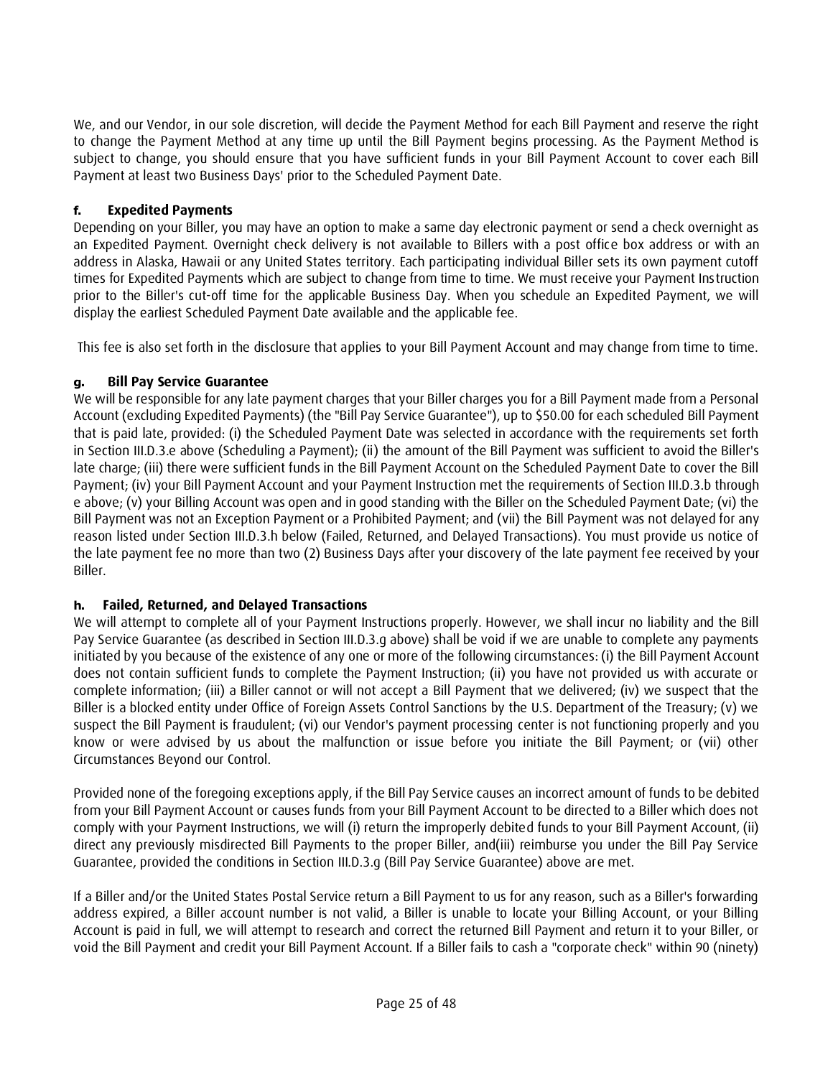We, and our Vendor, in our sole discretion, will decide the Payment Method for each Bill Payment and reserve the right to change the Payment Method at any time up until the Bill Payment begins processing. As the Payment Method is subject to change, you should ensure that you have sufficient funds in your Bill Payment Account to cover each Bill Payment at least two Business Days' prior to the Scheduled Payment Date.

# **f. Expedited Payments**

Depending on your Biller, you may have an option to make a same day electronic payment or send a check overnight as an Expedited Payment. Overnight check delivery is not available to Billers with a post office box address or with an address in Alaska, Hawaii or any United States territory. Each participating individual Biller sets its own payment cutoff times for Expedited Payments which are subject to change from time to time. We must receive your Payment Instruction prior to the Biller's cut-off time for the applicable Business Day. When you schedule an Expedited Payment, we will display the earliest Scheduled Payment Date available and the applicable fee.

This fee is also set forth in the disclosure that applies to your Bill Payment Account and may change from time to time.

# **g. Bill Pay Service Guarantee**

We will be responsible for any late payment charges that your Biller charges you for a Bill Payment made from a Personal Account (excluding Expedited Payments) (the "Bill Pay Service Guarantee"), up to \$50.00 for each scheduled Bill Payment that is paid late, provided: (i) the Scheduled Payment Date was selected in accordance with the requirements set forth in Section III.D.3.e above (Scheduling a Payment); (ii) the amount of the Bill Payment was sufficient to avoid the Biller's late charge; (iii) there were sufficient funds in the Bill Payment Account on the Scheduled Payment Date to cover the Bill Payment; (iv) your Bill Payment Account and your Payment Instruction met the requirements of Section III.D.3.b through e above; (v) your Billing Account was open and in good standing with the Biller on the Scheduled Payment Date; (vi) the Bill Payment was not an Exception Payment or a Prohibited Payment; and (vii) the Bill Payment was not delayed for any reason listed under Section III.D.3.h below (Failed, Returned, and Delayed Transactions). You must provide us notice of the late payment fee no more than two (2) Business Days after your discovery of the late payment fee received by your Biller.

# **h. Failed, Returned, and Delayed Transactions**

We will attempt to complete all of your Payment Instructions properly. However, we shall incur no liability and the Bill Pay Service Guarantee (as described in Section III.D.3.g above) shall be void if we are unable to complete any payments initiated by you because of the existence of any one or more of the following circumstances: (i) the Bill Payment Account does not contain sufficient funds to complete the Payment Instruction; (ii) you have not provided us with accurate or complete information; (iii) a Biller cannot or will not accept a Bill Payment that we delivered; (iv) we suspect that the Biller is a blocked entity under Office of Foreign Assets Control Sanctions by the U.S. Department of the Treasury; (v) we suspect the Bill Payment is fraudulent; (vi) our Vendor's payment processing center is not functioning properly and you know or were advised by us about the malfunction or issue before you initiate the Bill Payment; or (vii) other Circumstances Beyond our Control.

Provided none of the foregoing exceptions apply, if the Bill Pay Service causes an incorrect amount of funds to be debited from your Bill Payment Account or causes funds from your Bill Payment Account to be directed to a Biller which does not comply with your Payment Instructions, we will (i) return the improperly debited funds to your Bill Payment Account, (ii) direct any previously misdirected Bill Payments to the proper Biller, and(iii) reimburse you under the Bill Pay Service Guarantee, provided the conditions in Section III.D.3.g (Bill Pay Service Guarantee) above are met.

If a Biller and/or the United States Postal Service return a Bill Payment to us for any reason, such as a Biller's forwarding address expired, a Biller account number is not valid, a Biller is unable to locate your Billing Account, or your Billing Account is paid in full, we will attempt to research and correct the returned Bill Payment and return it to your Biller, or void the Bill Payment and credit your Bill Payment Account. If a Biller fails to cash a "corporate check" within 90 (ninety)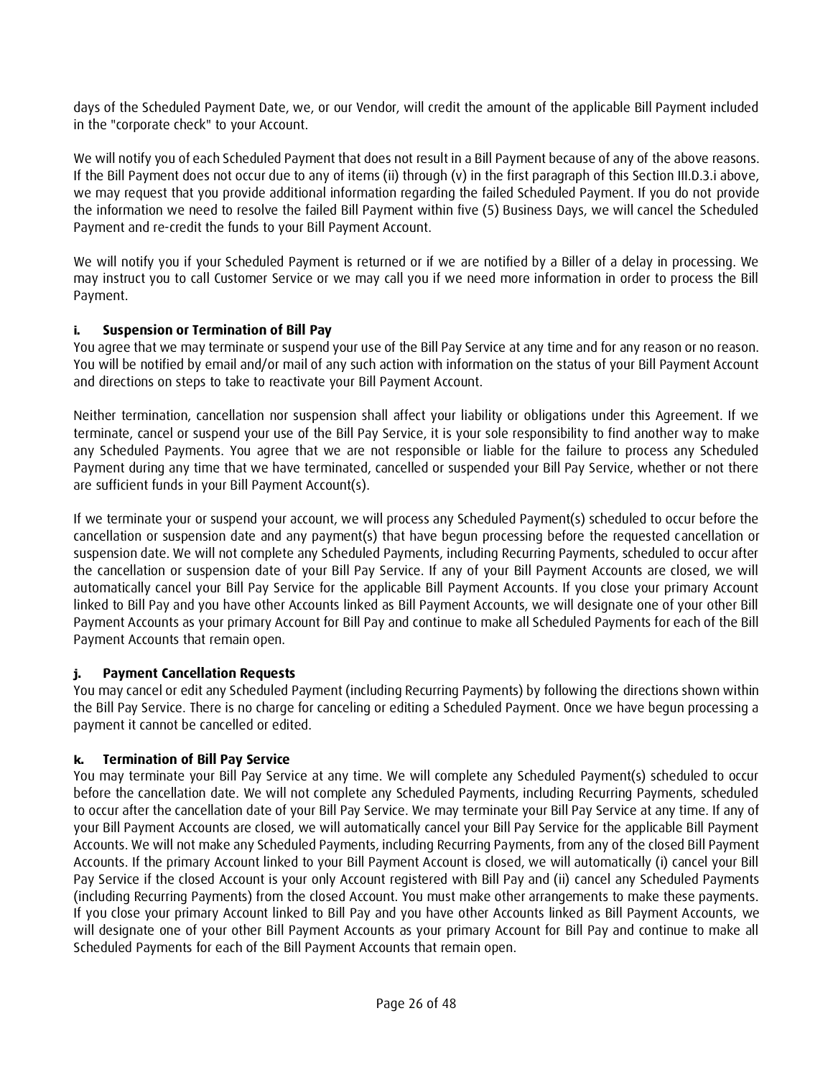days of the Scheduled Payment Date, we, or our Vendor, will credit the amount of the applicable Bill Payment included in the "corporate check" to your Account.

We will notify you of each Scheduled Payment that does not result in a Bill Payment because of any of the above reasons. If the Bill Payment does not occur due to any of items (ii) through (v) in the first paragraph of this Section III.D.3.i above, we may request that you provide additional information regarding the failed Scheduled Payment. If you do not provide the information we need to resolve the failed Bill Payment within five (5) Business Days, we will cancel the Scheduled Payment and re-credit the funds to your Bill Payment Account.

We will notify you if your Scheduled Payment is returned or if we are notified by a Biller of a delay in processing. We may instruct you to call Customer Service or we may call you if we need more information in order to process the Bill Payment.

# **i. Suspension or Termination of Bill Pay**

You agree that we may terminate or suspend your use of the Bill Pay Service at any time and for any reason or no reason. You will be notified by email and/or mail of any such action with information on the status of your Bill Payment Account and directions on steps to take to reactivate your Bill Payment Account.

Neither termination, cancellation nor suspension shall affect your liability or obligations under this Agreement. If we terminate, cancel or suspend your use of the Bill Pay Service, it is your sole responsibility to find another way to make any Scheduled Payments. You agree that we are not responsible or liable for the failure to process any Scheduled Payment during any time that we have terminated, cancelled or suspended your Bill Pay Service, whether or not there are sufficient funds in your Bill Payment Account(s).

If we terminate your or suspend your account, we will process any Scheduled Payment(s) scheduled to occur before the cancellation or suspension date and any payment(s) that have begun processing before the requested cancellation or suspension date. We will not complete any Scheduled Payments, including Recurring Payments, scheduled to occur after the cancellation or suspension date of your Bill Pay Service. If any of your Bill Payment Accounts are closed, we will automatically cancel your Bill Pay Service for the applicable Bill Payment Accounts. If you close your primary Account linked to Bill Pay and you have other Accounts linked as Bill Payment Accounts, we will designate one of your other Bill Payment Accounts as your primary Account for Bill Pay and continue to make all Scheduled Payments for each of the Bill Payment Accounts that remain open.

# **j. Payment Cancellation Requests**

You may cancel or edit any Scheduled Payment (including Recurring Payments) by following the directions shown within the Bill Pay Service. There is no charge for canceling or editing a Scheduled Payment. Once we have begun processing a payment it cannot be cancelled or edited.

# **k. Termination of Bill Pay Service**

You may terminate your Bill Pay Service at any time. We will complete any Scheduled Payment(s) scheduled to occur before the cancellation date. We will not complete any Scheduled Payments, including Recurring Payments, scheduled to occur after the cancellation date of your Bill Pay Service. We may terminate your Bill Pay Service at any time. If any of your Bill Payment Accounts are closed, we will automatically cancel your Bill Pay Service for the applicable Bill Payment Accounts. We will not make any Scheduled Payments, including Recurring Payments, from any of the closed Bill Payment Accounts. If the primary Account linked to your Bill Payment Account is closed, we will automatically (i) cancel your Bill Pay Service if the closed Account is your only Account registered with Bill Pay and (ii) cancel any Scheduled Payments (including Recurring Payments) from the closed Account. You must make other arrangements to make these payments. If you close your primary Account linked to Bill Pay and you have other Accounts linked as Bill Payment Accounts, we will designate one of your other Bill Payment Accounts as your primary Account for Bill Pay and continue to make all Scheduled Payments for each of the Bill Payment Accounts that remain open.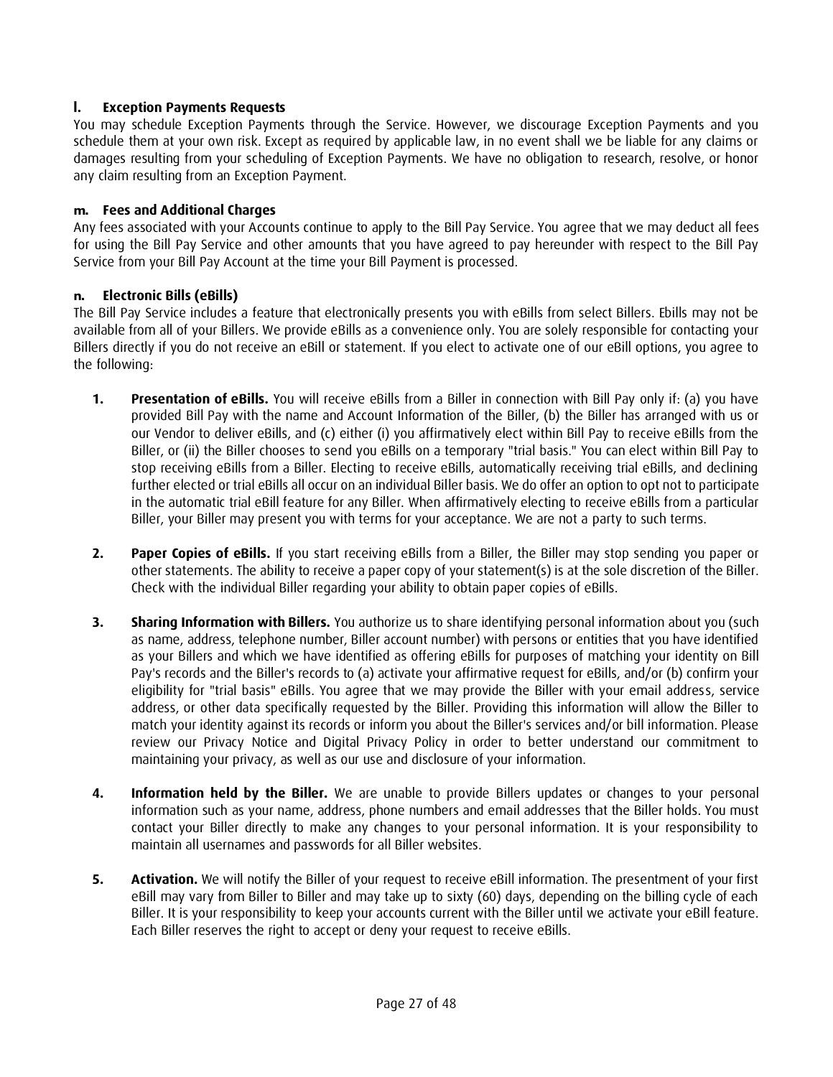# **l. Exception Payments Requests**

You may schedule Exception Payments through the Service. However, we discourage Exception Payments and you schedule them at your own risk. Except as required by applicable law, in no event shall we be liable for any claims or damages resulting from your scheduling of Exception Payments. We have no obligation to research, resolve, or honor any claim resulting from an Exception Payment.

#### **m. Fees and Additional Charges**

Any fees associated with your Accounts continue to apply to the Bill Pay Service. You agree that we may deduct all fees for using the Bill Pay Service and other amounts that you have agreed to pay hereunder with respect to the Bill Pay Service from your Bill Pay Account at the time your Bill Payment is processed.

#### **n. Electronic Bills (eBills)**

The Bill Pay Service includes a feature that electronically presents you with eBills from select Billers. Ebills may not be available from all of your Billers. We provide eBills as a convenience only. You are solely responsible for contacting your Billers directly if you do not receive an eBill or statement. If you elect to activate one of our eBill options, you agree to the following:

- **1. Presentation of eBills.** You will receive eBills from a Biller in connection with Bill Pay only if: (a) you have provided Bill Pay with the name and Account Information of the Biller, (b) the Biller has arranged with us or our Vendor to deliver eBills, and (c) either (i) you affirmatively elect within Bill Pay to receive eBills from the Biller, or (ii) the Biller chooses to send you eBills on a temporary "trial basis." You can elect within Bill Pay to stop receiving eBills from a Biller. Electing to receive eBills, automatically receiving trial eBills, and declining further elected or trial eBills all occur on an individual Biller basis. We do offer an option to opt not to participate in the automatic trial eBill feature for any Biller. When affirmatively electing to receive eBills from a particular Biller, your Biller may present you with terms for your acceptance. We are not a party to such terms.
- **2. Paper Copies of eBills.** If you start receiving eBills from a Biller, the Biller may stop sending you paper or other statements. The ability to receive a paper copy of your statement(s) is at the sole discretion of the Biller. Check with the individual Biller regarding your ability to obtain paper copies of eBills.
- **3. Sharing Information with Billers.** You authorize us to share identifying personal information about you (such as name, address, telephone number, Biller account number) with persons or entities that you have identified as your Billers and which we have identified as offering eBills for purposes of matching your identity on Bill Pay's records and the Biller's records to (a) activate your affirmative request for eBills, and/or (b) confirm your eligibility for "trial basis" eBills. You agree that we may provide the Biller with your email address, service address, or other data specifically requested by the Biller. Providing this information will allow the Biller to match your identity against its records or inform you about the Biller's services and/or bill information. Please review our Privacy Notice and Digital Privacy Policy in order to better understand our commitment to maintaining your privacy, as well as our use and disclosure of your information.
- **4. Information held by the Biller.** We are unable to provide Billers updates or changes to your personal information such as your name, address, phone numbers and email addresses that the Biller holds. You must contact your Biller directly to make any changes to your personal information. It is your responsibility to maintain all usernames and passwords for all Biller websites.
- **5. Activation.** We will notify the Biller of your request to receive eBill information. The presentment of your first eBill may vary from Biller to Biller and may take up to sixty (60) days, depending on the billing cycle of each Biller. It is your responsibility to keep your accounts current with the Biller until we activate your eBill feature. Each Biller reserves the right to accept or deny your request to receive eBills.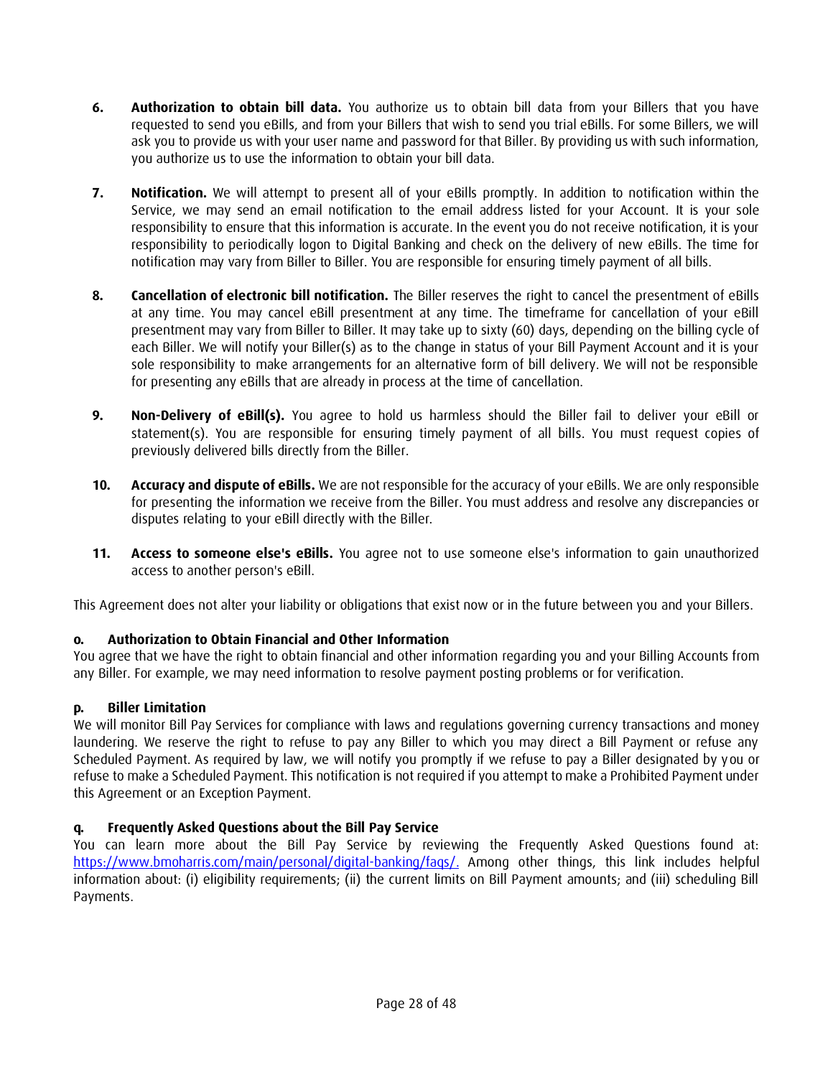- **6. Authorization to obtain bill data.** You authorize us to obtain bill data from your Billers that you have requested to send you eBills, and from your Billers that wish to send you trial eBills. For some Billers, we will ask you to provide us with your user name and password for that Biller. By providing us with such information, you authorize us to use the information to obtain your bill data.
- **7. Notification.** We will attempt to present all of your eBills promptly. In addition to notification within the Service, we may send an email notification to the email address listed for your Account. It is your sole responsibility to ensure that this information is accurate. In the event you do not receive notification, it is your responsibility to periodically logon to Digital Banking and check on the delivery of new eBills. The time for notification may vary from Biller to Biller. You are responsible for ensuring timely payment of all bills.
- **8. Cancellation of electronic bill notification.** The Biller reserves the right to cancel the presentment of eBills at any time. You may cancel eBill presentment at any time. The timeframe for cancellation of your eBill presentment may vary from Biller to Biller. It may take up to sixty (60) days, depending on the billing cycle of each Biller. We will notify your Biller(s) as to the change in status of your Bill Payment Account and it is your sole responsibility to make arrangements for an alternative form of bill delivery. We will not be responsible for presenting any eBills that are already in process at the time of cancellation.
- **9. Non-Delivery of eBill(s).** You agree to hold us harmless should the Biller fail to deliver your eBill or statement(s). You are responsible for ensuring timely payment of all bills. You must request copies of previously delivered bills directly from the Biller.
- **10. Accuracy and dispute of eBills.** We are not responsible for the accuracy of your eBills. We are only responsible for presenting the information we receive from the Biller. You must address and resolve any discrepancies or disputes relating to your eBill directly with the Biller.
- **11. Access to someone else's eBills.** You agree not to use someone else's information to gain unauthorized access to another person's eBill.

This Agreement does not alter your liability or obligations that exist now or in the future between you and your Billers.

# **o. Authorization to Obtain Financial and Other Information**

You agree that we have the right to obtain financial and other information regarding you and your Billing Accounts from any Biller. For example, we may need information to resolve payment posting problems or for verification.

# **p. Biller Limitation**

We will monitor Bill Pay Services for compliance with laws and regulations governing currency transactions and money laundering. We reserve the right to refuse to pay any Biller to which you may direct a Bill Payment or refuse any Scheduled Payment. As required by law, we will notify you promptly if we refuse to pay a Biller designated by you or refuse to make a Scheduled Payment. This notification is not required if you attempt to make a Prohibited Payment under this Agreement or an Exception Payment.

# **q. Frequently Asked Questions about the Bill Pay Service**

You can learn more about the Bill Pay Service by reviewing the Frequently Asked Questions found at: [https://www.bmoharris.com/main/personal/digital-banking/faqs/.](https://www.bmoharris.com/main/personal/digital-banking/faqs/) Among other things, this link includes helpful information about: (i) eligibility requirements; (ii) the current limits on Bill Payment amounts; and (iii) scheduling Bill Payments.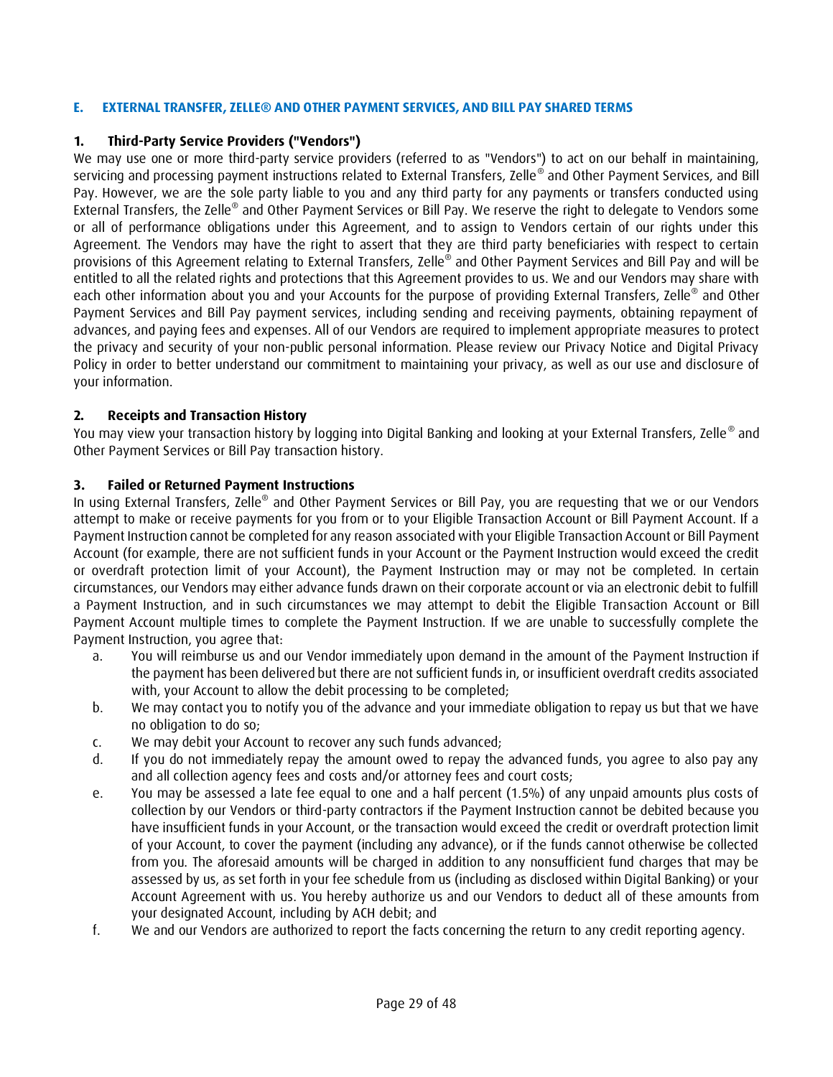### <span id="page-28-0"></span>**E. EXTERNAL TRANSFER, ZELLE® AND OTHER PAYMENT SERVICES, AND BILL PAY SHARED TERMS**

### **1. Third-Party Service Providers ("Vendors")**

We may use one or more third-party service providers (referred to as "Vendors") to act on our behalf in maintaining, servicing and processing payment instructions related to External Transfers, Zelle® and Other Payment Services, and Bill Pay. However, we are the sole party liable to you and any third party for any payments or transfers conducted using External Transfers, the Zelle® and Other Payment Services or Bill Pay. We reserve the right to delegate to Vendors some or all of performance obligations under this Agreement, and to assign to Vendors certain of our rights under this Agreement. The Vendors may have the right to assert that they are third party beneficiaries with respect to certain provisions of this Agreement relating to External Transfers, Zelle® and Other Payment Services and Bill Pay and will be entitled to all the related rights and protections that this Agreement provides to us. We and our Vendors may share with each other information about you and your Accounts for the purpose of providing External Transfers, Zelle® and Other Payment Services and Bill Pay payment services, including sending and receiving payments, obtaining repayment of advances, and paying fees and expenses. All of our Vendors are required to implement appropriate measures to protect the privacy and security of your non-public personal information. Please review our Privacy Notice and Digital Privacy Policy in order to better understand our commitment to maintaining your privacy, as well as our use and disclosure of your information.

### **2. Receipts and Transaction History**

You may view your transaction history by logging into Digital Banking and looking at your External Transfers, Zelle® and Other Payment Services or Bill Pay transaction history.

#### **3. Failed or Returned Payment Instructions**

In using External Transfers, Zelle® and Other Payment Services or Bill Pay, you are requesting that we or our Vendors attempt to make or receive payments for you from or to your Eligible Transaction Account or Bill Payment Account. If a Payment Instruction cannot be completed for any reason associated with your Eligible Transaction Account or Bill Payment Account (for example, there are not sufficient funds in your Account or the Payment Instruction would exceed the credit or overdraft protection limit of your Account), the Payment Instruction may or may not be completed. In certain circumstances, our Vendors may either advance funds drawn on their corporate account or via an electronic debit to fulfill a Payment Instruction, and in such circumstances we may attempt to debit the Eligible Transaction Account or Bill Payment Account multiple times to complete the Payment Instruction. If we are unable to successfully complete the Payment Instruction, you agree that:

- a. You will reimburse us and our Vendor immediately upon demand in the amount of the Payment Instruction if the payment has been delivered but there are not sufficient funds in, or insufficient overdraft credits associated with, your Account to allow the debit processing to be completed;
- b. We may contact you to notify you of the advance and your immediate obligation to repay us but that we have no obligation to do so;
- c. We may debit your Account to recover any such funds advanced;
- d. If you do not immediately repay the amount owed to repay the advanced funds, you agree to also pay any and all collection agency fees and costs and/or attorney fees and court costs;
- e. You may be assessed a late fee equal to one and a half percent (1.5%) of any unpaid amounts plus costs of collection by our Vendors or third-party contractors if the Payment Instruction cannot be debited because you have insufficient funds in your Account, or the transaction would exceed the credit or overdraft protection limit of your Account, to cover the payment (including any advance), or if the funds cannot otherwise be collected from you. The aforesaid amounts will be charged in addition to any nonsufficient fund charges that may be assessed by us, as set forth in your fee schedule from us (including as disclosed within Digital Banking) or your Account Agreement with us. You hereby authorize us and our Vendors to deduct all of these amounts from your designated Account, including by ACH debit; and
- f. We and our Vendors are authorized to report the facts concerning the return to any credit reporting agency.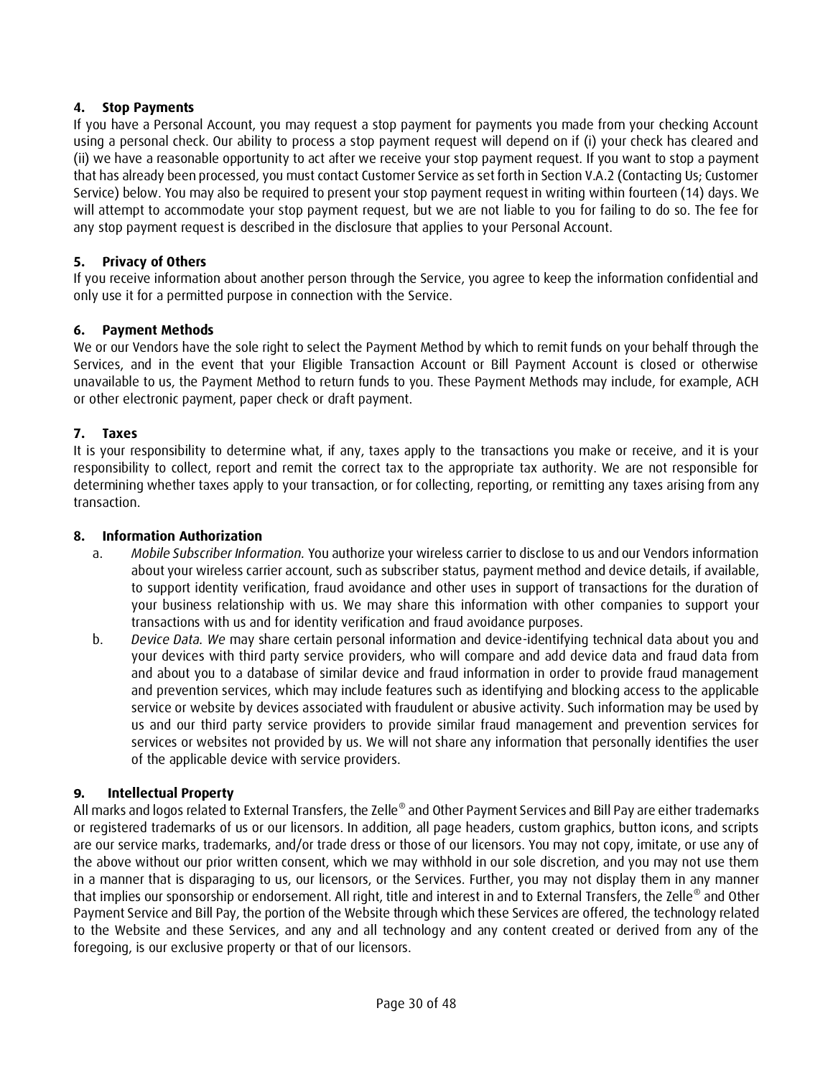# **4. Stop Payments**

If you have a Personal Account, you may request a stop payment for payments you made from your checking Account using a personal check. Our ability to process a stop payment request will depend on if (i) your check has cleared and (ii) we have a reasonable opportunity to act after we receive your stop payment request. If you want to stop a payment that has already been processed, you must contact Customer Service as set forth in Section V.A.2 (Contacting Us; Customer Service) below. You may also be required to present your stop payment request in writing within fourteen (14) days. We will attempt to accommodate your stop payment request, but we are not liable to you for failing to do so. The fee for any stop payment request is described in the disclosure that applies to your Personal Account.

### **5. Privacy of Others**

If you receive information about another person through the Service, you agree to keep the information confidential and only use it for a permitted purpose in connection with the Service.

#### **6. Payment Methods**

We or our Vendors have the sole right to select the Payment Method by which to remit funds on your behalf through the Services, and in the event that your Eligible Transaction Account or Bill Payment Account is closed or otherwise unavailable to us, the Payment Method to return funds to you. These Payment Methods may include, for example, ACH or other electronic payment, paper check or draft payment.

### **7. Taxes**

It is your responsibility to determine what, if any, taxes apply to the transactions you make or receive, and it is your responsibility to collect, report and remit the correct tax to the appropriate tax authority. We are not responsible for determining whether taxes apply to your transaction, or for collecting, reporting, or remitting any taxes arising from any transaction.

#### **8. Information Authorization**

- a. *Mobile Subscriber Information.* You authorize your wireless carrier to disclose to us and our Vendors information about your wireless carrier account, such as subscriber status, payment method and device details, if available, to support identity verification, fraud avoidance and other uses in support of transactions for the duration of your business relationship with us. We may share this information with other companies to support your transactions with us and for identity verification and fraud avoidance purposes.
- b. *Device Data. We* may share certain personal information and device-identifying technical data about you and your devices with third party service providers, who will compare and add device data and fraud data from and about you to a database of similar device and fraud information in order to provide fraud management and prevention services, which may include features such as identifying and blocking access to the applicable service or website by devices associated with fraudulent or abusive activity. Such information may be used by us and our third party service providers to provide similar fraud management and prevention services for services or websites not provided by us. We will not share any information that personally identifies the user of the applicable device with service providers.

#### **9. Intellectual Property**

All marks and logos related to External Transfers, the Zelle® and Other Payment Services and Bill Pay are either trademarks or registered trademarks of us or our licensors. In addition, all page headers, custom graphics, button icons, and scripts are our service marks, trademarks, and/or trade dress or those of our licensors. You may not copy, imitate, or use any of the above without our prior written consent, which we may withhold in our sole discretion, and you may not use them in a manner that is disparaging to us, our licensors, or the Services. Further, you may not display them in any manner that implies our sponsorship or endorsement. All right, title and interest in and to External Transfers, the Zelle® and Other Payment Service and Bill Pay, the portion of the Website through which these Services are offered, the technology related to the Website and these Services, and any and all technology and any content created or derived from any of the foregoing, is our exclusive property or that of our licensors.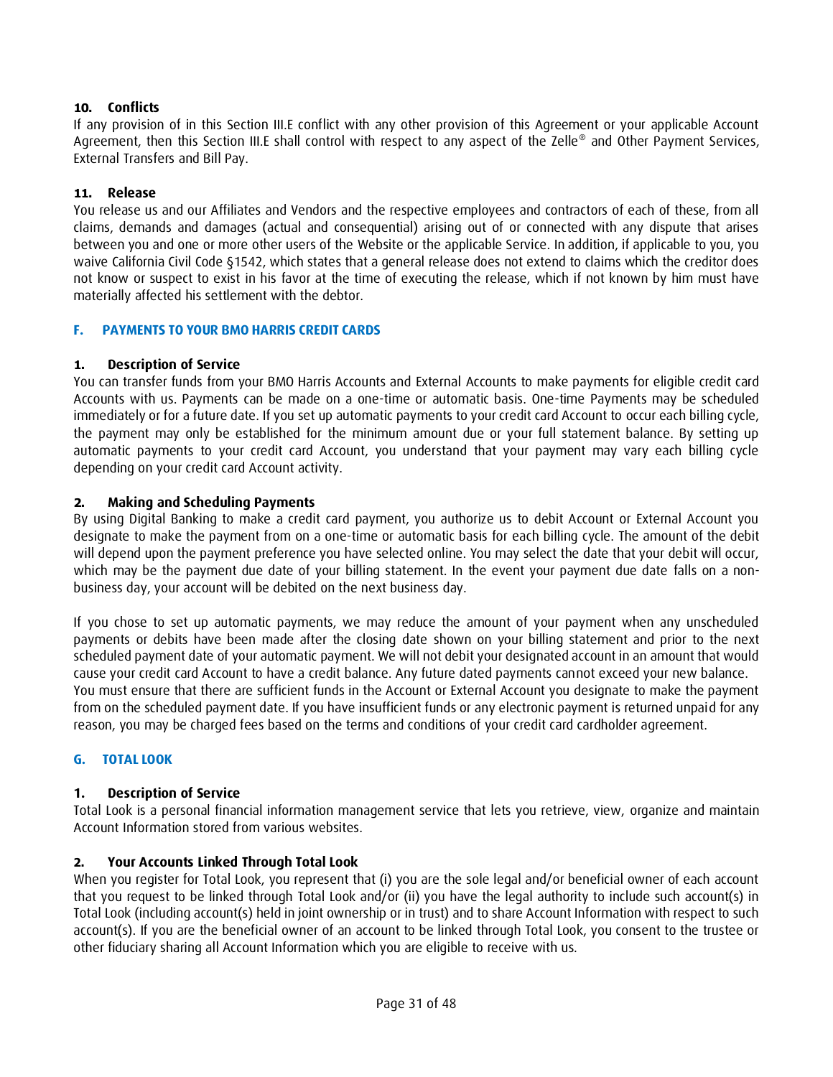# **10. Conflicts**

If any provision of in this Section III.E conflict with any other provision of this Agreement or your applicable Account Agreement, then this Section III.E shall control with respect to any aspect of the Zelle® and Other Payment Services, External Transfers and Bill Pay.

#### **11. Release**

You release us and our Affiliates and Vendors and the respective employees and contractors of each of these, from all claims, demands and damages (actual and consequential) arising out of or connected with any dispute that arises between you and one or more other users of the Website or the applicable Service. In addition, if applicable to you, you waive California Civil Code §1542, which states that a general release does not extend to claims which the creditor does not know or suspect to exist in his favor at the time of executing the release, which if not known by him must have materially affected his settlement with the debtor.

#### <span id="page-30-0"></span>**F. PAYMENTS TO YOUR BMO HARRIS CREDIT CARDS**

#### **1. Description of Service**

You can transfer funds from your BMO Harris Accounts and External Accounts to make payments for eligible credit card Accounts with us. Payments can be made on a one-time or automatic basis. One-time Payments may be scheduled immediately or for a future date. If you set up automatic payments to your credit card Account to occur each billing cycle, the payment may only be established for the minimum amount due or your full statement balance. By setting up automatic payments to your credit card Account, you understand that your payment may vary each billing cycle depending on your credit card Account activity.

#### **2. Making and Scheduling Payments**

By using Digital Banking to make a credit card payment, you authorize us to debit Account or External Account you designate to make the payment from on a one-time or automatic basis for each billing cycle. The amount of the debit will depend upon the payment preference you have selected online. You may select the date that your debit will occur, which may be the payment due date of your billing statement. In the event your payment due date falls on a nonbusiness day, your account will be debited on the next business day.

If you chose to set up automatic payments, we may reduce the amount of your payment when any unscheduled payments or debits have been made after the closing date shown on your billing statement and prior to the next scheduled payment date of your automatic payment. We will not debit your designated account in an amount that would cause your credit card Account to have a credit balance. Any future dated payments cannot exceed your new balance. You must ensure that there are sufficient funds in the Account or External Account you designate to make the payment from on the scheduled payment date. If you have insufficient funds or any electronic payment is returned unpaid for any reason, you may be charged fees based on the terms and conditions of your credit card cardholder agreement.

#### <span id="page-30-1"></span>**G. TOTAL LOOK**

#### **1. Description of Service**

Total Look is a personal financial information management service that lets you retrieve, view, organize and maintain Account Information stored from various websites.

#### **2. Your Accounts Linked Through Total Look**

When you register for Total Look, you represent that (i) you are the sole legal and/or beneficial owner of each account that you request to be linked through Total Look and/or (ii) you have the legal authority to include such account(s) in Total Look (including account(s) held in joint ownership or in trust) and to share Account Information with respect to such account(s). If you are the beneficial owner of an account to be linked through Total Look, you consent to the trustee or other fiduciary sharing all Account Information which you are eligible to receive with us.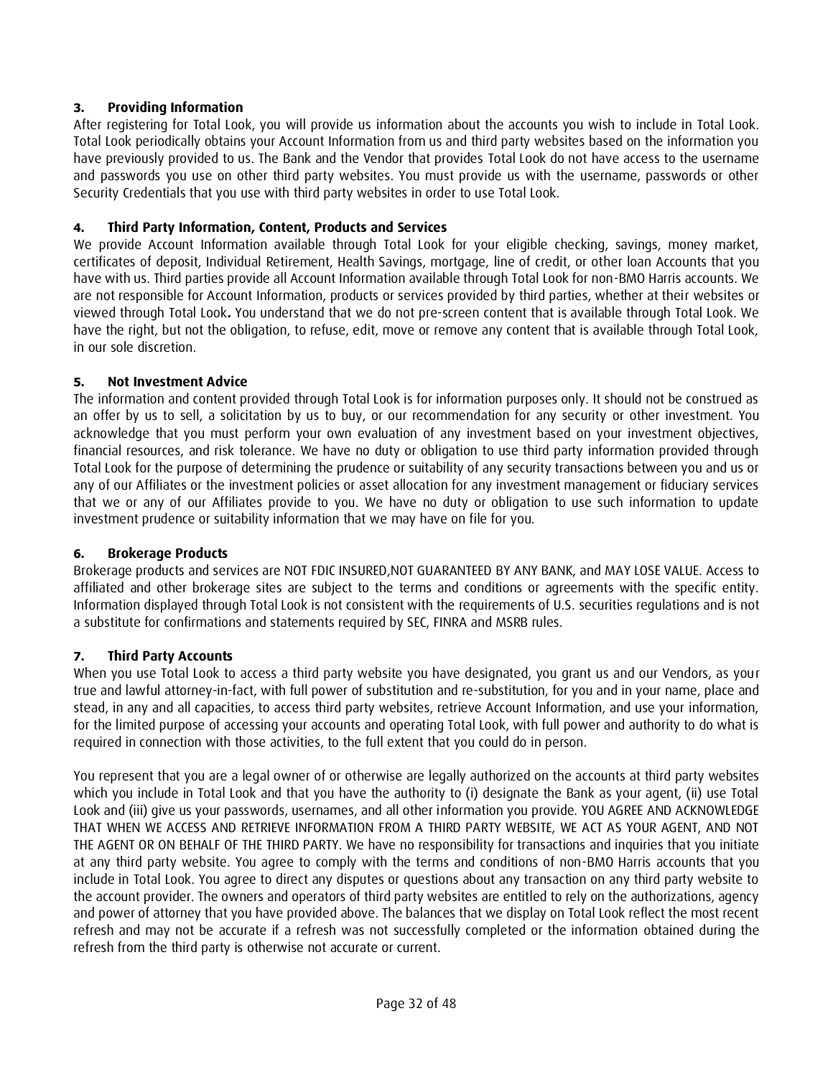# **3. Providing Information**

After registering for Total Look, you will provide us information about the accounts you wish to include in Total Look. Total Look periodically obtains your Account Information from us and third party websites based on the information you have previously provided to us. The Bank and the Vendor that provides Total Look do not have access to the username and passwords you use on other third party websites. You must provide us with the username, passwords or other Security Credentials that you use with third party websites in order to use Total Look.

### **4. Third Party Information, Content, Products and Services**

We provide Account Information available through Total Look for your eligible checking, savings, money market, certificates of deposit, Individual Retirement, Health Savings, mortgage, line of credit, or other loan Accounts that you have with us. Third parties provide all Account Information available through Total Look for non-BMO Harris accounts. We are not responsible for Account Information, products or services provided by third parties, whether at their websites or viewed through Total Look**.** You understand that we do not pre-screen content that is available through Total Look. We have the right, but not the obligation, to refuse, edit, move or remove any content that is available through Total Look, in our sole discretion.

# **5. Not Investment Advice**

The information and content provided through Total Look is for information purposes only. It should not be construed as an offer by us to sell, a solicitation by us to buy, or our recommendation for any security or other investment. You acknowledge that you must perform your own evaluation of any investment based on your investment objectives, financial resources, and risk tolerance. We have no duty or obligation to use third party information provided through Total Look for the purpose of determining the prudence or suitability of any security transactions between you and us or any of our Affiliates or the investment policies or asset allocation for any investment management or fiduciary services that we or any of our Affiliates provide to you. We have no duty or obligation to use such information to update investment prudence or suitability information that we may have on file for you.

# **6. Brokerage Products**

Brokerage products and services are NOT FDIC INSURED,NOT GUARANTEED BY ANY BANK, and MAY LOSE VALUE. Access to affiliated and other brokerage sites are subject to the terms and conditions or agreements with the specific entity. Information displayed through Total Look is not consistent with the requirements of U.S. securities regulations and is not a substitute for confirmations and statements required by SEC, FINRA and MSRB rules.

#### **7. Third Party Accounts**

When you use Total Look to access a third party website you have designated, you grant us and our Vendors, as your true and lawful attorney-in-fact, with full power of substitution and re-substitution, for you and in your name, place and stead, in any and all capacities, to access third party websites, retrieve Account Information, and use your information, for the limited purpose of accessing your accounts and operating Total Look, with full power and authority to do what is required in connection with those activities, to the full extent that you could do in person.

You represent that you are a legal owner of or otherwise are legally authorized on the accounts at third party websites which you include in Total Look and that you have the authority to (i) designate the Bank as your agent, (ii) use Total Look and (iii) give us your passwords, usernames, and all other information you provide. YOU AGREE AND ACKNOWLEDGE THAT WHEN WE ACCESS AND RETRIEVE INFORMATION FROM A THIRD PARTY WEBSITE, WE ACT AS YOUR AGENT, AND NOT THE AGENT OR ON BEHALF OF THE THIRD PARTY. We have no responsibility for transactions and inquiries that you initiate at any third party website. You agree to comply with the terms and conditions of non-BMO Harris accounts that you include in Total Look. You agree to direct any disputes or questions about any transaction on any third party website to the account provider. The owners and operators of third party websites are entitled to rely on the authorizations, agency and power of attorney that you have provided above. The balances that we display on Total Look reflect the most recent refresh and may not be accurate if a refresh was not successfully completed or the information obtained during the refresh from the third party is otherwise not accurate or current.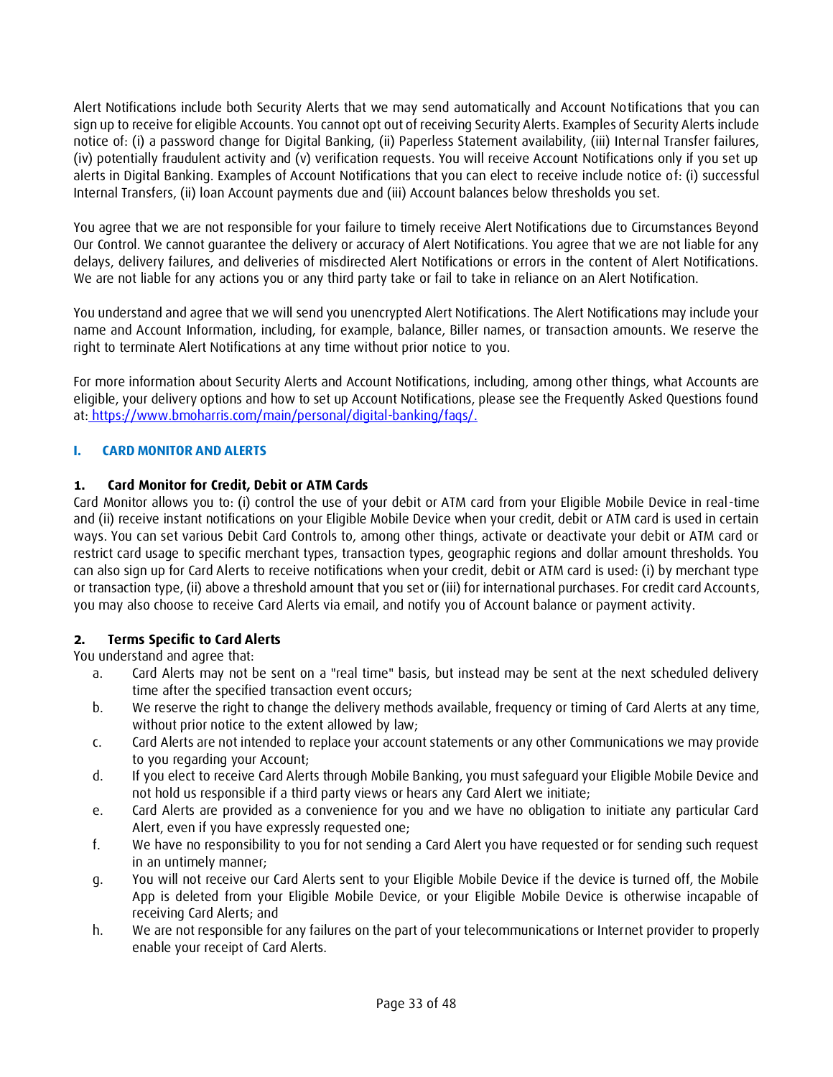Alert Notifications include both Security Alerts that we may send automatically and Account Notifications that you can sign up to receive for eligible Accounts. You cannot opt out of receiving Security Alerts. Examples of Security Alerts include notice of: (i) a password change for Digital Banking, (ii) Paperless Statement availability, (iii) Internal Transfer failures, (iv) potentially fraudulent activity and (v) verification requests. You will receive Account Notifications only if you set up alerts in Digital Banking. Examples of Account Notifications that you can elect to receive include notice of: (i) successful Internal Transfers, (ii) loan Account payments due and (iii) Account balances below thresholds you set.

You agree that we are not responsible for your failure to timely receive Alert Notifications due to Circumstances Beyond Our Control. We cannot guarantee the delivery or accuracy of Alert Notifications. You agree that we are not liable for any delays, delivery failures, and deliveries of misdirected Alert Notifications or errors in the content of Alert Notifications. We are not liable for any actions you or any third party take or fail to take in reliance on an Alert Notification.

You understand and agree that we will send you unencrypted Alert Notifications. The Alert Notifications may include your name and Account Information, including, for example, balance, Biller names, or transaction amounts. We reserve the right to terminate Alert Notifications at any time without prior notice to you.

For more information about Security Alerts and Account Notifications, including, among other things, what Accounts are eligible, your delivery options and how to set up Account Notifications, please see the Frequently Asked Questions found at: [https://www.bmoharris.com/main/personal/digital-banking/faqs/.](https://www.bmoharris.com/main/personal/digital-banking/faqs/)

# <span id="page-32-0"></span>**I. CARD MONITOR AND ALERTS**

# **1. Card Monitor for Credit, Debit or ATM Cards**

Card Monitor allows you to: (i) control the use of your debit or ATM card from your Eligible Mobile Device in real-time and (ii) receive instant notifications on your Eligible Mobile Device when your credit, debit or ATM card is used in certain ways. You can set various Debit Card Controls to, among other things, activate or deactivate your debit or ATM card or restrict card usage to specific merchant types, transaction types, geographic regions and dollar amount thresholds. You can also sign up for Card Alerts to receive notifications when your credit, debit or ATM card is used: (i) by merchant type or transaction type, (ii) above a threshold amount that you set or (iii) for international purchases. For credit card Accounts, you may also choose to receive Card Alerts via email, and notify you of Account balance or payment activity.

# **2. Terms Specific to Card Alerts**

You understand and agree that:

- a. Card Alerts may not be sent on a "real time" basis, but instead may be sent at the next scheduled delivery time after the specified transaction event occurs;
- b. We reserve the right to change the delivery methods available, frequency or timing of Card Alerts at any time, without prior notice to the extent allowed by law;
- c. Card Alerts are not intended to replace your account statements or any other Communications we may provide to you regarding your Account;
- d. If you elect to receive Card Alerts through Mobile Banking, you must safeguard your Eligible Mobile Device and not hold us responsible if a third party views or hears any Card Alert we initiate;
- e. Card Alerts are provided as a convenience for you and we have no obligation to initiate any particular Card Alert, even if you have expressly requested one;
- f. We have no responsibility to you for not sending a Card Alert you have requested or for sending such request in an untimely manner;
- g. You will not receive our Card Alerts sent to your Eligible Mobile Device if the device is turned off, the Mobile App is deleted from your Eligible Mobile Device, or your Eligible Mobile Device is otherwise incapable of receiving Card Alerts; and
- h. We are not responsible for any failures on the part of your telecommunications or Internet provider to properly enable your receipt of Card Alerts.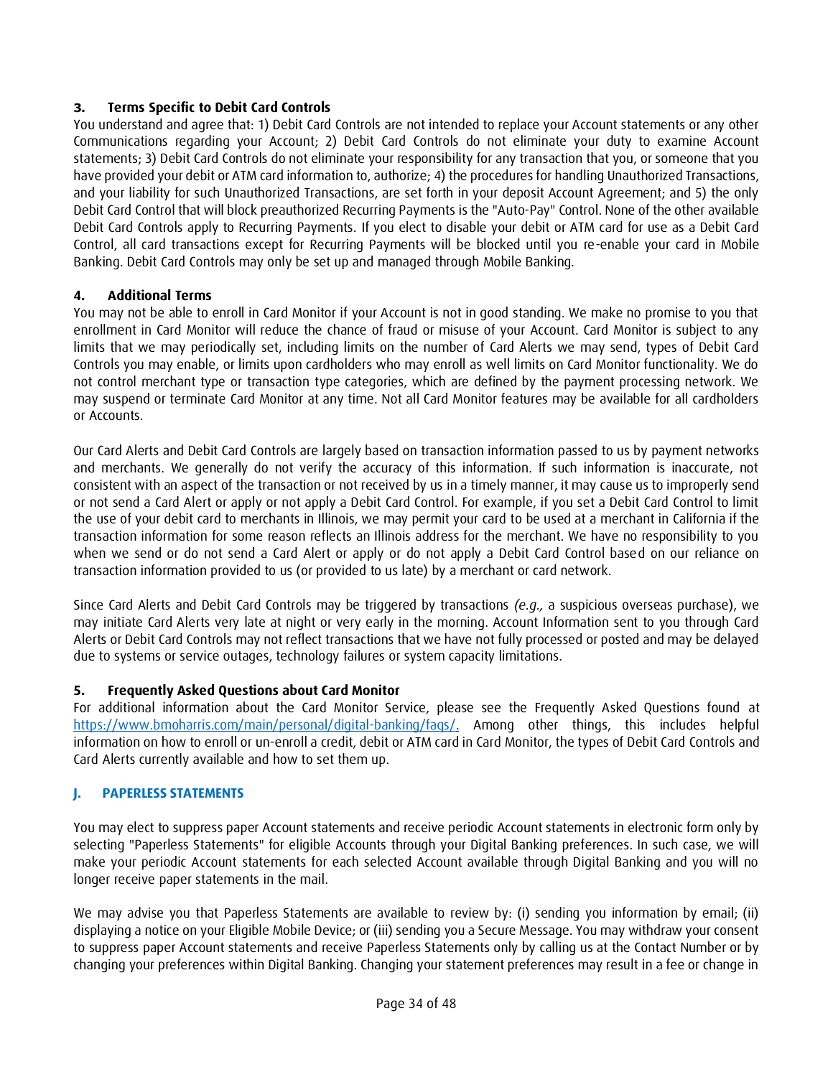# **3. Terms Specific to Debit Card Controls**

You understand and agree that: 1) Debit Card Controls are not intended to replace your Account statements or any other Communications regarding your Account; 2) Debit Card Controls do not eliminate your duty to examine Account statements; 3) Debit Card Controls do not eliminate your responsibility for any transaction that you, or someone that you have provided your debit or ATM card information to, authorize; 4) the procedures for handling Unauthorized Transactions, and your liability for such Unauthorized Transactions, are set forth in your deposit Account Agreement; and 5) the only Debit Card Control that will block preauthorized Recurring Payments is the "Auto-Pay" Control. None of the other available Debit Card Controls apply to Recurring Payments. If you elect to disable your debit or ATM card for use as a Debit Card Control, all card transactions except for Recurring Payments will be blocked until you re-enable your card in Mobile Banking. Debit Card Controls may only be set up and managed through Mobile Banking.

# **4. Additional Terms**

You may not be able to enroll in Card Monitor if your Account is not in good standing. We make no promise to you that enrollment in Card Monitor will reduce the chance of fraud or misuse of your Account. Card Monitor is subject to any limits that we may periodically set, including limits on the number of Card Alerts we may send, types of Debit Card Controls you may enable, or limits upon cardholders who may enroll as well limits on Card Monitor functionality. We do not control merchant type or transaction type categories, which are defined by the payment processing network. We may suspend or terminate Card Monitor at any time. Not all Card Monitor features may be available for all cardholders or Accounts.

Our Card Alerts and Debit Card Controls are largely based on transaction information passed to us by payment networks and merchants. We generally do not verify the accuracy of this information. If such information is inaccurate, not consistent with an aspect of the transaction or not received by us in a timely manner, it may cause us to improperly send or not send a Card Alert or apply or not apply a Debit Card Control. For example, if you set a Debit Card Control to limit the use of your debit card to merchants in Illinois, we may permit your card to be used at a merchant in California if the transaction information for some reason reflects an Illinois address for the merchant. We have no responsibility to you when we send or do not send a Card Alert or apply or do not apply a Debit Card Control based on our reliance on transaction information provided to us (or provided to us late) by a merchant or card network.

Since Card Alerts and Debit Card Controls may be triggered by transactions *(e.g.,* a suspicious overseas purchase), we may initiate Card Alerts very late at night or very early in the morning. Account Information sent to you through Card Alerts or Debit Card Controls may not reflect transactions that we have not fully processed or posted and may be delayed due to systems or service outages, technology failures or system capacity limitations.

# **5. Frequently Asked Questions about Card Monitor**

For additional information about the Card Monitor Service, please see the Frequently Asked Questions found at [https://www.bmoharris.com/main/personal/digital-banking/faqs/.](https://www.bmoharris.com/main/personal/digital-banking/faqs/) Among other things, this includes helpful information on how to enroll or un-enroll a credit, debit or ATM card in Card Monitor, the types of Debit Card Controls and Card Alerts currently available and how to set them up.

# <span id="page-33-0"></span>**J. PAPERLESS STATEMENTS**

You may elect to suppress paper Account statements and receive periodic Account statements in electronic form only by selecting "Paperless Statements" for eligible Accounts through your Digital Banking preferences. In such case, we will make your periodic Account statements for each selected Account available through Digital Banking and you will no longer receive paper statements in the mail.

We may advise you that Paperless Statements are available to review by: (i) sending you information by email; (ii) displaying a notice on your Eligible Mobile Device; or (iii) sending you a Secure Message. You may withdraw your consent to suppress paper Account statements and receive Paperless Statements only by calling us at the Contact Number or by changing your preferences within Digital Banking. Changing your statement preferences may result in a fee or change in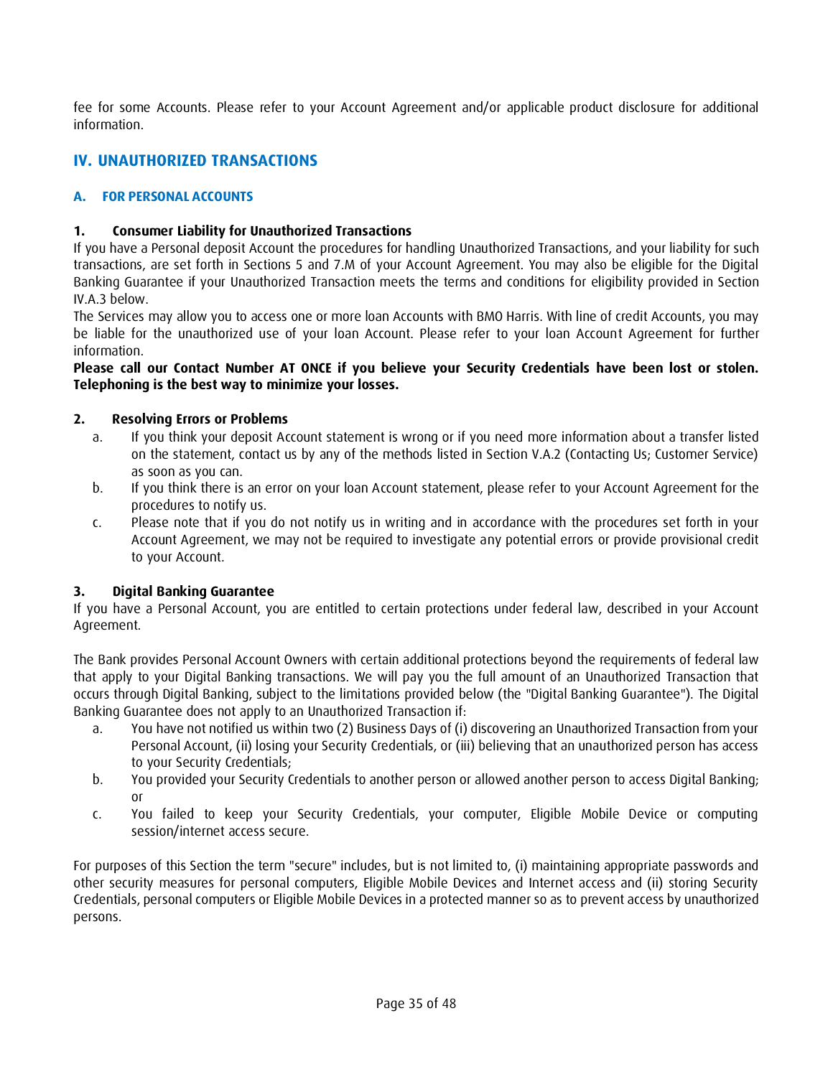fee for some Accounts. Please refer to your Account Agreement and/or applicable product disclosure for additional information.

# <span id="page-34-0"></span>**IV. UNAUTHORIZED TRANSACTIONS**

### <span id="page-34-1"></span>**A. FOR PERSONAL ACCOUNTS**

### **1. Consumer Liability for Unauthorized Transactions**

If you have a Personal deposit Account the procedures for handling Unauthorized Transactions, and your liability for such transactions, are set forth in Sections 5 and 7.M of your Account Agreement. You may also be eligible for the Digital Banking Guarantee if your Unauthorized Transaction meets the terms and conditions for eligibility provided in Section IV.A.3 below.

The Services may allow you to access one or more loan Accounts with BMO Harris. With line of credit Accounts, you may be liable for the unauthorized use of your loan Account. Please refer to your loan Account Agreement for further information.

### **Please call our Contact Number AT ONCE if you believe your Security Credentials have been lost or stolen. Telephoning is the best way to minimize your losses.**

### **2. Resolving Errors or Problems**

- a. If you think your deposit Account statement is wrong or if you need more information about a transfer listed on the statement, contact us by any of the methods listed in Section V.A.2 (Contacting Us; Customer Service) as soon as you can.
- b. If you think there is an error on your loan Account statement, please refer to your Account Agreement for the procedures to notify us.
- c. Please note that if you do not notify us in writing and in accordance with the procedures set forth in your Account Agreement, we may not be required to investigate any potential errors or provide provisional credit to your Account.

### **3. Digital Banking Guarantee**

If you have a Personal Account, you are entitled to certain protections under federal law, described in your Account Agreement.

The Bank provides Personal Account Owners with certain additional protections beyond the requirements of federal law that apply to your Digital Banking transactions. We will pay you the full amount of an Unauthorized Transaction that occurs through Digital Banking, subject to the limitations provided below (the "Digital Banking Guarantee"). The Digital Banking Guarantee does not apply to an Unauthorized Transaction if:

- a. You have not notified us within two (2) Business Days of (i) discovering an Unauthorized Transaction from your Personal Account, (ii) losing your Security Credentials, or (iii) believing that an unauthorized person has access to your Security Credentials;
- b. You provided your Security Credentials to another person or allowed another person to access Digital Banking; or
- c. You failed to keep your Security Credentials, your computer, Eligible Mobile Device or computing session/internet access secure.

For purposes of this Section the term "secure" includes, but is not limited to, (i) maintaining appropriate passwords and other security measures for personal computers, Eligible Mobile Devices and Internet access and (ii) storing Security Credentials, personal computers or Eligible Mobile Devices in a protected manner so as to prevent access by unauthorized persons.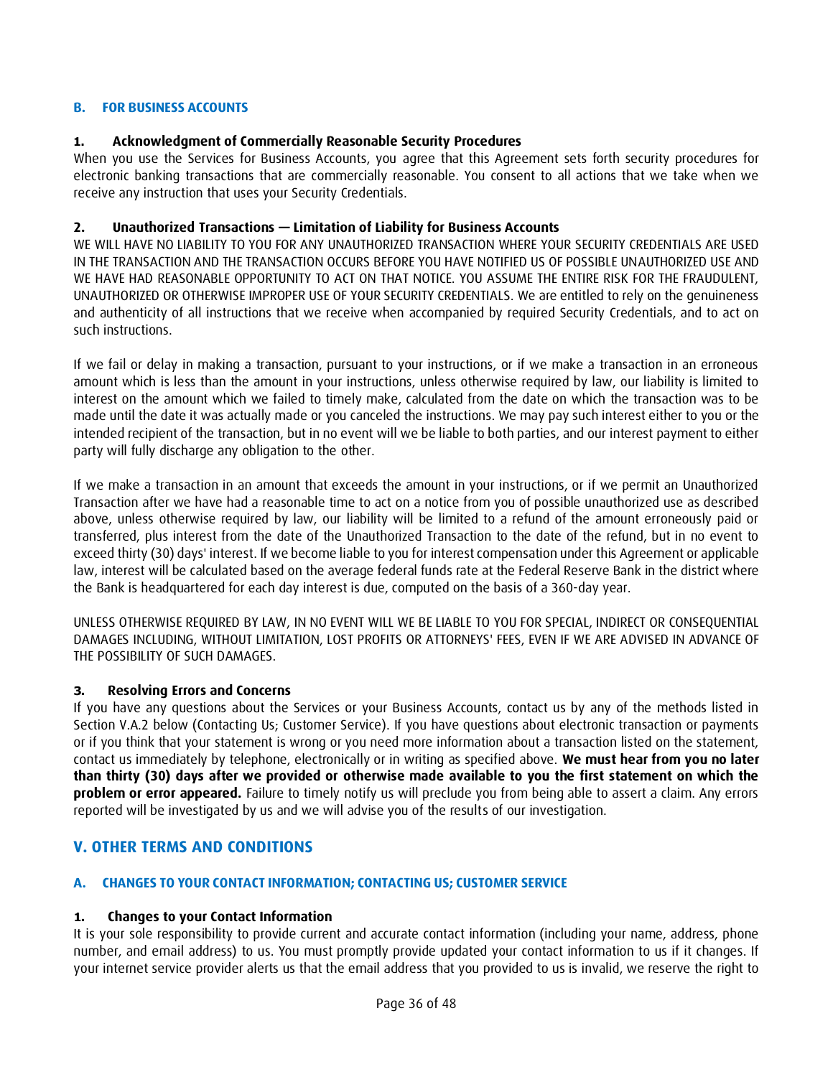### <span id="page-35-0"></span>**B. FOR BUSINESS ACCOUNTS**

### **1. Acknowledgment of Commercially Reasonable Security Procedures**

When you use the Services for Business Accounts, you agree that this Agreement sets forth security procedures for electronic banking transactions that are commercially reasonable. You consent to all actions that we take when we receive any instruction that uses your Security Credentials.

### **2. Unauthorized Transactions — Limitation of Liability for Business Accounts**

WE WILL HAVE NO LIABILITY TO YOU FOR ANY UNAUTHORIZED TRANSACTION WHERE YOUR SECURITY CREDENTIALS ARE USED IN THE TRANSACTION AND THE TRANSACTION OCCURS BEFORE YOU HAVE NOTIFIED US OF POSSIBLE UNAUTHORIZED USE AND WE HAVE HAD REASONABLE OPPORTUNITY TO ACT ON THAT NOTICE. YOU ASSUME THE ENTIRE RISK FOR THE FRAUDULENT, UNAUTHORIZED OR OTHERWISE IMPROPER USE OF YOUR SECURITY CREDENTIALS. We are entitled to rely on the genuineness and authenticity of all instructions that we receive when accompanied by required Security Credentials, and to act on such instructions.

If we fail or delay in making a transaction, pursuant to your instructions, or if we make a transaction in an erroneous amount which is less than the amount in your instructions, unless otherwise required by law, our liability is limited to interest on the amount which we failed to timely make, calculated from the date on which the transaction was to be made until the date it was actually made or you canceled the instructions. We may pay such interest either to you or the intended recipient of the transaction, but in no event will we be liable to both parties, and our interest payment to either party will fully discharge any obligation to the other.

If we make a transaction in an amount that exceeds the amount in your instructions, or if we permit an Unauthorized Transaction after we have had a reasonable time to act on a notice from you of possible unauthorized use as described above, unless otherwise required by law, our liability will be limited to a refund of the amount erroneously paid or transferred, plus interest from the date of the Unauthorized Transaction to the date of the refund, but in no event to exceed thirty (30) days' interest. If we become liable to you for interest compensation under this Agreement or applicable law, interest will be calculated based on the average federal funds rate at the Federal Reserve Bank in the district where the Bank is headquartered for each day interest is due, computed on the basis of a 360-day year.

UNLESS OTHERWISE REQUIRED BY LAW, IN NO EVENT WILL WE BE LIABLE TO YOU FOR SPECIAL, INDIRECT OR CONSEQUENTIAL DAMAGES INCLUDING, WITHOUT LIMITATION, LOST PROFITS OR ATTORNEYS' FEES, EVEN IF WE ARE ADVISED IN ADVANCE OF THE POSSIBILITY OF SUCH DAMAGES.

#### **3. Resolving Errors and Concerns**

If you have any questions about the Services or your Business Accounts, contact us by any of the methods listed in Section V.A.2 below (Contacting Us; Customer Service). If you have questions about electronic transaction or payments or if you think that your statement is wrong or you need more information about a transaction listed on the statement, contact us immediately by telephone, electronically or in writing as specified above. **We must hear from you no later than thirty (30) days after we provided or otherwise made available to you the first statement on which the problem or error appeared.** Failure to timely notify us will preclude you from being able to assert a claim. Any errors reported will be investigated by us and we will advise you of the results of our investigation.

# <span id="page-35-1"></span>**V. OTHER TERMS AND CONDITIONS**

#### <span id="page-35-2"></span>**A. CHANGES TO YOUR CONTACT INFORMATION; CONTACTING US; CUSTOMER SERVICE**

#### **1. Changes to your Contact Information**

It is your sole responsibility to provide current and accurate contact information (including your name, address, phone number, and email address) to us. You must promptly provide updated your contact information to us if it changes. If your internet service provider alerts us that the email address that you provided to us is invalid, we reserve the right to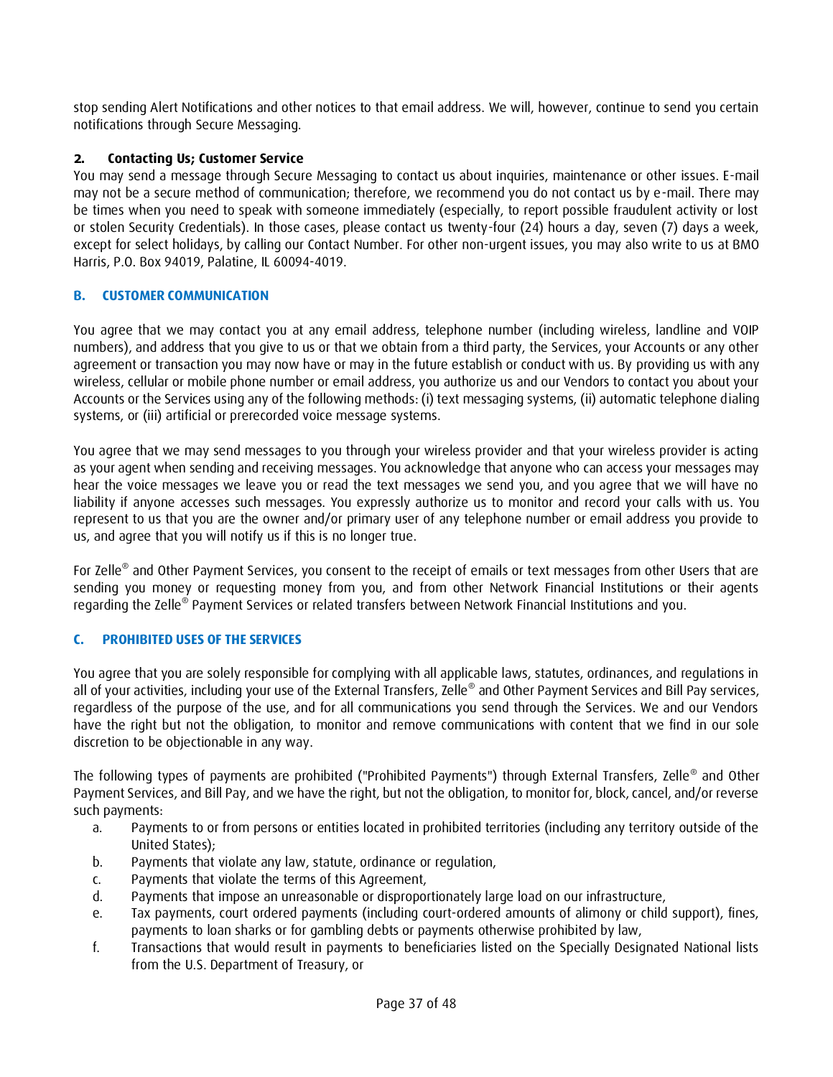stop sending Alert Notifications and other notices to that email address. We will, however, continue to send you certain notifications through Secure Messaging.

# **2. Contacting Us; Customer Service**

You may send a message through Secure Messaging to contact us about inquiries, maintenance or other issues. E-mail may not be a secure method of communication; therefore, we recommend you do not contact us by e-mail. There may be times when you need to speak with someone immediately (especially, to report possible fraudulent activity or lost or stolen Security Credentials). In those cases, please contact us twenty-four (24) hours a day, seven (7) days a week, except for select holidays, by calling our Contact Number. For other non-urgent issues, you may also write to us at BMO Harris, P.O. Box 94019, Palatine, IL 60094-4019.

# <span id="page-36-0"></span>**B. CUSTOMER COMMUNICATION**

You agree that we may contact you at any email address, telephone number (including wireless, landline and VOIP numbers), and address that you give to us or that we obtain from a third party, the Services, your Accounts or any other agreement or transaction you may now have or may in the future establish or conduct with us. By providing us with any wireless, cellular or mobile phone number or email address, you authorize us and our Vendors to contact you about your Accounts or the Services using any of the following methods: (i) text messaging systems, (ii) automatic telephone dialing systems, or (iii) artificial or prerecorded voice message systems.

You agree that we may send messages to you through your wireless provider and that your wireless provider is acting as your agent when sending and receiving messages. You acknowledge that anyone who can access your messages may hear the voice messages we leave you or read the text messages we send you, and you agree that we will have no liability if anyone accesses such messages. You expressly authorize us to monitor and record your calls with us. You represent to us that you are the owner and/or primary user of any telephone number or email address you provide to us, and agree that you will notify us if this is no longer true.

For Zelle® and Other Payment Services, you consent to the receipt of emails or text messages from other Users that are sending you money or requesting money from you, and from other Network Financial Institutions or their agents regarding the Zelle® Payment Services or related transfers between Network Financial Institutions and you.

# <span id="page-36-1"></span>**C. PROHIBITED USES OF THE SERVICES**

You agree that you are solely responsible for complying with all applicable laws, statutes, ordinances, and regulations in all of your activities, including your use of the External Transfers, Zelle® and Other Payment Services and Bill Pay services, regardless of the purpose of the use, and for all communications you send through the Services. We and our Vendors have the right but not the obligation, to monitor and remove communications with content that we find in our sole discretion to be objectionable in any way.

The following types of payments are prohibited ("Prohibited Payments") through External Transfers, Zelle® and Other Payment Services, and Bill Pay, and we have the right, but not the obligation, to monitor for, block, cancel, and/or reverse such payments:

- a. Payments to or from persons or entities located in prohibited territories (including any territory outside of the United States);
- b. Payments that violate any law, statute, ordinance or regulation,
- c. Payments that violate the terms of this Agreement,
- d. Payments that impose an unreasonable or disproportionately large load on our infrastructure,
- e. Tax payments, court ordered payments (including court-ordered amounts of alimony or child support), fines, payments to loan sharks or for gambling debts or payments otherwise prohibited by law,
- f. Transactions that would result in payments to beneficiaries listed on the Specially Designated National lists from the U.S. Department of Treasury, or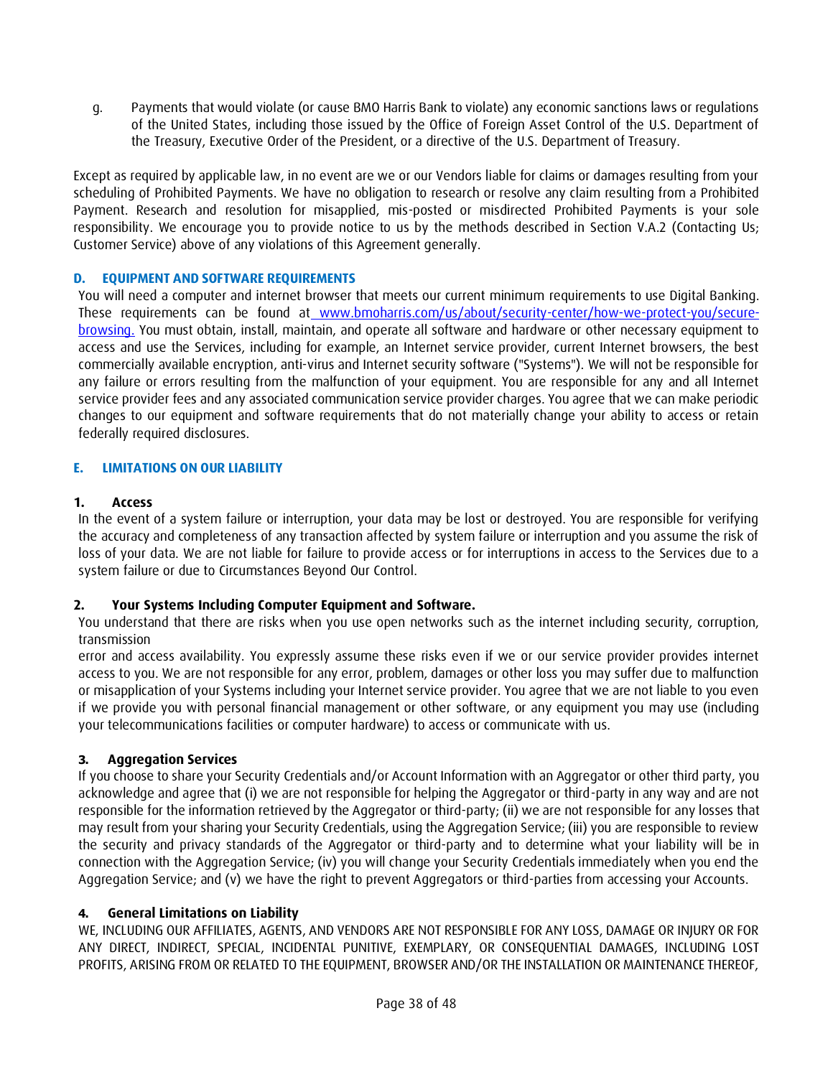g. Payments that would violate (or cause BMO Harris Bank to violate) any economic sanctions laws or regulations of the United States, including those issued by the Office of Foreign Asset Control of the U.S. Department of the Treasury, Executive Order of the President, or a directive of the U.S. Department of Treasury.

Except as required by applicable law, in no event are we or our Vendors liable for claims or damages resulting from your scheduling of Prohibited Payments. We have no obligation to research or resolve any claim resulting from a Prohibited Payment. Research and resolution for misapplied, mis-posted or misdirected Prohibited Payments is your sole responsibility. We encourage you to provide notice to us by the methods described in Section V.A.2 (Contacting Us; Customer Service) above of any violations of this Agreement generally.

# <span id="page-37-0"></span>**D. EQUIPMENT AND SOFTWARE REQUIREMENTS**

You will need a computer and internet browser that meets our current minimum requirements to use Digital Banking. These requirements can be found at [www.bmoharris.com/us/about/security-center/how-we-protect-you/secure](http://www.bmoharris.com/us/about/security-center/how-we-protect-you/secure-browsing)[browsing.](http://www.bmoharris.com/us/about/security-center/how-we-protect-you/secure-browsing) You must obtain, install, maintain, and operate all software and hardware or other necessary equipment to access and use the Services, including for example, an Internet service provider, current Internet browsers, the best commercially available encryption, anti-virus and Internet security software ("Systems"). We will not be responsible for any failure or errors resulting from the malfunction of your equipment. You are responsible for any and all Internet service provider fees and any associated communication service provider charges. You agree that we can make periodic changes to our equipment and software requirements that do not materially change your ability to access or retain federally required disclosures.

### <span id="page-37-1"></span>**E. LIMITATIONS ON OUR LIABILITY**

#### **1. Access**

In the event of a system failure or interruption, your data may be lost or destroyed. You are responsible for verifying the accuracy and completeness of any transaction affected by system failure or interruption and you assume the risk of loss of your data. We are not liable for failure to provide access or for interruptions in access to the Services due to a system failure or due to Circumstances Beyond Our Control.

# **2. Your Systems Including Computer Equipment and Software.**

You understand that there are risks when you use open networks such as the internet including security, corruption, transmission

error and access availability. You expressly assume these risks even if we or our service provider provides internet access to you. We are not responsible for any error, problem, damages or other loss you may suffer due to malfunction or misapplication of your Systems including your Internet service provider. You agree that we are not liable to you even if we provide you with personal financial management or other software, or any equipment you may use (including your telecommunications facilities or computer hardware) to access or communicate with us.

# **3. Aggregation Services**

If you choose to share your Security Credentials and/or Account Information with an Aggregator or other third party, you acknowledge and agree that (i) we are not responsible for helping the Aggregator or third-party in any way and are not responsible for the information retrieved by the Aggregator or third-party; (ii) we are not responsible for any losses that may result from your sharing your Security Credentials, using the Aggregation Service; (iii) you are responsible to review the security and privacy standards of the Aggregator or third-party and to determine what your liability will be in connection with the Aggregation Service; (iv) you will change your Security Credentials immediately when you end the Aggregation Service; and (v) we have the right to prevent Aggregators or third-parties from accessing your Accounts.

# **4. General Limitations on Liability**

WE, INCLUDING OUR AFFILIATES, AGENTS, AND VENDORS ARE NOT RESPONSIBLE FOR ANY LOSS, DAMAGE OR INJURY OR FOR ANY DIRECT, INDIRECT, SPECIAL, INCIDENTAL PUNITIVE, EXEMPLARY, OR CONSEQUENTIAL DAMAGES, INCLUDING LOST PROFITS, ARISING FROM OR RELATED TO THE EQUIPMENT, BROWSER AND/OR THE INSTALLATION OR MAINTENANCE THEREOF,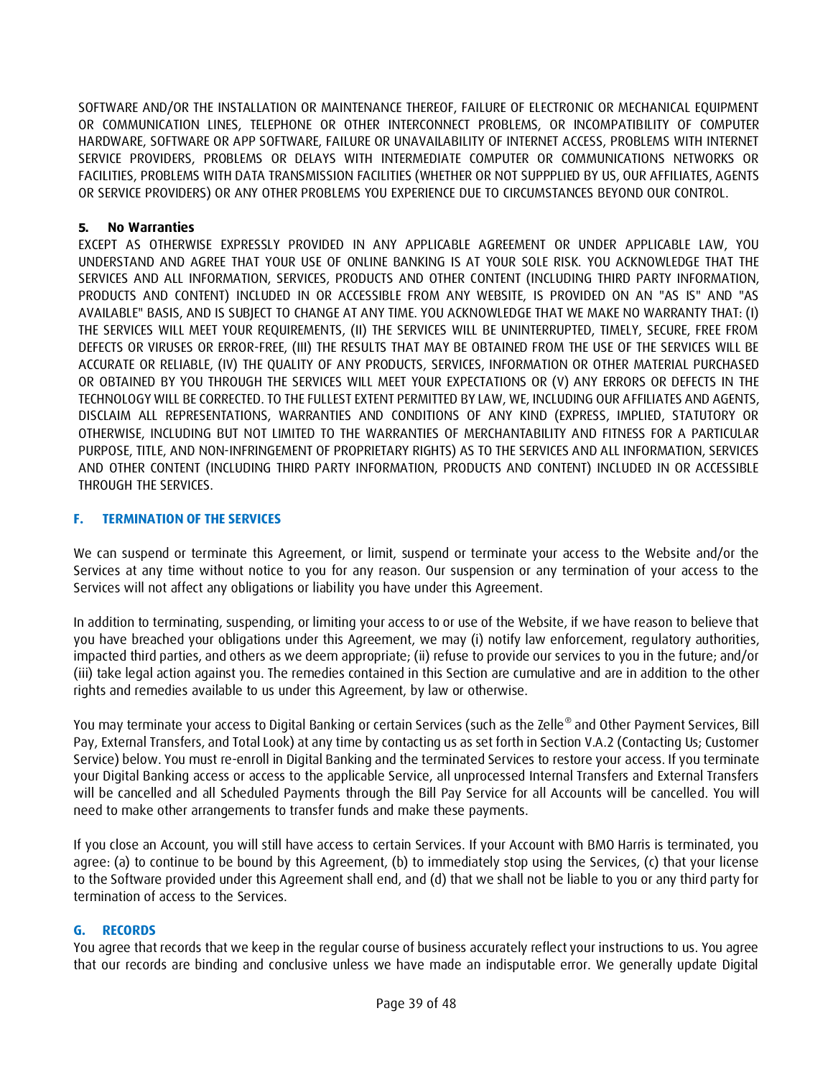SOFTWARE AND/OR THE INSTALLATION OR MAINTENANCE THEREOF, FAILURE OF ELECTRONIC OR MECHANICAL EQUIPMENT OR COMMUNICATION LINES, TELEPHONE OR OTHER INTERCONNECT PROBLEMS, OR INCOMPATIBILITY OF COMPUTER HARDWARE, SOFTWARE OR APP SOFTWARE, FAILURE OR UNAVAILABILITY OF INTERNET ACCESS, PROBLEMS WITH INTERNET SERVICE PROVIDERS, PROBLEMS OR DELAYS WITH INTERMEDIATE COMPUTER OR COMMUNICATIONS NETWORKS OR FACILITIES, PROBLEMS WITH DATA TRANSMISSION FACILITIES (WHETHER OR NOT SUPPPLIED BY US, OUR AFFILIATES, AGENTS OR SERVICE PROVIDERS) OR ANY OTHER PROBLEMS YOU EXPERIENCE DUE TO CIRCUMSTANCES BEYOND OUR CONTROL.

#### **5. No Warranties**

EXCEPT AS OTHERWISE EXPRESSLY PROVIDED IN ANY APPLICABLE AGREEMENT OR UNDER APPLICABLE LAW, YOU UNDERSTAND AND AGREE THAT YOUR USE OF ONLINE BANKING IS AT YOUR SOLE RISK. YOU ACKNOWLEDGE THAT THE SERVICES AND ALL INFORMATION, SERVICES, PRODUCTS AND OTHER CONTENT (INCLUDING THIRD PARTY INFORMATION, PRODUCTS AND CONTENT) INCLUDED IN OR ACCESSIBLE FROM ANY WEBSITE, IS PROVIDED ON AN "AS IS" AND "AS AVAILABLE" BASIS, AND IS SUBJECT TO CHANGE AT ANY TIME. YOU ACKNOWLEDGE THAT WE MAKE NO WARRANTY THAT: (I) THE SERVICES WILL MEET YOUR REQUIREMENTS, (II) THE SERVICES WILL BE UNINTERRUPTED, TIMELY, SECURE, FREE FROM DEFECTS OR VIRUSES OR ERROR-FREE, (III) THE RESULTS THAT MAY BE OBTAINED FROM THE USE OF THE SERVICES WILL BE ACCURATE OR RELIABLE, (IV) THE QUALITY OF ANY PRODUCTS, SERVICES, INFORMATION OR OTHER MATERIAL PURCHASED OR OBTAINED BY YOU THROUGH THE SERVICES WILL MEET YOUR EXPECTATIONS OR (V) ANY ERRORS OR DEFECTS IN THE TECHNOLOGY WILL BE CORRECTED. TO THE FULLEST EXTENT PERMITTED BY LAW, WE, INCLUDING OUR AFFILIATES AND AGENTS, DISCLAIM ALL REPRESENTATIONS, WARRANTIES AND CONDITIONS OF ANY KIND (EXPRESS, IMPLIED, STATUTORY OR OTHERWISE, INCLUDING BUT NOT LIMITED TO THE WARRANTIES OF MERCHANTABILITY AND FITNESS FOR A PARTICULAR PURPOSE, TITLE, AND NON-INFRINGEMENT OF PROPRIETARY RIGHTS) AS TO THE SERVICES AND ALL INFORMATION, SERVICES AND OTHER CONTENT (INCLUDING THIRD PARTY INFORMATION, PRODUCTS AND CONTENT) INCLUDED IN OR ACCESSIBLE THROUGH THE SERVICES.

#### <span id="page-38-0"></span>**F. TERMINATION OF THE SERVICES**

We can suspend or terminate this Agreement, or limit, suspend or terminate your access to the Website and/or the Services at any time without notice to you for any reason. Our suspension or any termination of your access to the Services will not affect any obligations or liability you have under this Agreement.

In addition to terminating, suspending, or limiting your access to or use of the Website, if we have reason to believe that you have breached your obligations under this Agreement, we may (i) notify law enforcement, regulatory authorities, impacted third parties, and others as we deem appropriate; (ii) refuse to provide our services to you in the future; and/or (iii) take legal action against you. The remedies contained in this Section are cumulative and are in addition to the other rights and remedies available to us under this Agreement, by law or otherwise.

You may terminate your access to Digital Banking or certain Services (such as the Zelle® and Other Payment Services, Bill Pay, External Transfers, and Total Look) at any time by contacting us as set forth in Section V.A.2 (Contacting Us; Customer Service) below. You must re-enroll in Digital Banking and the terminated Services to restore your access. If you terminate your Digital Banking access or access to the applicable Service, all unprocessed Internal Transfers and External Transfers will be cancelled and all Scheduled Payments through the Bill Pay Service for all Accounts will be cancelled. You will need to make other arrangements to transfer funds and make these payments.

If you close an Account, you will still have access to certain Services. If your Account with BMO Harris is terminated, you agree: (a) to continue to be bound by this Agreement, (b) to immediately stop using the Services, (c) that your license to the Software provided under this Agreement shall end, and (d) that we shall not be liable to you or any third party for termination of access to the Services.

#### <span id="page-38-1"></span>**G. RECORDS**

You agree that records that we keep in the regular course of business accurately reflect your instructions to us. You agree that our records are binding and conclusive unless we have made an indisputable error. We generally update Digital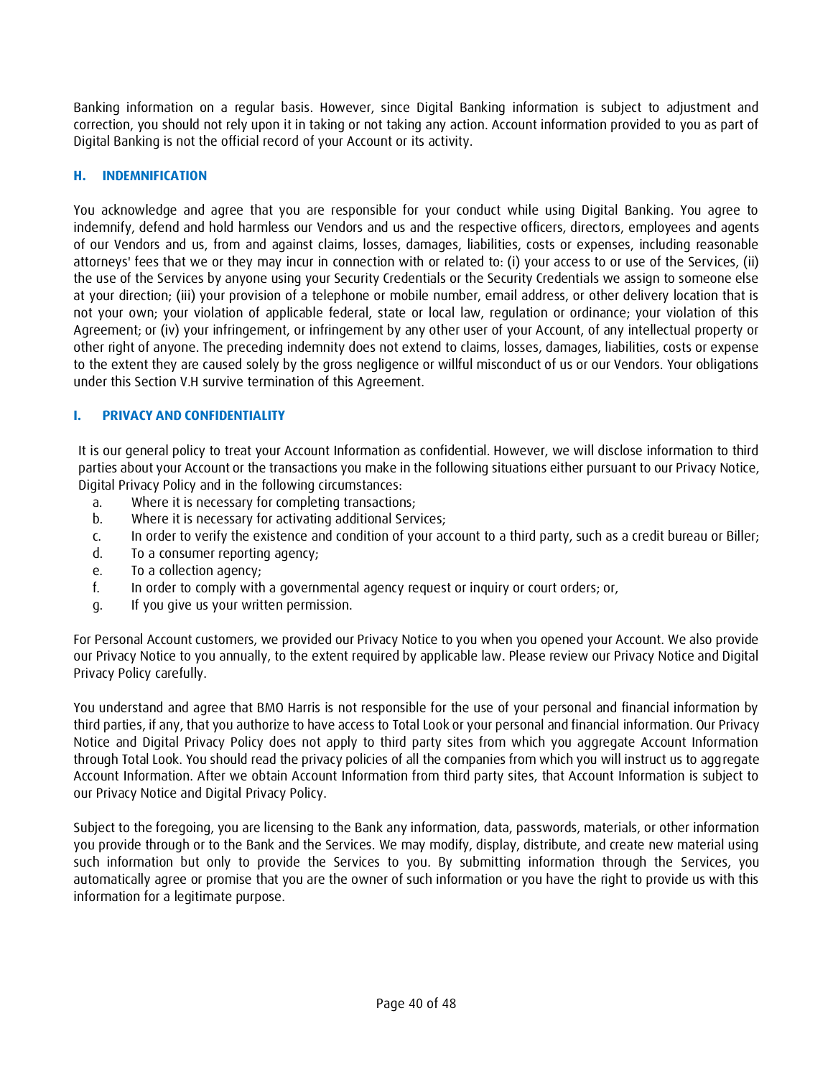Banking information on a regular basis. However, since Digital Banking information is subject to adjustment and correction, you should not rely upon it in taking or not taking any action. Account information provided to you as part of Digital Banking is not the official record of your Account or its activity.

### <span id="page-39-0"></span>**H. INDEMNIFICATION**

You acknowledge and agree that you are responsible for your conduct while using Digital Banking. You agree to indemnify, defend and hold harmless our Vendors and us and the respective officers, directors, employees and agents of our Vendors and us, from and against claims, losses, damages, liabilities, costs or expenses, including reasonable attorneys' fees that we or they may incur in connection with or related to: (i) your access to or use of the Services, (ii) the use of the Services by anyone using your Security Credentials or the Security Credentials we assign to someone else at your direction; (iii) your provision of a telephone or mobile number, email address, or other delivery location that is not your own; your violation of applicable federal, state or local law, regulation or ordinance; your violation of this Agreement; or (iv) your infringement, or infringement by any other user of your Account, of any intellectual property or other right of anyone. The preceding indemnity does not extend to claims, losses, damages, liabilities, costs or expense to the extent they are caused solely by the gross negligence or willful misconduct of us or our Vendors. Your obligations under this Section V.H survive termination of this Agreement.

### <span id="page-39-1"></span>**I. PRIVACY AND CONFIDENTIALITY**

It is our general policy to treat your Account Information as confidential. However, we will disclose information to third parties about your Account or the transactions you make in the following situations either pursuant to our Privacy Notice, Digital Privacy Policy and in the following circumstances:

- a. Where it is necessary for completing transactions;
- b. Where it is necessary for activating additional Services;
- c. In order to verify the existence and condition of your account to a third party, such as a credit bureau or Biller;
- d. To a consumer reporting agency;
- e. To a collection agency;
- f. In order to comply with a governmental agency request or inquiry or court orders; or,
- g. If you give us your written permission.

For Personal Account customers, we provided our Privacy Notice to you when you opened your Account. We also provide our Privacy Notice to you annually, to the extent required by applicable law. Please review our Privacy Notice and Digital Privacy Policy carefully.

You understand and agree that BMO Harris is not responsible for the use of your personal and financial information by third parties, if any, that you authorize to have access to Total Look or your personal and financial information. Our Privacy Notice and Digital Privacy Policy does not apply to third party sites from which you aggregate Account Information through Total Look. You should read the privacy policies of all the companies from which you will instruct us to aggregate Account Information. After we obtain Account Information from third party sites, that Account Information is subject to our Privacy Notice and Digital Privacy Policy.

Subject to the foregoing, you are licensing to the Bank any information, data, passwords, materials, or other information you provide through or to the Bank and the Services. We may modify, display, distribute, and create new material using such information but only to provide the Services to you. By submitting information through the Services, you automatically agree or promise that you are the owner of such information or you have the right to provide us with this information for a legitimate purpose.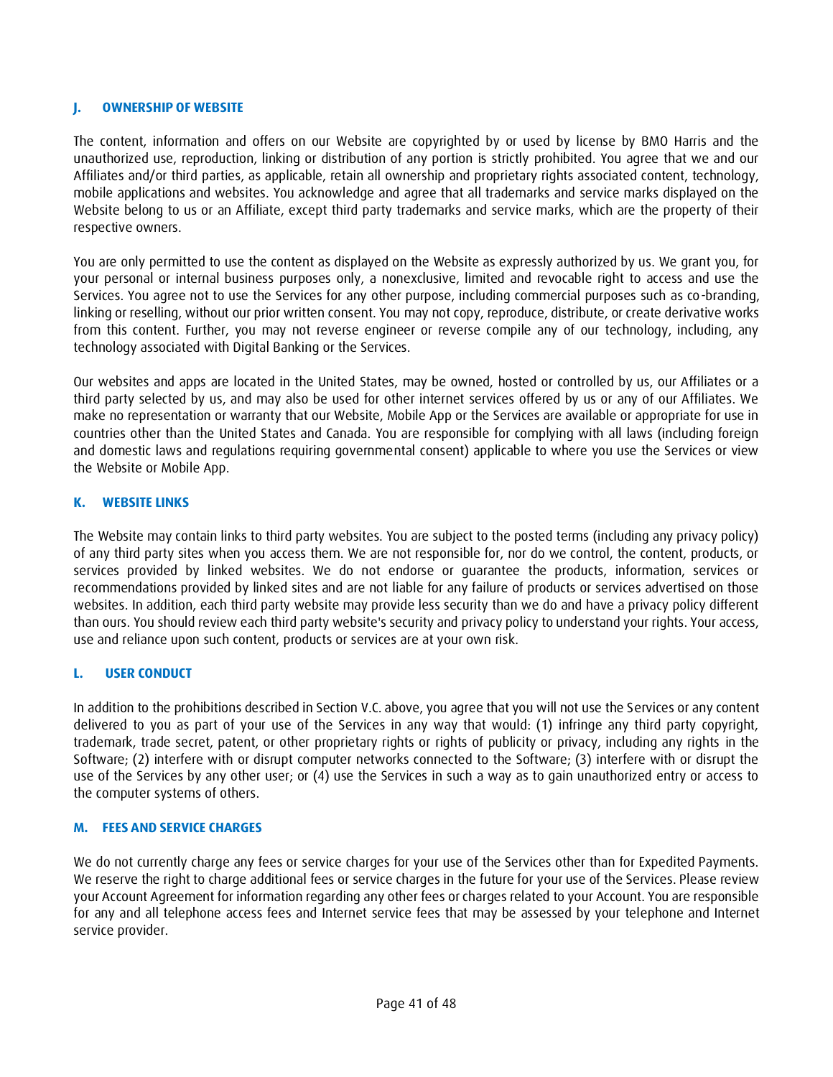### <span id="page-40-0"></span>**J. OWNERSHIP OF WEBSITE**

The content, information and offers on our Website are copyrighted by or used by license by BMO Harris and the unauthorized use, reproduction, linking or distribution of any portion is strictly prohibited. You agree that we and our Affiliates and/or third parties, as applicable, retain all ownership and proprietary rights associated content, technology, mobile applications and websites. You acknowledge and agree that all trademarks and service marks displayed on the Website belong to us or an Affiliate, except third party trademarks and service marks, which are the property of their respective owners.

You are only permitted to use the content as displayed on the Website as expressly authorized by us. We grant you, for your personal or internal business purposes only, a nonexclusive, limited and revocable right to access and use the Services. You agree not to use the Services for any other purpose, including commercial purposes such as co-branding, linking or reselling, without our prior written consent. You may not copy, reproduce, distribute, or create derivative works from this content. Further, you may not reverse engineer or reverse compile any of our technology, including, any technology associated with Digital Banking or the Services.

Our websites and apps are located in the United States, may be owned, hosted or controlled by us, our Affiliates or a third party selected by us, and may also be used for other internet services offered by us or any of our Affiliates. We make no representation or warranty that our Website, Mobile App or the Services are available or appropriate for use in countries other than the United States and Canada. You are responsible for complying with all laws (including foreign and domestic laws and regulations requiring governmental consent) applicable to where you use the Services or view the Website or Mobile App.

#### <span id="page-40-1"></span>**K. WEBSITE LINKS**

The Website may contain links to third party websites. You are subject to the posted terms (including any privacy policy) of any third party sites when you access them. We are not responsible for, nor do we control, the content, products, or services provided by linked websites. We do not endorse or guarantee the products, information, services or recommendations provided by linked sites and are not liable for any failure of products or services advertised on those websites. In addition, each third party website may provide less security than we do and have a privacy policy different than ours. You should review each third party website's security and privacy policy to understand your rights. Your access, use and reliance upon such content, products or services are at your own risk.

#### <span id="page-40-2"></span>**L. USER CONDUCT**

In addition to the prohibitions described in Section V.C. above, you agree that you will not use the Services or any content delivered to you as part of your use of the Services in any way that would: (1) infringe any third party copyright, trademark, trade secret, patent, or other proprietary rights or rights of publicity or privacy, including any rights in the Software; (2) interfere with or disrupt computer networks connected to the Software; (3) interfere with or disrupt the use of the Services by any other user; or (4) use the Services in such a way as to gain unauthorized entry or access to the computer systems of others.

#### <span id="page-40-3"></span>**M. FEES AND SERVICE CHARGES**

We do not currently charge any fees or service charges for your use of the Services other than for Expedited Payments. We reserve the right to charge additional fees or service charges in the future for your use of the Services. Please review your Account Agreement for information regarding any other fees or charges related to your Account. You are responsible for any and all telephone access fees and Internet service fees that may be assessed by your telephone and Internet service provider.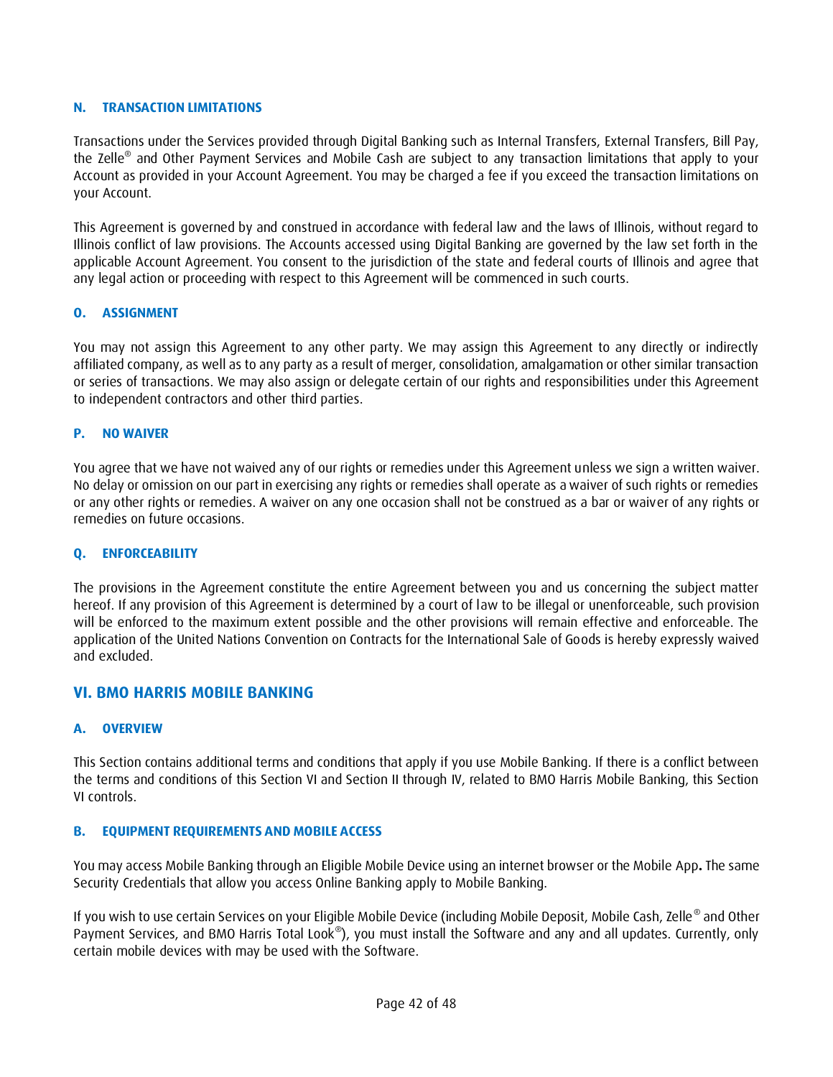#### <span id="page-41-0"></span>**N. TRANSACTION LIMITATIONS**

Transactions under the Services provided through Digital Banking such as Internal Transfers, External Transfers, Bill Pay, the Zelle® and Other Payment Services and Mobile Cash are subject to any transaction limitations that apply to your Account as provided in your Account Agreement. You may be charged a fee if you exceed the transaction limitations on your Account.

This Agreement is governed by and construed in accordance with federal law and the laws of Illinois, without regard to Illinois conflict of law provisions. The Accounts accessed using Digital Banking are governed by the law set forth in the applicable Account Agreement. You consent to the jurisdiction of the state and federal courts of Illinois and agree that any legal action or proceeding with respect to this Agreement will be commenced in such courts.

#### <span id="page-41-1"></span>**O. ASSIGNMENT**

You may not assign this Agreement to any other party. We may assign this Agreement to any directly or indirectly affiliated company, as well as to any party as a result of merger, consolidation, amalgamation or other similar transaction or series of transactions. We may also assign or delegate certain of our rights and responsibilities under this Agreement to independent contractors and other third parties.

#### <span id="page-41-2"></span>**P. NO WAIVER**

You agree that we have not waived any of our rights or remedies under this Agreement unless we sign a written waiver. No delay or omission on our part in exercising any rights or remedies shall operate as a waiver of such rights or remedies or any other rights or remedies. A waiver on any one occasion shall not be construed as a bar or waiver of any rights or remedies on future occasions.

#### <span id="page-41-3"></span>**Q. ENFORCEABILITY**

The provisions in the Agreement constitute the entire Agreement between you and us concerning the subject matter hereof. If any provision of this Agreement is determined by a court of law to be illegal or unenforceable, such provision will be enforced to the maximum extent possible and the other provisions will remain effective and enforceable. The application of the United Nations Convention on Contracts for the International Sale of Goods is hereby expressly waived and excluded.

#### <span id="page-41-4"></span>**VI. BMO HARRIS MOBILE BANKING**

#### <span id="page-41-5"></span>**A. OVERVIEW**

This Section contains additional terms and conditions that apply if you use Mobile Banking. If there is a conflict between the terms and conditions of this Section VI and Section II through IV, related to BMO Harris Mobile Banking, this Section VI controls.

#### <span id="page-41-6"></span>**B. EQUIPMENT REQUIREMENTS AND MOBILE ACCESS**

You may access Mobile Banking through an Eligible Mobile Device using an internet browser or the Mobile App**.** The same Security Credentials that allow you access Online Banking apply to Mobile Banking.

If you wish to use certain Services on your Eligible Mobile Device (including Mobile Deposit, Mobile Cash, Zelle® and Other Payment Services, and BMO Harris Total Look®), you must install the Software and any and all updates. Currently, only certain mobile devices with may be used with the Software.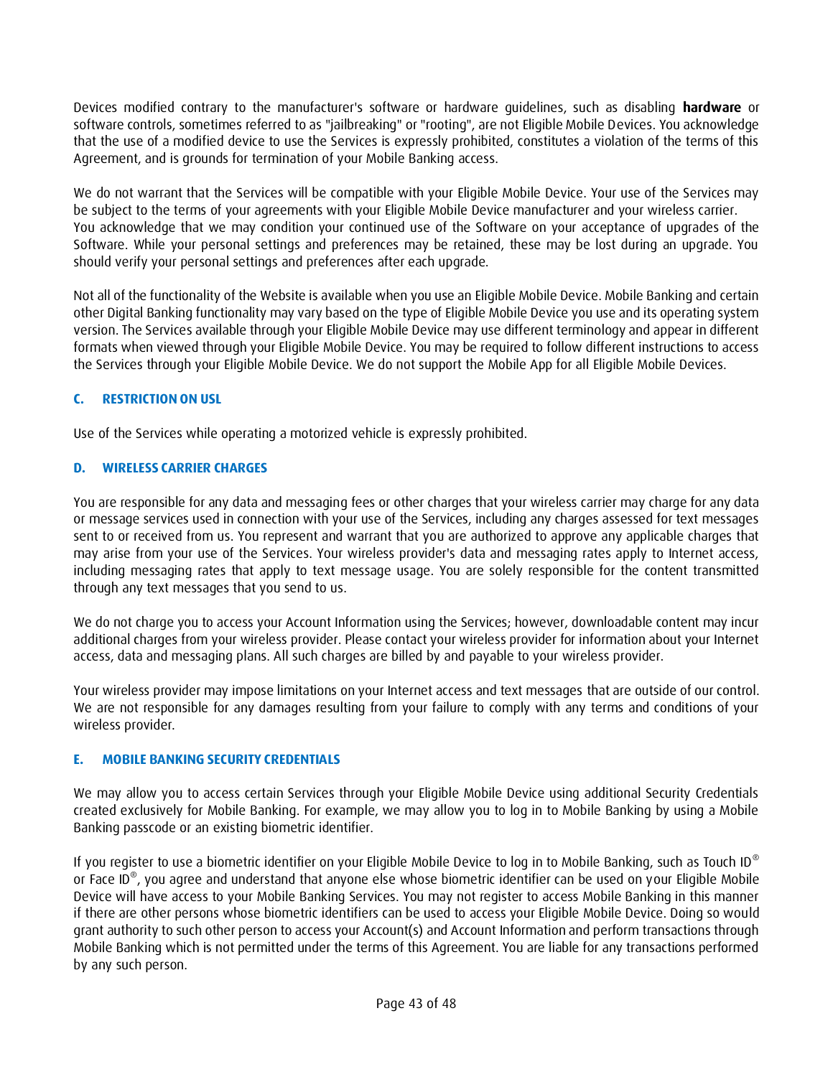Devices modified contrary to the manufacturer's software or hardware guidelines, such as disabling **hardware** or software controls, sometimes referred to as "jailbreaking" or "rooting", are not Eligible Mobile Devices. You acknowledge that the use of a modified device to use the Services is expressly prohibited, constitutes a violation of the terms of this Agreement, and is grounds for termination of your Mobile Banking access.

We do not warrant that the Services will be compatible with your Eligible Mobile Device. Your use of the Services may be subject to the terms of your agreements with your Eligible Mobile Device manufacturer and your wireless carrier. You acknowledge that we may condition your continued use of the Software on your acceptance of upgrades of the Software. While your personal settings and preferences may be retained, these may be lost during an upgrade. You should verify your personal settings and preferences after each upgrade.

Not all of the functionality of the Website is available when you use an Eligible Mobile Device. Mobile Banking and certain other Digital Banking functionality may vary based on the type of Eligible Mobile Device you use and its operating system version. The Services available through your Eligible Mobile Device may use different terminology and appear in different formats when viewed through your Eligible Mobile Device. You may be required to follow different instructions to access the Services through your Eligible Mobile Device. We do not support the Mobile App for all Eligible Mobile Devices.

### <span id="page-42-0"></span>**C. RESTRICTION ON USL**

Use of the Services while operating a motorized vehicle is expressly prohibited.

### <span id="page-42-1"></span>**D. WIRELESS CARRIER CHARGES**

You are responsible for any data and messaging fees or other charges that your wireless carrier may charge for any data or message services used in connection with your use of the Services, including any charges assessed for text messages sent to or received from us. You represent and warrant that you are authorized to approve any applicable charges that may arise from your use of the Services. Your wireless provider's data and messaging rates apply to Internet access, including messaging rates that apply to text message usage. You are solely responsible for the content transmitted through any text messages that you send to us.

We do not charge you to access your Account Information using the Services; however, downloadable content may incur additional charges from your wireless provider. Please contact your wireless provider for information about your Internet access, data and messaging plans. All such charges are billed by and payable to your wireless provider.

Your wireless provider may impose limitations on your Internet access and text messages that are outside of our control. We are not responsible for any damages resulting from your failure to comply with any terms and conditions of your wireless provider.

#### <span id="page-42-2"></span>**E. MOBILE BANKING SECURITY CREDENTIALS**

We may allow you to access certain Services through your Eligible Mobile Device using additional Security Credentials created exclusively for Mobile Banking. For example, we may allow you to log in to Mobile Banking by using a Mobile Banking passcode or an existing biometric identifier.

If you register to use a biometric identifier on your Eligible Mobile Device to log in to Mobile Banking, such as Touch ID® or Face ID® , you agree and understand that anyone else whose biometric identifier can be used on your Eligible Mobile Device will have access to your Mobile Banking Services. You may not register to access Mobile Banking in this manner if there are other persons whose biometric identifiers can be used to access your Eligible Mobile Device. Doing so would grant authority to such other person to access your Account(s) and Account Information and perform transactions through Mobile Banking which is not permitted under the terms of this Agreement. You are liable for any transactions performed by any such person.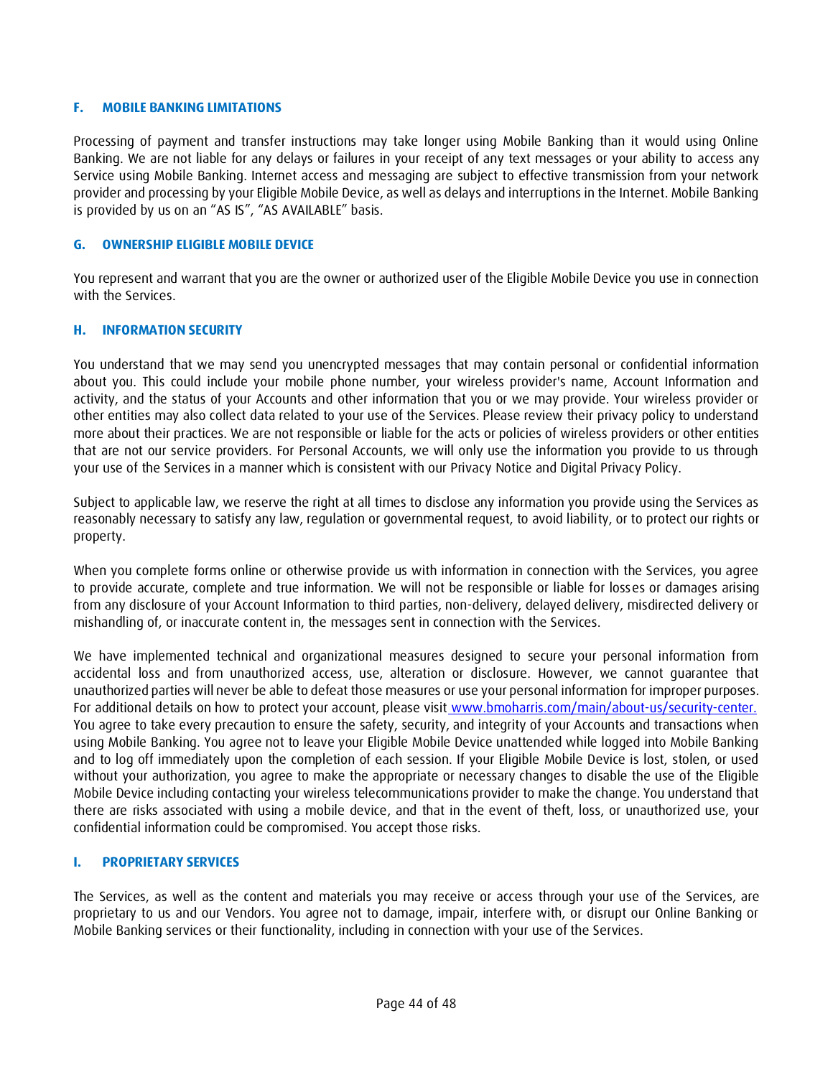#### <span id="page-43-0"></span>**F. MOBILE BANKING LIMITATIONS**

Processing of payment and transfer instructions may take longer using Mobile Banking than it would using Online Banking. We are not liable for any delays or failures in your receipt of any text messages or your ability to access any Service using Mobile Banking. Internet access and messaging are subject to effective transmission from your network provider and processing by your Eligible Mobile Device, as well as delays and interruptions in the Internet. Mobile Banking is provided by us on an "AS IS", "AS AVAILABLE" basis.

#### <span id="page-43-1"></span>**G. OWNERSHIP ELIGIBLE MOBILE DEVICE**

You represent and warrant that you are the owner or authorized user of the Eligible Mobile Device you use in connection with the Services.

#### <span id="page-43-2"></span>**H. INFORMATION SECURITY**

You understand that we may send you unencrypted messages that may contain personal or confidential information about you. This could include your mobile phone number, your wireless provider's name, Account Information and activity, and the status of your Accounts and other information that you or we may provide. Your wireless provider or other entities may also collect data related to your use of the Services. Please review their privacy policy to understand more about their practices. We are not responsible or liable for the acts or policies of wireless providers or other entities that are not our service providers. For Personal Accounts, we will only use the information you provide to us through your use of the Services in a manner which is consistent with our Privacy Notice and Digital Privacy Policy.

Subject to applicable law, we reserve the right at all times to disclose any information you provide using the Services as reasonably necessary to satisfy any law, regulation or governmental request, to avoid liability, or to protect our rights or property.

When you complete forms online or otherwise provide us with information in connection with the Services, you agree to provide accurate, complete and true information. We will not be responsible or liable for losses or damages arising from any disclosure of your Account Information to third parties, non-delivery, delayed delivery, misdirected delivery or mishandling of, or inaccurate content in, the messages sent in connection with the Services.

We have implemented technical and organizational measures designed to secure your personal information from accidental loss and from unauthorized access, use, alteration or disclosure. However, we cannot guarantee that unauthorized parties will never be able to defeat those measures or use your personal information for improper purposes. For additional details on how to protect your account, please visit [www.bmoharris.com/main/about-us/security-center.](http://www.bmoharris.com/main/about-us/security-center.) You agree to take every precaution to ensure the safety, security, and integrity of your Accounts and transactions when using Mobile Banking. You agree not to leave your Eligible Mobile Device unattended while logged into Mobile Banking and to log off immediately upon the completion of each session. If your Eligible Mobile Device is lost, stolen, or used without your authorization, you agree to make the appropriate or necessary changes to disable the use of the Eligible Mobile Device including contacting your wireless telecommunications provider to make the change. You understand that there are risks associated with using a mobile device, and that in the event of theft, loss, or unauthorized use, your confidential information could be compromised. You accept those risks.

#### <span id="page-43-3"></span>**I. PROPRIETARY SERVICES**

The Services, as well as the content and materials you may receive or access through your use of the Services, are proprietary to us and our Vendors. You agree not to damage, impair, interfere with, or disrupt our Online Banking or Mobile Banking services or their functionality, including in connection with your use of the Services.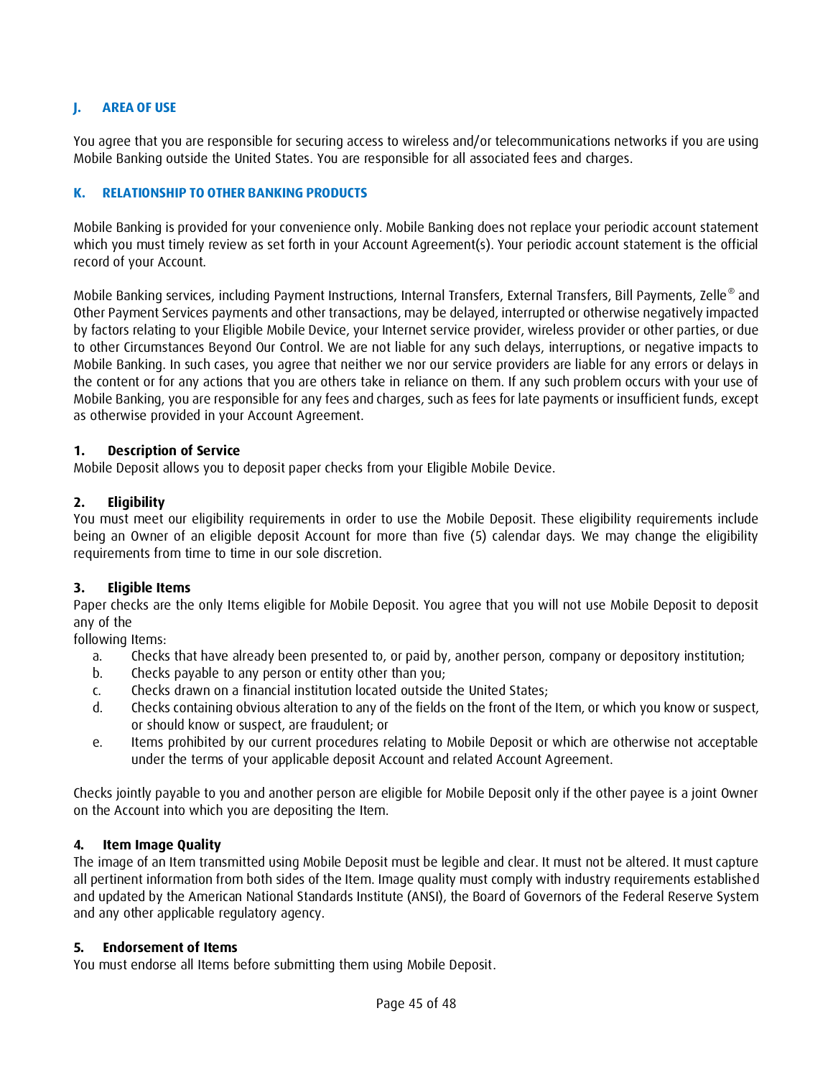### <span id="page-44-0"></span>**J. AREA OF USE**

You agree that you are responsible for securing access to wireless and/or telecommunications networks if you are using Mobile Banking outside the United States. You are responsible for all associated fees and charges.

#### <span id="page-44-1"></span>**K. RELATIONSHIP TO OTHER BANKING PRODUCTS**

Mobile Banking is provided for your convenience only. Mobile Banking does not replace your periodic account statement which you must timely review as set forth in your Account Agreement(s). Your periodic account statement is the official record of your Account.

Mobile Banking services, including Payment Instructions, Internal Transfers, External Transfers, Bill Payments, Zelle® and Other Payment Services payments and other transactions, may be delayed, interrupted or otherwise negatively impacted by factors relating to your Eligible Mobile Device, your Internet service provider, wireless provider or other parties, or due to other Circumstances Beyond Our Control. We are not liable for any such delays, interruptions, or negative impacts to Mobile Banking. In such cases, you agree that neither we nor our service providers are liable for any errors or delays in the content or for any actions that you are others take in reliance on them. If any such problem occurs with your use of Mobile Banking, you are responsible for any fees and charges, such as fees for late payments or insufficient funds, except as otherwise provided in your Account Agreement.

#### **1. Description of Service**

Mobile Deposit allows you to deposit paper checks from your Eligible Mobile Device.

#### **2. Eligibility**

You must meet our eligibility requirements in order to use the Mobile Deposit. These eligibility requirements include being an Owner of an eligible deposit Account for more than five (5) calendar days. We may change the eligibility requirements from time to time in our sole discretion.

#### **3. Eligible Items**

Paper checks are the only Items eligible for Mobile Deposit. You agree that you will not use Mobile Deposit to deposit any of the

following Items:

- a. Checks that have already been presented to, or paid by, another person, company or depository institution;
- b. Checks payable to any person or entity other than you;
- c. Checks drawn on a financial institution located outside the United States;
- d. Checks containing obvious alteration to any of the fields on the front of the Item, or which you know or suspect, or should know or suspect, are fraudulent; or
- e. Items prohibited by our current procedures relating to Mobile Deposit or which are otherwise not acceptable under the terms of your applicable deposit Account and related Account Agreement.

Checks jointly payable to you and another person are eligible for Mobile Deposit only if the other payee is a joint Owner on the Account into which you are depositing the Item.

#### **4. Item Image Quality**

The image of an Item transmitted using Mobile Deposit must be legible and clear. It must not be altered. It must capture all pertinent information from both sides of the Item. Image quality must comply with industry requirements established and updated by the American National Standards Institute (ANSI), the Board of Governors of the Federal Reserve System and any other applicable regulatory agency.

#### **5. Endorsement of Items**

You must endorse all Items before submitting them using Mobile Deposit.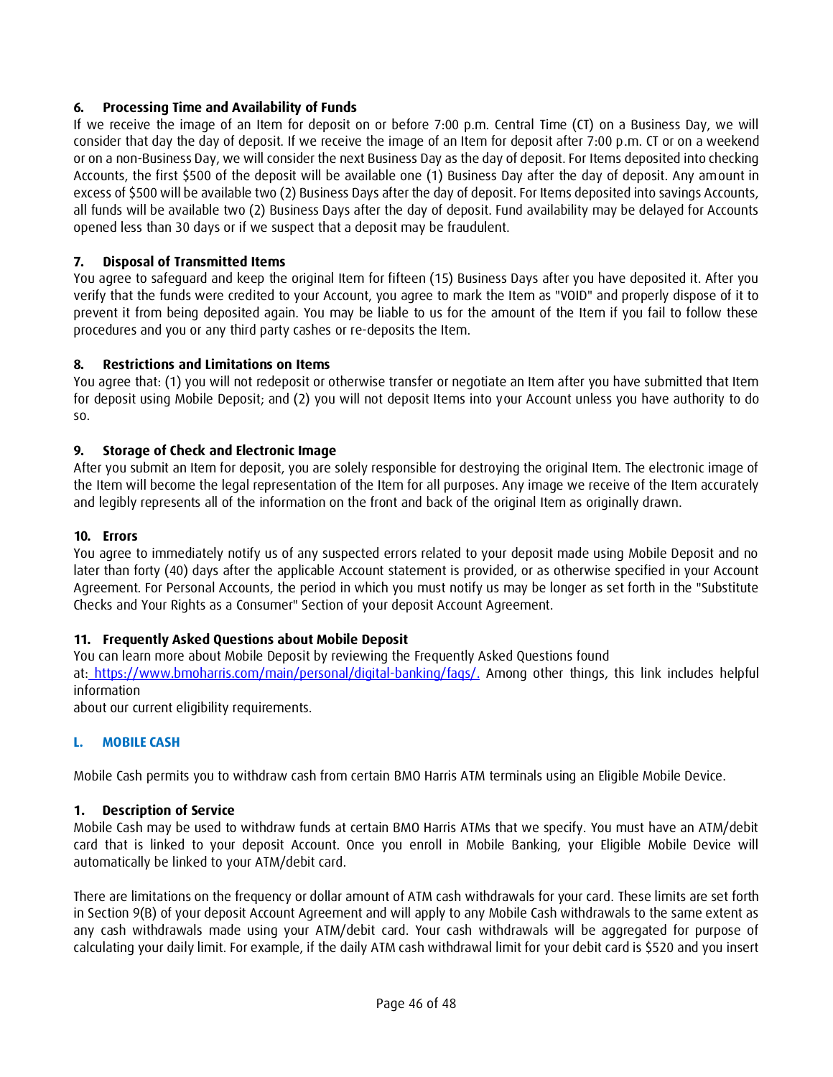# **6. Processing Time and Availability of Funds**

If we receive the image of an Item for deposit on or before 7:00 p.m. Central Time (CT) on a Business Day, we will consider that day the day of deposit. If we receive the image of an Item for deposit after 7:00 p.m. CT or on a weekend or on a non-Business Day, we will consider the next Business Day as the day of deposit. For Items deposited into checking Accounts, the first \$500 of the deposit will be available one (1) Business Day after the day of deposit. Any amount in excess of \$500 will be available two (2) Business Days after the day of deposit. For Items deposited into savings Accounts, all funds will be available two (2) Business Days after the day of deposit. Fund availability may be delayed for Accounts opened less than 30 days or if we suspect that a deposit may be fraudulent.

# **7. Disposal of Transmitted Items**

You agree to safeguard and keep the original Item for fifteen (15) Business Days after you have deposited it. After you verify that the funds were credited to your Account, you agree to mark the Item as "VOID" and properly dispose of it to prevent it from being deposited again. You may be liable to us for the amount of the Item if you fail to follow these procedures and you or any third party cashes or re-deposits the Item.

### **8. Restrictions and Limitations on Items**

You agree that: (1) you will not redeposit or otherwise transfer or negotiate an Item after you have submitted that Item for deposit using Mobile Deposit; and (2) you will not deposit Items into your Account unless you have authority to do so.

#### **9. Storage of Check and Electronic Image**

After you submit an Item for deposit, you are solely responsible for destroying the original Item. The electronic image of the Item will become the legal representation of the Item for all purposes. Any image we receive of the Item accurately and legibly represents all of the information on the front and back of the original Item as originally drawn.

### **10. Errors**

You agree to immediately notify us of any suspected errors related to your deposit made using Mobile Deposit and no later than forty (40) days after the applicable Account statement is provided, or as otherwise specified in your Account Agreement. For Personal Accounts, the period in which you must notify us may be longer as set forth in the "Substitute Checks and Your Rights as a Consumer" Section of your deposit Account Agreement.

# **11. Frequently Asked Questions about Mobile Deposit**

You can learn more about Mobile Deposit by reviewing the Frequently Asked Questions found at: [https://www.bmoharris.com/main/personal/digital-banking/faqs/.](https://www.bmoharris.com/main/personal/digital-banking/faqs/) Among other things, this link includes helpful information

about our current eligibility requirements.

#### <span id="page-45-0"></span>**L. MOBILE CASH**

Mobile Cash permits you to withdraw cash from certain BMO Harris ATM terminals using an Eligible Mobile Device.

#### **1. Description of Service**

Mobile Cash may be used to withdraw funds at certain BMO Harris ATMs that we specify. You must have an ATM/debit card that is linked to your deposit Account. Once you enroll in Mobile Banking, your Eligible Mobile Device will automatically be linked to your ATM/debit card.

There are limitations on the frequency or dollar amount of ATM cash withdrawals for your card. These limits are set forth in Section 9(B) of your deposit Account Agreement and will apply to any Mobile Cash withdrawals to the same extent as any cash withdrawals made using your ATM/debit card. Your cash withdrawals will be aggregated for purpose of calculating your daily limit. For example, if the daily ATM cash withdrawal limit for your debit card is \$520 and you insert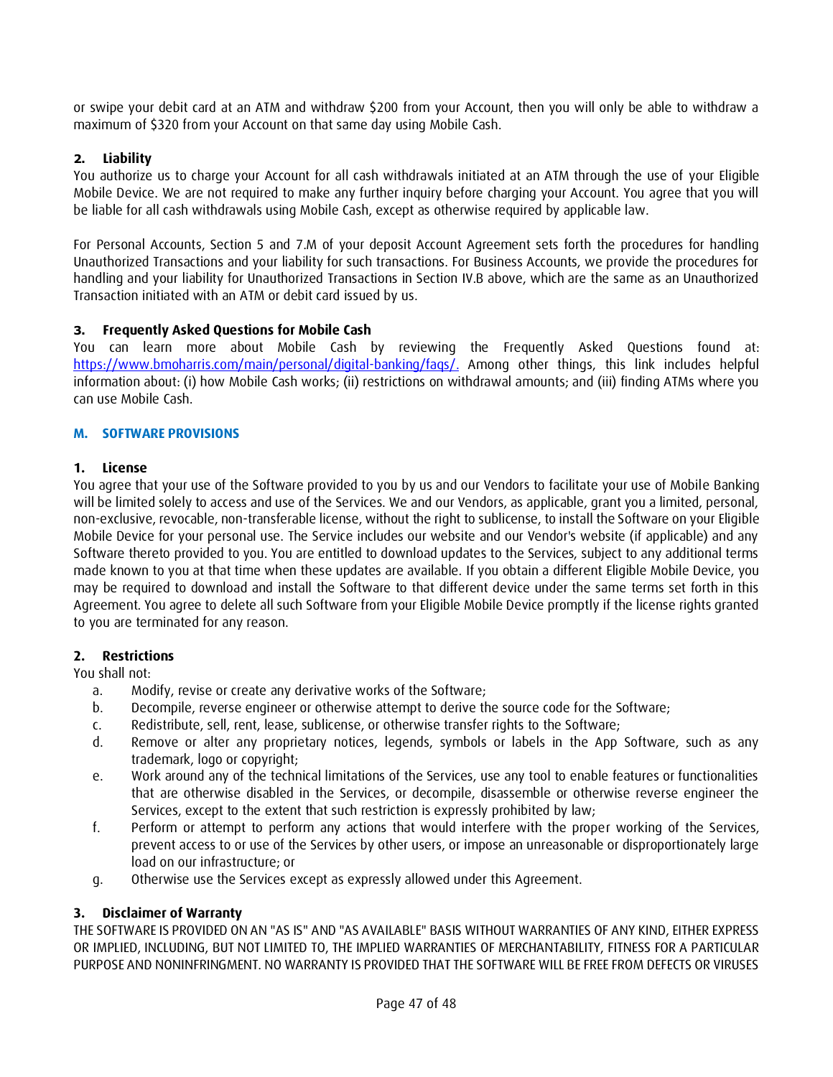or swipe your debit card at an ATM and withdraw \$200 from your Account, then you will only be able to withdraw a maximum of \$320 from your Account on that same day using Mobile Cash.

# **2. Liability**

You authorize us to charge your Account for all cash withdrawals initiated at an ATM through the use of your Eligible Mobile Device. We are not required to make any further inquiry before charging your Account. You agree that you will be liable for all cash withdrawals using Mobile Cash, except as otherwise required by applicable law.

For Personal Accounts, Section 5 and 7.M of your deposit Account Agreement sets forth the procedures for handling Unauthorized Transactions and your liability for such transactions. For Business Accounts, we provide the procedures for handling and your liability for Unauthorized Transactions in Section IV.B above, which are the same as an Unauthorized Transaction initiated with an ATM or debit card issued by us.

# **3. Frequently Asked Questions for Mobile Cash**

You can learn more about Mobile Cash by reviewing the Frequently Asked Questions found at: [https://www.bmoharris.com/main/personal/digital-banking/faqs/.](https://www.bmoharris.com/main/personal/digital-banking/faqs/) Among other things, this link includes helpful information about: (i) how Mobile Cash works; (ii) restrictions on withdrawal amounts; and (iii) finding ATMs where you can use Mobile Cash.

# <span id="page-46-0"></span>**M. SOFTWARE PROVISIONS**

### **1. License**

You agree that your use of the Software provided to you by us and our Vendors to facilitate your use of Mobile Banking will be limited solely to access and use of the Services. We and our Vendors, as applicable, grant you a limited, personal, non-exclusive, revocable, non-transferable license, without the right to sublicense, to install the Software on your Eligible Mobile Device for your personal use. The Service includes our website and our Vendor's website (if applicable) and any Software thereto provided to you. You are entitled to download updates to the Services, subject to any additional terms made known to you at that time when these updates are available. If you obtain a different Eligible Mobile Device, you may be required to download and install the Software to that different device under the same terms set forth in this Agreement. You agree to delete all such Software from your Eligible Mobile Device promptly if the license rights granted to you are terminated for any reason.

#### **2. Restrictions**

You shall not:

- a. Modify, revise or create any derivative works of the Software;
- b. Decompile, reverse engineer or otherwise attempt to derive the source code for the Software;
- c. Redistribute, sell, rent, lease, sublicense, or otherwise transfer rights to the Software;
- d. Remove or alter any proprietary notices, legends, symbols or labels in the App Software, such as any trademark, logo or copyright;
- e. Work around any of the technical limitations of the Services, use any tool to enable features or functionalities that are otherwise disabled in the Services, or decompile, disassemble or otherwise reverse engineer the Services, except to the extent that such restriction is expressly prohibited by law;
- f. Perform or attempt to perform any actions that would interfere with the proper working of the Services, prevent access to or use of the Services by other users, or impose an unreasonable or disproportionately large load on our infrastructure; or
- g. Otherwise use the Services except as expressly allowed under this Agreement.

# **3. Disclaimer of Warranty**

THE SOFTWARE IS PROVIDED ON AN "AS IS" AND "AS AVAILABLE" BASIS WITHOUT WARRANTIES OF ANY KIND, EITHER EXPRESS OR IMPLIED, INCLUDING, BUT NOT LIMITED TO, THE IMPLIED WARRANTIES OF MERCHANTABILITY, FITNESS FOR A PARTICULAR PURPOSE AND NONINFRINGMENT. NO WARRANTY IS PROVIDED THAT THE SOFTWARE WILL BE FREE FROM DEFECTS OR VIRUSES